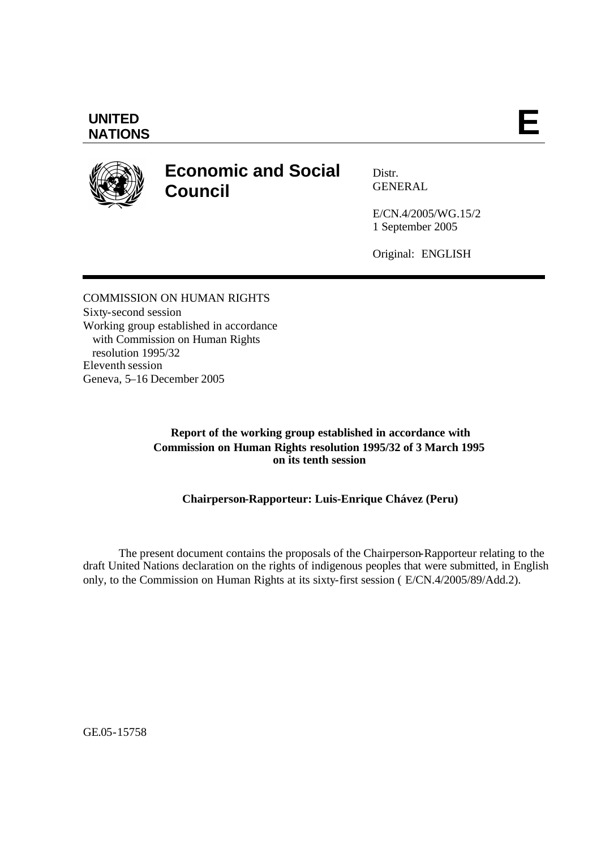## **UNITED** UNITED **E**<br>NATIONS

# **Economic and Social Council**

Distr. GENERAL

E/CN.4/2005/WG.15/2 1 September 2005

Original: ENGLISH

COMMISSION ON HUMAN RIGHTS Sixty-second session Working group established in accordance with Commission on Human Rights resolution 1995/32 Eleventh session Geneva, 5–16 December 2005

### **Report of the working group established in accordance with Commission on Human Rights resolution 1995/32 of 3 March 1995 on its tenth session**

## **Chairperson-Rapporteur: Luis-Enrique Chávez (Peru)**

The present document contains the proposals of the Chairperson-Rapporteur relating to the draft United Nations declaration on the rights of indigenous peoples that were submitted, in English only, to the Commission on Human Rights at its sixty-first session ( E/CN.4/2005/89/Add.2).

GE.05-15758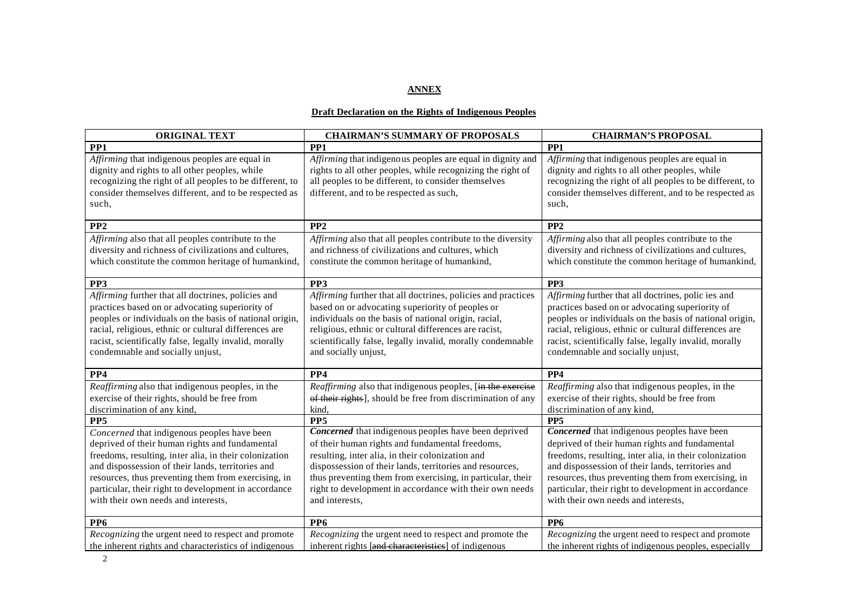#### **ANNEX**

#### **Draft Declaration on the Rights of Indigenous Peoples**

| <b>ORIGINAL TEXT</b>                                                                                                                                                                                                                                                                                                                                               | <b>CHAIRMAN'S SUMMARY OF PROPOSALS</b>                                                                                                                                                                                                                                                                                                                             | <b>CHAIRMAN'S PROPOSAL</b>                                                                                                                                                                                                                                                                                                                                         |
|--------------------------------------------------------------------------------------------------------------------------------------------------------------------------------------------------------------------------------------------------------------------------------------------------------------------------------------------------------------------|--------------------------------------------------------------------------------------------------------------------------------------------------------------------------------------------------------------------------------------------------------------------------------------------------------------------------------------------------------------------|--------------------------------------------------------------------------------------------------------------------------------------------------------------------------------------------------------------------------------------------------------------------------------------------------------------------------------------------------------------------|
| PP <sub>1</sub>                                                                                                                                                                                                                                                                                                                                                    | PP <sub>1</sub>                                                                                                                                                                                                                                                                                                                                                    | PP <sub>1</sub>                                                                                                                                                                                                                                                                                                                                                    |
| Affirming that indigenous peoples are equal in<br>dignity and rights to all other peoples, while<br>recognizing the right of all peoples to be different, to<br>consider themselves different, and to be respected as<br>such,                                                                                                                                     | Affirming that indigenous peoples are equal in dignity and<br>rights to all other peoples, while recognizing the right of<br>all peoples to be different, to consider themselves<br>different, and to be respected as such,                                                                                                                                        | Affirming that indigenous peoples are equal in<br>dignity and rights to all other peoples, while<br>recognizing the right of all peoples to be different, to<br>consider themselves different, and to be respected as<br>such,                                                                                                                                     |
| PP <sub>2</sub>                                                                                                                                                                                                                                                                                                                                                    | PP <sub>2</sub>                                                                                                                                                                                                                                                                                                                                                    | PP <sub>2</sub>                                                                                                                                                                                                                                                                                                                                                    |
| Affirming also that all peoples contribute to the<br>diversity and richness of civilizations and cultures,<br>which constitute the common heritage of humankind,                                                                                                                                                                                                   | Affirming also that all peoples contribute to the diversity<br>and richness of civilizations and cultures, which<br>constitute the common heritage of humankind,                                                                                                                                                                                                   | Affirming also that all peoples contribute to the<br>diversity and richness of civilizations and cultures,<br>which constitute the common heritage of humankind,                                                                                                                                                                                                   |
| PP3                                                                                                                                                                                                                                                                                                                                                                | PP <sub>3</sub>                                                                                                                                                                                                                                                                                                                                                    | PP <sub>3</sub>                                                                                                                                                                                                                                                                                                                                                    |
| Affirming further that all doctrines, policies and<br>practices based on or advocating superiority of<br>peoples or individuals on the basis of national origin,<br>racial, religious, ethnic or cultural differences are<br>racist, scientifically false, legally invalid, morally<br>condemnable and socially unjust,                                            | Affirming further that all doctrines, policies and practices<br>based on or advocating superiority of peoples or<br>individuals on the basis of national origin, racial,<br>religious, ethnic or cultural differences are racist,<br>scientifically false, legally invalid, morally condemnable<br>and socially unjust,                                            | Affirming further that all doctrines, polic ies and<br>practices based on or advocating superiority of<br>peoples or individuals on the basis of national origin,<br>racial, religious, ethnic or cultural differences are<br>racist, scientifically false, legally invalid, morally<br>condemnable and socially unjust,                                           |
| PP4                                                                                                                                                                                                                                                                                                                                                                | PP4                                                                                                                                                                                                                                                                                                                                                                | PP <sub>4</sub>                                                                                                                                                                                                                                                                                                                                                    |
| Reaffirming also that indigenous peoples, in the<br>exercise of their rights, should be free from<br>discrimination of any kind,                                                                                                                                                                                                                                   | Reaffirming also that indigenous peoples, [in the exercise<br>of their rights], should be free from discrimination of any<br>kind,                                                                                                                                                                                                                                 | Reaffirming also that indigenous peoples, in the<br>exercise of their rights, should be free from<br>discrimination of any kind.                                                                                                                                                                                                                                   |
| PP <sub>5</sub>                                                                                                                                                                                                                                                                                                                                                    | PP <sub>5</sub>                                                                                                                                                                                                                                                                                                                                                    | PP <sub>5</sub>                                                                                                                                                                                                                                                                                                                                                    |
| Concerned that indigenous peoples have been<br>deprived of their human rights and fundamental<br>freedoms, resulting, inter alia, in their colonization<br>and dispossession of their lands, territories and<br>resources, thus preventing them from exercising, in<br>particular, their right to development in accordance<br>with their own needs and interests, | Concerned that indigenous peoples have been deprived<br>of their human rights and fundamental freedoms,<br>resulting, inter alia, in their colonization and<br>dispossession of their lands, territories and resources,<br>thus preventing them from exercising, in particular, their<br>right to development in accordance with their own needs<br>and interests, | Concerned that indigenous peoples have been<br>deprived of their human rights and fundamental<br>freedoms, resulting, inter alia, in their colonization<br>and dispossession of their lands, territories and<br>resources, thus preventing them from exercising, in<br>particular, their right to development in accordance<br>with their own needs and interests, |
| PP <sub>6</sub>                                                                                                                                                                                                                                                                                                                                                    | PP <sub>6</sub>                                                                                                                                                                                                                                                                                                                                                    | PP <sub>6</sub>                                                                                                                                                                                                                                                                                                                                                    |
| Recognizing the urgent need to respect and promote<br>the inherent rights and characteristics of indigenous                                                                                                                                                                                                                                                        | Recognizing the urgent need to respect and promote the<br>inherent rights [and characteristics] of indigenous                                                                                                                                                                                                                                                      | Recognizing the urgent need to respect and promote<br>the inherent rights of indigenous peoples, especially                                                                                                                                                                                                                                                        |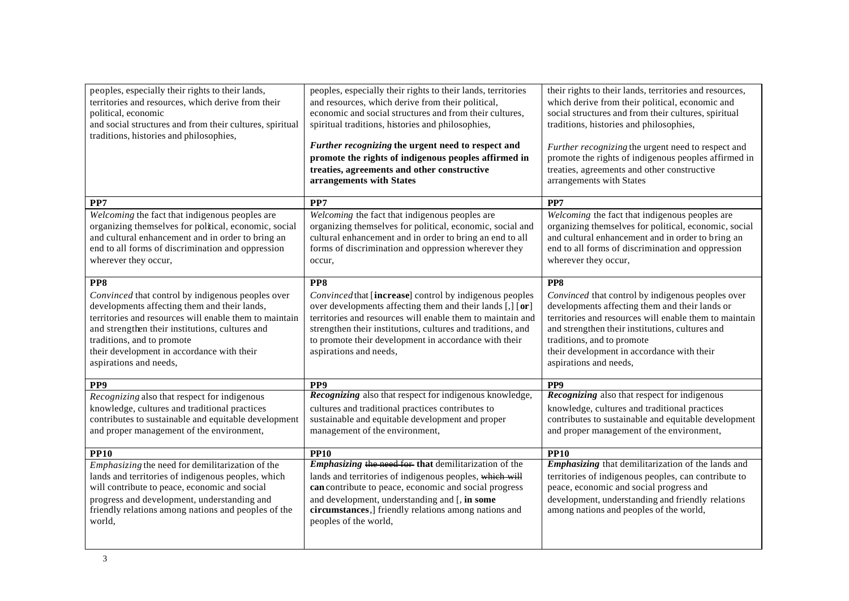| peoples, especially their rights to their lands,<br>territories and resources, which derive from their<br>political, economic<br>and social structures and from their cultures, spiritual<br>traditions, histories and philosophies,                                                                                        | peoples, especially their rights to their lands, territories<br>and resources, which derive from their political,<br>economic and social structures and from their cultures,<br>spiritual traditions, histories and philosophies,<br>Further recognizing the urgent need to respect and<br>promote the rights of indigenous peoples affirmed in<br>treaties, agreements and other constructive<br>arrangements with States | their rights to their lands, territories and resources,<br>which derive from their political, economic and<br>social structures and from their cultures, spiritual<br>traditions, histories and philosophies,<br>Further recognizing the urgent need to respect and<br>promote the rights of indigenous peoples affirmed in<br>treaties, agreements and other constructive<br>arrangements with States |
|-----------------------------------------------------------------------------------------------------------------------------------------------------------------------------------------------------------------------------------------------------------------------------------------------------------------------------|----------------------------------------------------------------------------------------------------------------------------------------------------------------------------------------------------------------------------------------------------------------------------------------------------------------------------------------------------------------------------------------------------------------------------|--------------------------------------------------------------------------------------------------------------------------------------------------------------------------------------------------------------------------------------------------------------------------------------------------------------------------------------------------------------------------------------------------------|
| PP7                                                                                                                                                                                                                                                                                                                         | PP7                                                                                                                                                                                                                                                                                                                                                                                                                        | PP7                                                                                                                                                                                                                                                                                                                                                                                                    |
| Welcoming the fact that indigenous peoples are<br>organizing themselves for political, economic, social<br>and cultural enhancement and in order to bring an<br>end to all forms of discrimination and oppression<br>wherever they occur,                                                                                   | Welcoming the fact that indigenous peoples are<br>organizing themselves for political, economic, social and<br>cultural enhancement and in order to bring an end to all<br>forms of discrimination and oppression wherever they<br>occur,                                                                                                                                                                                  | Welcoming the fact that indigenous peoples are<br>organizing themselves for political, economic, social<br>and cultural enhancement and in order to bring an<br>end to all forms of discrimination and oppression<br>wherever they occur,                                                                                                                                                              |
| PP8<br>Convinced that control by indigenous peoples over<br>developments affecting them and their lands,<br>territories and resources will enable them to maintain<br>and strengthen their institutions, cultures and<br>traditions, and to promote<br>their development in accordance with their<br>aspirations and needs, | PP8<br>Convinced that [increase] control by indigenous peoples<br>over developments affecting them and their lands [,] [or]<br>territories and resources will enable them to maintain and<br>strengthen their institutions, cultures and traditions, and<br>to promote their development in accordance with their<br>aspirations and needs,                                                                                | PP8<br>Convinced that control by indigenous peoples over<br>developments affecting them and their lands or<br>territories and resources will enable them to maintain<br>and strengthen their institutions, cultures and<br>traditions, and to promote<br>their development in accordance with their<br>aspirations and needs,                                                                          |
| PP <sub>9</sub>                                                                                                                                                                                                                                                                                                             | PP <sub>9</sub>                                                                                                                                                                                                                                                                                                                                                                                                            | PP <sub>9</sub>                                                                                                                                                                                                                                                                                                                                                                                        |
| Recognizing also that respect for indigenous<br>knowledge, cultures and traditional practices<br>contributes to sustainable and equitable development<br>and proper management of the environment,                                                                                                                          | Recognizing also that respect for indigenous knowledge,<br>cultures and traditional practices contributes to<br>sustainable and equitable development and proper<br>management of the environment,                                                                                                                                                                                                                         | Recognizing also that respect for indigenous<br>knowledge, cultures and traditional practices<br>contributes to sustainable and equitable development<br>and proper management of the environment,                                                                                                                                                                                                     |
| <b>PP10</b>                                                                                                                                                                                                                                                                                                                 | <b>PP10</b>                                                                                                                                                                                                                                                                                                                                                                                                                | <b>PP10</b>                                                                                                                                                                                                                                                                                                                                                                                            |
| <i>Emphasizing</i> the need for demilitarization of the<br>lands and territories of indigenous peoples, which<br>will contribute to peace, economic and social<br>progress and development, understanding and<br>friendly relations among nations and peoples of the<br>world,                                              | Emphasizing the need for that demilitarization of the<br>lands and territories of indigenous peoples, which will<br>can contribute to peace, economic and social progress<br>and development, understanding and [, in some<br>circumstances,] friendly relations among nations and<br>peoples of the world,                                                                                                                | Emphasizing that demilitarization of the lands and<br>territories of indigenous peoples, can contribute to<br>peace, economic and social progress and<br>development, understanding and friendly relations<br>among nations and peoples of the world,                                                                                                                                                  |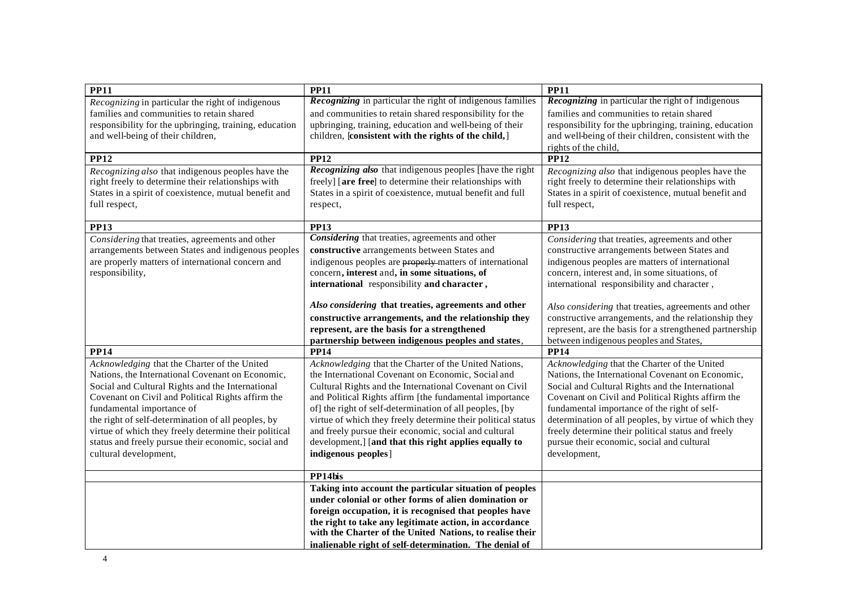| PP11                                                   | <b>PP11</b>                                                       | <b>PP11</b>                                                                                                  |
|--------------------------------------------------------|-------------------------------------------------------------------|--------------------------------------------------------------------------------------------------------------|
| Recognizing in particular the right of indigenous      | <b>Recognizing</b> in particular the right of indigenous families | <b>Recognizing</b> in particular the right of indigenous                                                     |
| families and communities to retain shared              | and communities to retain shared responsibility for the           | families and communities to retain shared                                                                    |
| responsibility for the upbringing, training, education | upbringing, training, education and well-being of their           | responsibility for the upbringing, training, education                                                       |
| and well-being of their children,                      | children, [consistent with the rights of the child,]              | and well-being of their children, consistent with the                                                        |
|                                                        |                                                                   | rights of the child,                                                                                         |
| <b>PP12</b>                                            | <b>PP12</b>                                                       | <b>PP12</b>                                                                                                  |
| Recognizing also that indigenous peoples have the      | Recognizing also that indigenous peoples [have the right          | Recognizing also that indigenous peoples have the                                                            |
| right freely to determine their relationships with     | freely] [are free] to determine their relationships with          | right freely to determine their relationships with                                                           |
| States in a spirit of coexistence, mutual benefit and  | States in a spirit of coexistence, mutual benefit and full        | States in a spirit of coexistence, mutual benefit and                                                        |
| full respect,                                          | respect,                                                          | full respect,                                                                                                |
| <b>PP13</b>                                            | <b>PP13</b>                                                       | <b>PP13</b>                                                                                                  |
| Considering that treaties, agreements and other        | Considering that treaties, agreements and other                   | Considering that treaties, agreements and other                                                              |
| arrangements between States and indigenous peoples     | constructive arrangements between States and                      | constructive arrangements between States and                                                                 |
| are properly matters of international concern and      | indigenous peoples are <b>properly</b> matters of international   | indigenous peoples are matters of international                                                              |
| responsibility,                                        | concern, interest and, in some situations, of                     | concern, interest and, in some situations, of                                                                |
|                                                        | international responsibility and character,                       | international responsibility and character,                                                                  |
|                                                        | Also considering that treaties, agreements and other              |                                                                                                              |
|                                                        | constructive arrangements, and the relationship they              | Also considering that treaties, agreements and other<br>constructive arrangements, and the relationship they |
|                                                        | represent, are the basis for a strengthened                       | represent, are the basis for a strengthened partnership                                                      |
|                                                        | partnership between indigenous peoples and states,                | between indigenous peoples and States,                                                                       |
| <b>PP14</b>                                            | <b>PP14</b>                                                       | <b>PP14</b>                                                                                                  |
| Acknowledging that the Charter of the United           | Acknowledging that the Charter of the United Nations,             | Acknowledging that the Charter of the United                                                                 |
| Nations, the International Covenant on Economic,       | the International Covenant on Economic, Social and                | Nations, the International Covenant on Economic,                                                             |
| Social and Cultural Rights and the International       | Cultural Rights and the International Covenant on Civil           | Social and Cultural Rights and the International                                                             |
| Covenant on Civil and Political Rights affirm the      | and Political Rights affirm [the fundamental importance           | Covenant on Civil and Political Rights affirm the                                                            |
| fundamental importance of                              | of] the right of self-determination of all peoples, [by           | fundamental importance of the right of self-                                                                 |
| the right of self-determination of all peoples, by     | virtue of which they freely determine their political status      | determination of all peoples, by virtue of which they                                                        |
| virtue of which they freely determine their political  | and freely pursue their economic, social and cultural             | freely determine their political status and freely                                                           |
| status and freely pursue their economic, social and    | development,] [and that this right applies equally to             | pursue their economic, social and cultural                                                                   |
| cultural development,                                  | indigenous peoples]                                               | development,                                                                                                 |
|                                                        | PP14bis                                                           |                                                                                                              |
|                                                        | Taking into account the particular situation of peoples           |                                                                                                              |
|                                                        | under colonial or other forms of alien domination or              |                                                                                                              |
|                                                        | foreign occupation, it is recognised that peoples have            |                                                                                                              |
|                                                        | the right to take any legitimate action, in accordance            |                                                                                                              |
|                                                        | with the Charter of the United Nations, to realise their          |                                                                                                              |
|                                                        | inalienable right of self-determination. The denial of            |                                                                                                              |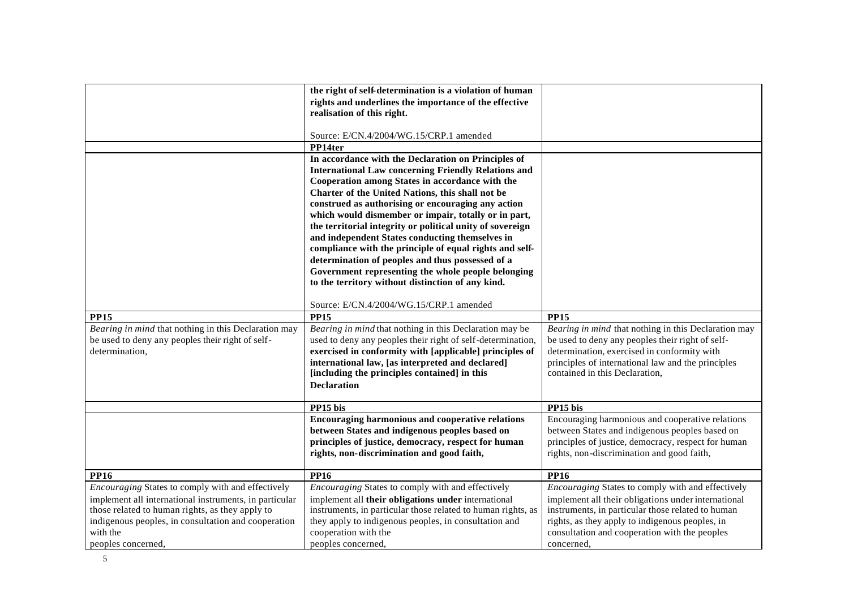|                                                        | the right of self-determination is a violation of human                       |                                                                                                  |
|--------------------------------------------------------|-------------------------------------------------------------------------------|--------------------------------------------------------------------------------------------------|
|                                                        | rights and underlines the importance of the effective                         |                                                                                                  |
|                                                        | realisation of this right.                                                    |                                                                                                  |
|                                                        |                                                                               |                                                                                                  |
|                                                        | Source: E/CN.4/2004/WG.15/CRP.1 amended                                       |                                                                                                  |
|                                                        | PP14ter                                                                       |                                                                                                  |
|                                                        | In accordance with the Declaration on Principles of                           |                                                                                                  |
|                                                        | <b>International Law concerning Friendly Relations and</b>                    |                                                                                                  |
|                                                        | Cooperation among States in accordance with the                               |                                                                                                  |
|                                                        | Charter of the United Nations, this shall not be                              |                                                                                                  |
|                                                        | construed as authorising or encouraging any action                            |                                                                                                  |
|                                                        | which would dismember or impair, totally or in part,                          |                                                                                                  |
|                                                        | the territorial integrity or political unity of sovereign                     |                                                                                                  |
|                                                        | and independent States conducting themselves in                               |                                                                                                  |
|                                                        | compliance with the principle of equal rights and self-                       |                                                                                                  |
|                                                        | determination of peoples and thus possessed of a                              |                                                                                                  |
|                                                        | Government representing the whole people belonging                            |                                                                                                  |
|                                                        | to the territory without distinction of any kind.                             |                                                                                                  |
|                                                        |                                                                               |                                                                                                  |
|                                                        |                                                                               |                                                                                                  |
|                                                        | Source: E/CN.4/2004/WG.15/CRP.1 amended                                       |                                                                                                  |
| PP15                                                   | <b>PP15</b>                                                                   | <b>PP15</b>                                                                                      |
| Bearing in mind that nothing in this Declaration may   | Bearing in mind that nothing in this Declaration may be                       | Bearing in mind that nothing in this Declaration may                                             |
| be used to deny any peoples their right of self-       | used to deny any peoples their right of self-determination,                   | be used to deny any peoples their right of self-                                                 |
| determination,                                         | exercised in conformity with [applicable] principles of                       | determination, exercised in conformity with                                                      |
|                                                        | international law, [as interpreted and declared]                              | principles of international law and the principles                                               |
|                                                        | [including the principles contained] in this                                  | contained in this Declaration,                                                                   |
|                                                        | <b>Declaration</b>                                                            |                                                                                                  |
|                                                        |                                                                               |                                                                                                  |
|                                                        | PP15 bis                                                                      | PP15 bis                                                                                         |
|                                                        | Encouraging harmonious and cooperative relations                              | Encouraging harmonious and cooperative relations                                                 |
|                                                        | between States and indigenous peoples based on                                | between States and indigenous peoples based on                                                   |
|                                                        | principles of justice, democracy, respect for human                           | principles of justice, democracy, respect for human                                              |
|                                                        | rights, non-discrimination and good faith,                                    | rights, non-discrimination and good faith,                                                       |
|                                                        |                                                                               |                                                                                                  |
| <b>PP16</b>                                            | <b>PP16</b>                                                                   | <b>PP16</b>                                                                                      |
| Encouraging States to comply with and effectively      | Encouraging States to comply with and effectively                             | Encouraging States to comply with and effectively                                                |
| implement all international instruments, in particular | implement all their obligations under international                           | implement all their obligations under international                                              |
| those related to human rights, as they apply to        |                                                                               | instruments, in particular those related to human                                                |
| indigenous peoples, in consultation and cooperation    |                                                                               |                                                                                                  |
|                                                        | instruments, in particular those related to human rights, as                  |                                                                                                  |
| with the                                               | they apply to indigenous peoples, in consultation and<br>cooperation with the | rights, as they apply to indigenous peoples, in<br>consultation and cooperation with the peoples |
|                                                        |                                                                               |                                                                                                  |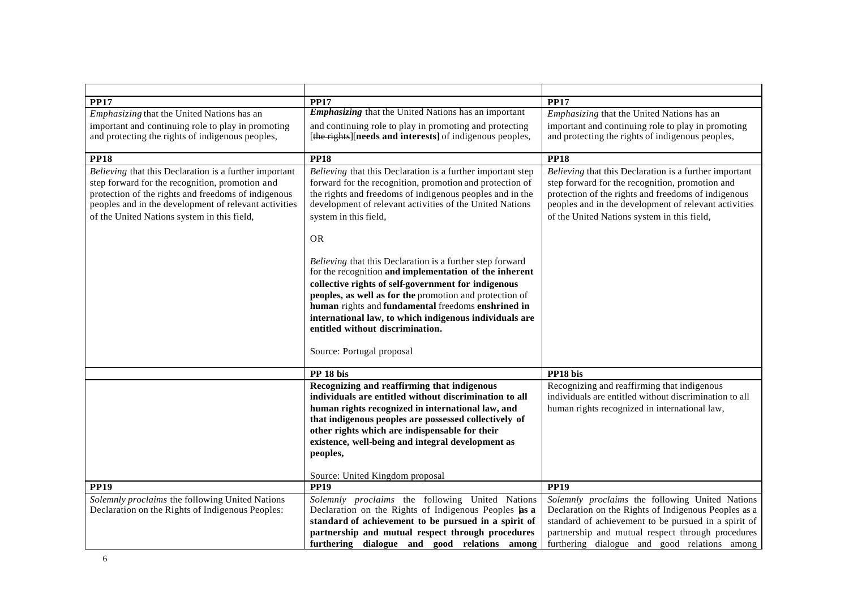| <b>PP17</b>                                                                                                                                                                                                                                                              | <b>PP17</b>                                                                                                                                                                                                                                                                                                                                                                                                                                                                                                                                                                                                                                                                        | <b>PP17</b>                                                                                                                                                                                                                                                              |
|--------------------------------------------------------------------------------------------------------------------------------------------------------------------------------------------------------------------------------------------------------------------------|------------------------------------------------------------------------------------------------------------------------------------------------------------------------------------------------------------------------------------------------------------------------------------------------------------------------------------------------------------------------------------------------------------------------------------------------------------------------------------------------------------------------------------------------------------------------------------------------------------------------------------------------------------------------------------|--------------------------------------------------------------------------------------------------------------------------------------------------------------------------------------------------------------------------------------------------------------------------|
| <i>Emphasizing</i> that the United Nations has an                                                                                                                                                                                                                        | <b>Emphasizing</b> that the United Nations has an important                                                                                                                                                                                                                                                                                                                                                                                                                                                                                                                                                                                                                        | <i>Emphasizing</i> that the United Nations has an                                                                                                                                                                                                                        |
| important and continuing role to play in promoting                                                                                                                                                                                                                       | and continuing role to play in promoting and protecting                                                                                                                                                                                                                                                                                                                                                                                                                                                                                                                                                                                                                            | important and continuing role to play in promoting                                                                                                                                                                                                                       |
| and protecting the rights of indigenous peoples,                                                                                                                                                                                                                         | [the rights] [needs and interests] of indigenous peoples,                                                                                                                                                                                                                                                                                                                                                                                                                                                                                                                                                                                                                          | and protecting the rights of indigenous peoples,                                                                                                                                                                                                                         |
|                                                                                                                                                                                                                                                                          |                                                                                                                                                                                                                                                                                                                                                                                                                                                                                                                                                                                                                                                                                    |                                                                                                                                                                                                                                                                          |
| <b>PP18</b>                                                                                                                                                                                                                                                              | <b>PP18</b>                                                                                                                                                                                                                                                                                                                                                                                                                                                                                                                                                                                                                                                                        | <b>PP18</b>                                                                                                                                                                                                                                                              |
| Believing that this Declaration is a further important<br>step forward for the recognition, promotion and<br>protection of the rights and freedoms of indigenous<br>peoples and in the development of relevant activities<br>of the United Nations system in this field, | Believing that this Declaration is a further important step<br>forward for the recognition, promotion and protection of<br>the rights and freedoms of indigenous peoples and in the<br>development of relevant activities of the United Nations<br>system in this field,<br><b>OR</b><br>Believing that this Declaration is a further step forward<br>for the recognition and implementation of the inherent<br>collective rights of self-government for indigenous<br>peoples, as well as for the promotion and protection of<br>human rights and fundamental freedoms enshrined in<br>international law, to which indigenous individuals are<br>entitled without discrimination. | Believing that this Declaration is a further important<br>step forward for the recognition, promotion and<br>protection of the rights and freedoms of indigenous<br>peoples and in the development of relevant activities<br>of the United Nations system in this field, |
|                                                                                                                                                                                                                                                                          | Source: Portugal proposal                                                                                                                                                                                                                                                                                                                                                                                                                                                                                                                                                                                                                                                          |                                                                                                                                                                                                                                                                          |
|                                                                                                                                                                                                                                                                          | PP 18 bis                                                                                                                                                                                                                                                                                                                                                                                                                                                                                                                                                                                                                                                                          | PP18 bis                                                                                                                                                                                                                                                                 |
|                                                                                                                                                                                                                                                                          | Recognizing and reaffirming that indigenous<br>individuals are entitled without discrimination to all<br>human rights recognized in international law, and<br>that indigenous peoples are possessed collectively of<br>other rights which are indispensable for their<br>existence, well-being and integral development as<br>peoples,                                                                                                                                                                                                                                                                                                                                             | Recognizing and reaffirming that indigenous<br>individuals are entitled without discrimination to all<br>human rights recognized in international law,                                                                                                                   |
|                                                                                                                                                                                                                                                                          | Source: United Kingdom proposal                                                                                                                                                                                                                                                                                                                                                                                                                                                                                                                                                                                                                                                    |                                                                                                                                                                                                                                                                          |
| <b>PP19</b>                                                                                                                                                                                                                                                              | $\overline{PP19}$                                                                                                                                                                                                                                                                                                                                                                                                                                                                                                                                                                                                                                                                  | <b>PP19</b>                                                                                                                                                                                                                                                              |
| Solemnly proclaims the following United Nations<br>Declaration on the Rights of Indigenous Peoples:                                                                                                                                                                      | Solemnly proclaims the following United Nations<br>Declaration on the Rights of Indigenous Peoples [as a<br>standard of achievement to be pursued in a spirit of                                                                                                                                                                                                                                                                                                                                                                                                                                                                                                                   | Solemnly proclaims the following United Nations<br>Declaration on the Rights of Indigenous Peoples as a<br>standard of achievement to be pursued in a spirit of                                                                                                          |
|                                                                                                                                                                                                                                                                          | partnership and mutual respect through procedures                                                                                                                                                                                                                                                                                                                                                                                                                                                                                                                                                                                                                                  | partnership and mutual respect through procedures                                                                                                                                                                                                                        |
|                                                                                                                                                                                                                                                                          | furthering dialogue and good relations among                                                                                                                                                                                                                                                                                                                                                                                                                                                                                                                                                                                                                                       | furthering dialogue and good relations among                                                                                                                                                                                                                             |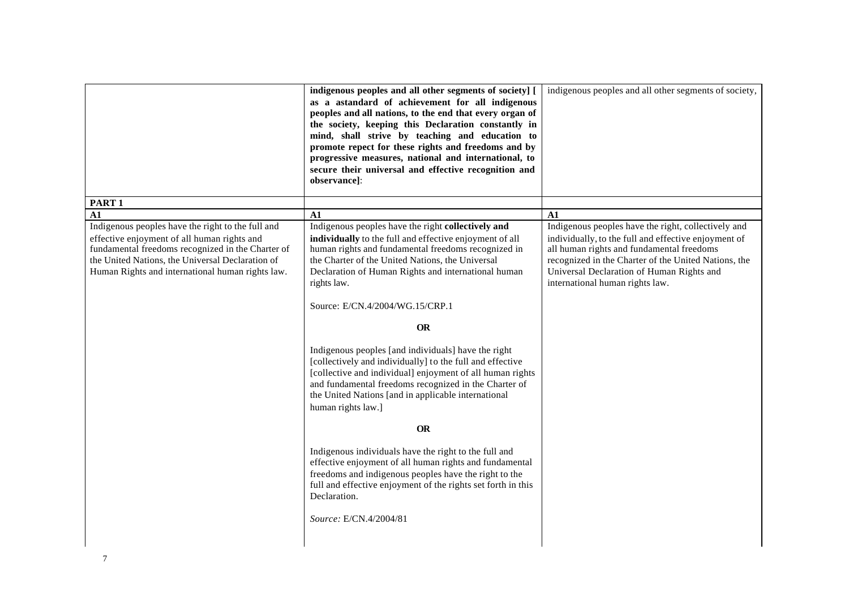|                                                                                                                                                                                                                                                               | indigenous peoples and all other segments of society] [<br>as a astandard of achievement for all indigenous<br>peoples and all nations, to the end that every organ of<br>the society, keeping this Declaration constantly in<br>mind, shall strive by teaching and education to<br>promote repect for these rights and freedoms and by<br>progressive measures, national and international, to | indigenous peoples and all other segments of society,                                                                                                                                                                                                                                            |
|---------------------------------------------------------------------------------------------------------------------------------------------------------------------------------------------------------------------------------------------------------------|-------------------------------------------------------------------------------------------------------------------------------------------------------------------------------------------------------------------------------------------------------------------------------------------------------------------------------------------------------------------------------------------------|--------------------------------------------------------------------------------------------------------------------------------------------------------------------------------------------------------------------------------------------------------------------------------------------------|
|                                                                                                                                                                                                                                                               | secure their universal and effective recognition and<br>observance]:                                                                                                                                                                                                                                                                                                                            |                                                                                                                                                                                                                                                                                                  |
| PART <sub>1</sub>                                                                                                                                                                                                                                             |                                                                                                                                                                                                                                                                                                                                                                                                 |                                                                                                                                                                                                                                                                                                  |
| A1                                                                                                                                                                                                                                                            | A1                                                                                                                                                                                                                                                                                                                                                                                              | A1                                                                                                                                                                                                                                                                                               |
| Indigenous peoples have the right to the full and<br>effective enjoyment of all human rights and<br>fundamental freedoms recognized in the Charter of<br>the United Nations, the Universal Declaration of<br>Human Rights and international human rights law. | Indigenous peoples have the right collectively and<br>individually to the full and effective enjoyment of all<br>human rights and fundamental freedoms recognized in<br>the Charter of the United Nations, the Universal<br>Declaration of Human Rights and international human<br>rights law.                                                                                                  | Indigenous peoples have the right, collectively and<br>individually, to the full and effective enjoyment of<br>all human rights and fundamental freedoms<br>recognized in the Charter of the United Nations, the<br>Universal Declaration of Human Rights and<br>international human rights law. |
|                                                                                                                                                                                                                                                               | Source: E/CN.4/2004/WG.15/CRP.1                                                                                                                                                                                                                                                                                                                                                                 |                                                                                                                                                                                                                                                                                                  |
|                                                                                                                                                                                                                                                               | <b>OR</b>                                                                                                                                                                                                                                                                                                                                                                                       |                                                                                                                                                                                                                                                                                                  |
|                                                                                                                                                                                                                                                               | Indigenous peoples [and individuals] have the right<br>[collectively and individually] to the full and effective<br>[collective and individual] enjoyment of all human rights<br>and fundamental freedoms recognized in the Charter of<br>the United Nations [and in applicable international<br>human rights law.]                                                                             |                                                                                                                                                                                                                                                                                                  |
|                                                                                                                                                                                                                                                               | <b>OR</b>                                                                                                                                                                                                                                                                                                                                                                                       |                                                                                                                                                                                                                                                                                                  |
|                                                                                                                                                                                                                                                               | Indigenous individuals have the right to the full and<br>effective enjoyment of all human rights and fundamental<br>freedoms and indigenous peoples have the right to the<br>full and effective enjoyment of the rights set forth in this<br>Declaration.<br>Source: E/CN.4/2004/81                                                                                                             |                                                                                                                                                                                                                                                                                                  |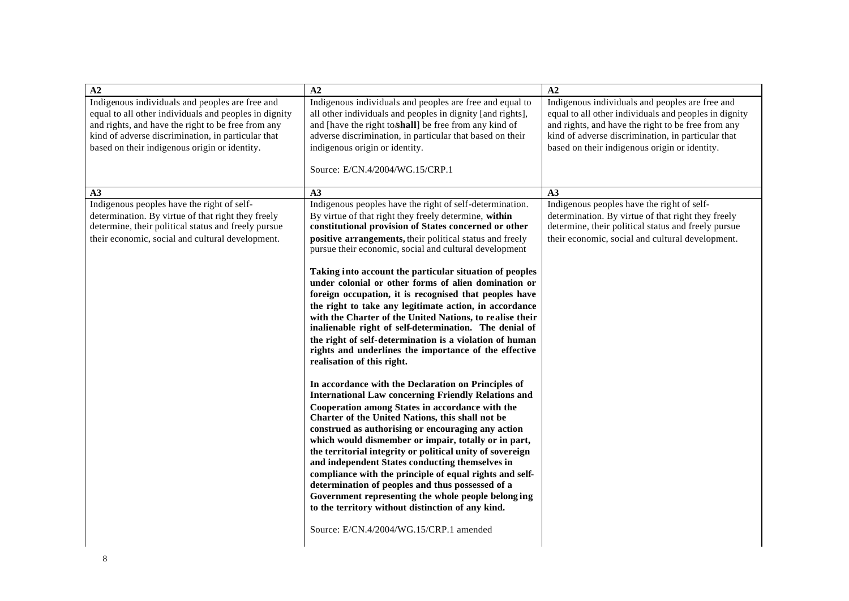| A2                                                                                                                                                                                                                                                                    | A2                                                                                                                                                                                                                                                                                                                                                                                                                                                                                                                                                                                                                                                                               | A2                                                                                                                                                                                                                                                                    |
|-----------------------------------------------------------------------------------------------------------------------------------------------------------------------------------------------------------------------------------------------------------------------|----------------------------------------------------------------------------------------------------------------------------------------------------------------------------------------------------------------------------------------------------------------------------------------------------------------------------------------------------------------------------------------------------------------------------------------------------------------------------------------------------------------------------------------------------------------------------------------------------------------------------------------------------------------------------------|-----------------------------------------------------------------------------------------------------------------------------------------------------------------------------------------------------------------------------------------------------------------------|
| Indigenous individuals and peoples are free and<br>equal to all other individuals and peoples in dignity<br>and rights, and have the right to be free from any<br>kind of adverse discrimination, in particular that<br>based on their indigenous origin or identity. | Indigenous individuals and peoples are free and equal to<br>all other individuals and peoples in dignity [and rights],<br>and [have the right to shall] be free from any kind of<br>adverse discrimination, in particular that based on their<br>indigenous origin or identity.                                                                                                                                                                                                                                                                                                                                                                                                  | Indigenous individuals and peoples are free and<br>equal to all other individuals and peoples in dignity<br>and rights, and have the right to be free from any<br>kind of adverse discrimination, in particular that<br>based on their indigenous origin or identity. |
|                                                                                                                                                                                                                                                                       | Source: E/CN.4/2004/WG.15/CRP.1                                                                                                                                                                                                                                                                                                                                                                                                                                                                                                                                                                                                                                                  |                                                                                                                                                                                                                                                                       |
| A3                                                                                                                                                                                                                                                                    | A3                                                                                                                                                                                                                                                                                                                                                                                                                                                                                                                                                                                                                                                                               | A3                                                                                                                                                                                                                                                                    |
| Indigenous peoples have the right of self-<br>determination. By virtue of that right they freely<br>determine, their political status and freely pursue<br>their economic, social and cultural development.                                                           | Indigenous peoples have the right of self-determination.<br>By virtue of that right they freely determine, within<br>constitutional provision of States concerned or other<br>positive arrangements, their political status and freely<br>pursue their economic, social and cultural development                                                                                                                                                                                                                                                                                                                                                                                 | Indigenous peoples have the right of self-<br>determination. By virtue of that right they freely<br>determine, their political status and freely pursue<br>their economic, social and cultural development.                                                           |
|                                                                                                                                                                                                                                                                       | Taking into account the particular situation of peoples<br>under colonial or other forms of alien domination or<br>foreign occupation, it is recognised that peoples have<br>the right to take any legitimate action, in accordance<br>with the Charter of the United Nations, to realise their<br>inalienable right of self-determination. The denial of<br>the right of self-determination is a violation of human<br>rights and underlines the importance of the effective<br>realisation of this right.                                                                                                                                                                      |                                                                                                                                                                                                                                                                       |
|                                                                                                                                                                                                                                                                       | In accordance with the Declaration on Principles of<br><b>International Law concerning Friendly Relations and</b><br>Cooperation among States in accordance with the<br>Charter of the United Nations, this shall not be<br>construed as authorising or encouraging any action<br>which would dismember or impair, totally or in part,<br>the territorial integrity or political unity of sovereign<br>and independent States conducting themselves in<br>compliance with the principle of equal rights and self-<br>determination of peoples and thus possessed of a<br>Government representing the whole people belonging<br>to the territory without distinction of any kind. |                                                                                                                                                                                                                                                                       |
|                                                                                                                                                                                                                                                                       | Source: E/CN.4/2004/WG.15/CRP.1 amended                                                                                                                                                                                                                                                                                                                                                                                                                                                                                                                                                                                                                                          |                                                                                                                                                                                                                                                                       |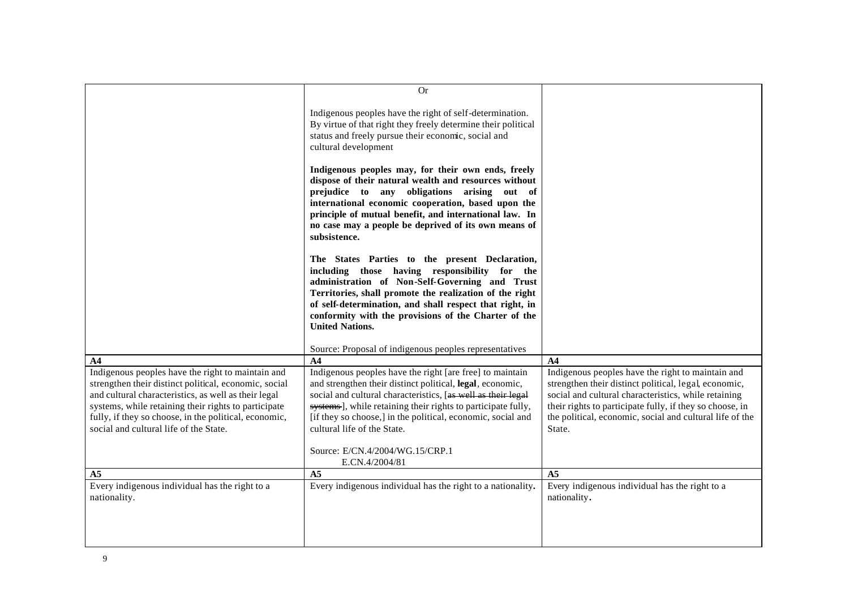|                                                                                                                                                                                                                                                                                                                               | <b>Or</b>                                                                                                                                                                                                                                                                                                                                                                                                                                                                                                                                                                                                                                                                                                                                                                                                                                                                                                                   |                                                                                                                                                                                                                                                                                                      |
|-------------------------------------------------------------------------------------------------------------------------------------------------------------------------------------------------------------------------------------------------------------------------------------------------------------------------------|-----------------------------------------------------------------------------------------------------------------------------------------------------------------------------------------------------------------------------------------------------------------------------------------------------------------------------------------------------------------------------------------------------------------------------------------------------------------------------------------------------------------------------------------------------------------------------------------------------------------------------------------------------------------------------------------------------------------------------------------------------------------------------------------------------------------------------------------------------------------------------------------------------------------------------|------------------------------------------------------------------------------------------------------------------------------------------------------------------------------------------------------------------------------------------------------------------------------------------------------|
|                                                                                                                                                                                                                                                                                                                               | Indigenous peoples have the right of self-determination.<br>By virtue of that right they freely determine their political<br>status and freely pursue their economic, social and<br>cultural development<br>Indigenous peoples may, for their own ends, freely<br>dispose of their natural wealth and resources without<br>prejudice to any obligations arising out of<br>international economic cooperation, based upon the<br>principle of mutual benefit, and international law. In<br>no case may a people be deprived of its own means of<br>subsistence.<br>The States Parties to the present Declaration,<br>including those having responsibility for the<br>administration of Non-Self-Governing and Trust<br>Territories, shall promote the realization of the right<br>of self-determination, and shall respect that right, in<br>conformity with the provisions of the Charter of the<br><b>United Nations.</b> |                                                                                                                                                                                                                                                                                                      |
|                                                                                                                                                                                                                                                                                                                               | Source: Proposal of indigenous peoples representatives                                                                                                                                                                                                                                                                                                                                                                                                                                                                                                                                                                                                                                                                                                                                                                                                                                                                      |                                                                                                                                                                                                                                                                                                      |
| A4                                                                                                                                                                                                                                                                                                                            | $\mathbf{A}$                                                                                                                                                                                                                                                                                                                                                                                                                                                                                                                                                                                                                                                                                                                                                                                                                                                                                                                | $\mathbf{A4}$                                                                                                                                                                                                                                                                                        |
| Indigenous peoples have the right to maintain and<br>strengthen their distinct political, economic, social<br>and cultural characteristics, as well as their legal<br>systems, while retaining their rights to participate<br>fully, if they so choose, in the political, economic,<br>social and cultural life of the State. | Indigenous peoples have the right [are free] to maintain<br>and strengthen their distinct political, legal, economic,<br>social and cultural characteristics, [as well as their legal<br>systems], while retaining their rights to participate fully,<br>[if they so choose,] in the political, economic, social and<br>cultural life of the State.<br>Source: E/CN.4/2004/WG.15/CRP.1                                                                                                                                                                                                                                                                                                                                                                                                                                                                                                                                      | Indigenous peoples have the right to maintain and<br>strengthen their distinct political, legal, economic,<br>social and cultural characteristics, while retaining<br>their rights to participate fully, if they so choose, in<br>the political, economic, social and cultural life of the<br>State. |
|                                                                                                                                                                                                                                                                                                                               | E.CN.4/2004/81                                                                                                                                                                                                                                                                                                                                                                                                                                                                                                                                                                                                                                                                                                                                                                                                                                                                                                              |                                                                                                                                                                                                                                                                                                      |
| A <sub>5</sub>                                                                                                                                                                                                                                                                                                                | A <sub>5</sub>                                                                                                                                                                                                                                                                                                                                                                                                                                                                                                                                                                                                                                                                                                                                                                                                                                                                                                              | A <sub>5</sub>                                                                                                                                                                                                                                                                                       |
| Every indigenous individual has the right to a<br>nationality.                                                                                                                                                                                                                                                                | Every indigenous individual has the right to a nationality.                                                                                                                                                                                                                                                                                                                                                                                                                                                                                                                                                                                                                                                                                                                                                                                                                                                                 | Every indigenous individual has the right to a<br>nationality.                                                                                                                                                                                                                                       |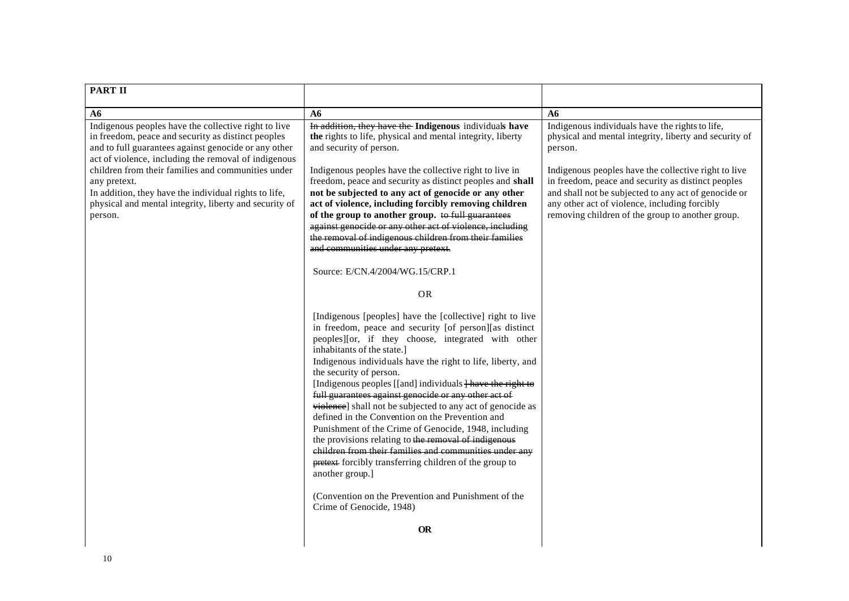| <b>PART II</b>                                                                                                                                                                                                                                                                                                                                                                                                                                             |                                                                                                                                                                                                                                                                                                                                                                                                                                                                                                                                                                                                                                                                                                                                                                                                                                                                                                                                                                                                                                                                                                                                                                                                                                                                                                                                                                                                                                                                                                                                                     |                                                                                                                                                                                                                                                                                                                                                                                                       |
|------------------------------------------------------------------------------------------------------------------------------------------------------------------------------------------------------------------------------------------------------------------------------------------------------------------------------------------------------------------------------------------------------------------------------------------------------------|-----------------------------------------------------------------------------------------------------------------------------------------------------------------------------------------------------------------------------------------------------------------------------------------------------------------------------------------------------------------------------------------------------------------------------------------------------------------------------------------------------------------------------------------------------------------------------------------------------------------------------------------------------------------------------------------------------------------------------------------------------------------------------------------------------------------------------------------------------------------------------------------------------------------------------------------------------------------------------------------------------------------------------------------------------------------------------------------------------------------------------------------------------------------------------------------------------------------------------------------------------------------------------------------------------------------------------------------------------------------------------------------------------------------------------------------------------------------------------------------------------------------------------------------------------|-------------------------------------------------------------------------------------------------------------------------------------------------------------------------------------------------------------------------------------------------------------------------------------------------------------------------------------------------------------------------------------------------------|
|                                                                                                                                                                                                                                                                                                                                                                                                                                                            |                                                                                                                                                                                                                                                                                                                                                                                                                                                                                                                                                                                                                                                                                                                                                                                                                                                                                                                                                                                                                                                                                                                                                                                                                                                                                                                                                                                                                                                                                                                                                     |                                                                                                                                                                                                                                                                                                                                                                                                       |
| $\overline{\mathbf{A6}}$<br>Indigenous peoples have the collective right to live<br>in freedom, peace and security as distinct peoples<br>and to full guarantees against genocide or any other<br>act of violence, including the removal of indigenous<br>children from their families and communities under<br>any pretext.<br>In addition, they have the individual rights to life,<br>physical and mental integrity, liberty and security of<br>person. | A6<br>In addition, they have the Indigenous individuals have<br>the rights to life, physical and mental integrity, liberty<br>and security of person.<br>Indigenous peoples have the collective right to live in<br>freedom, peace and security as distinct peoples and shall<br>not be subjected to any act of genocide or any other<br>act of violence, including forcibly removing children<br>of the group to another group. to full guarantees<br>against genocide or any other act of violence, including<br>the removal of indigenous children from their families<br>and communities under any pretext.<br>Source: E/CN.4/2004/WG.15/CRP.1<br><b>OR</b><br>[Indigenous [peoples] have the [collective] right to live<br>in freedom, peace and security [of person][as distinct<br>peoples][or, if they choose, integrated with other<br>inhabitants of the state.]<br>Indigenous individuals have the right to life, liberty, and<br>the security of person.<br>[Indigenous peoples [[and] individuals Have the right to<br>full guarantees against genocide or any other act of<br>violence] shall not be subjected to any act of genocide as<br>defined in the Convention on the Prevention and<br>Punishment of the Crime of Genocide, 1948, including<br>the provisions relating to the removal of indigenous<br>children from their families and communities under any<br>pretext forcibly transferring children of the group to<br>another group.]<br>(Convention on the Prevention and Punishment of the<br>Crime of Genocide, 1948) | A6<br>Indigenous individuals have the rights to life,<br>physical and mental integrity, liberty and security of<br>person.<br>Indigenous peoples have the collective right to live<br>in freedom, peace and security as distinct peoples<br>and shall not be subjected to any act of genocide or<br>any other act of violence, including forcibly<br>removing children of the group to another group. |
|                                                                                                                                                                                                                                                                                                                                                                                                                                                            | <b>OR</b>                                                                                                                                                                                                                                                                                                                                                                                                                                                                                                                                                                                                                                                                                                                                                                                                                                                                                                                                                                                                                                                                                                                                                                                                                                                                                                                                                                                                                                                                                                                                           |                                                                                                                                                                                                                                                                                                                                                                                                       |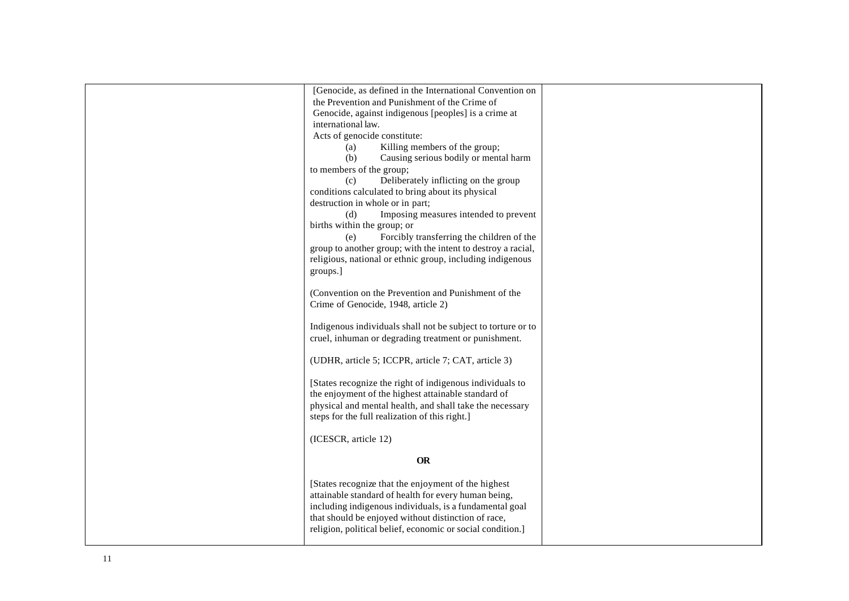| [Genocide, as defined in the International Convention on     |  |
|--------------------------------------------------------------|--|
| the Prevention and Punishment of the Crime of                |  |
| Genocide, against indigenous [peoples] is a crime at         |  |
| international law.                                           |  |
| Acts of genocide constitute:                                 |  |
| Killing members of the group;<br>(a)                         |  |
| (b)<br>Causing serious bodily or mental harm                 |  |
| to members of the group;                                     |  |
| Deliberately inflicting on the group<br>(c)                  |  |
| conditions calculated to bring about its physical            |  |
| destruction in whole or in part;                             |  |
| Imposing measures intended to prevent<br>(d)                 |  |
| births within the group; or                                  |  |
| Forcibly transferring the children of the<br>(e)             |  |
| group to another group; with the intent to destroy a racial, |  |
| religious, national or ethnic group, including indigenous    |  |
| groups.]                                                     |  |
| (Convention on the Prevention and Punishment of the          |  |
| Crime of Genocide, 1948, article 2)                          |  |
|                                                              |  |
| Indigenous individuals shall not be subject to torture or to |  |
| cruel, inhuman or degrading treatment or punishment.         |  |
|                                                              |  |
| (UDHR, article 5; ICCPR, article 7; CAT, article 3)          |  |
| [States recognize the right of indigenous individuals to     |  |
| the enjoyment of the highest attainable standard of          |  |
| physical and mental health, and shall take the necessary     |  |
| steps for the full realization of this right.]               |  |
|                                                              |  |
| (ICESCR, article 12)                                         |  |
| <b>OR</b>                                                    |  |
|                                                              |  |
| [States recognize that the enjoyment of the highest          |  |
| attainable standard of health for every human being,         |  |
| including indigenous individuals, is a fundamental goal      |  |
| that should be enjoyed without distinction of race,          |  |
| religion, political belief, economic or social condition.]   |  |
|                                                              |  |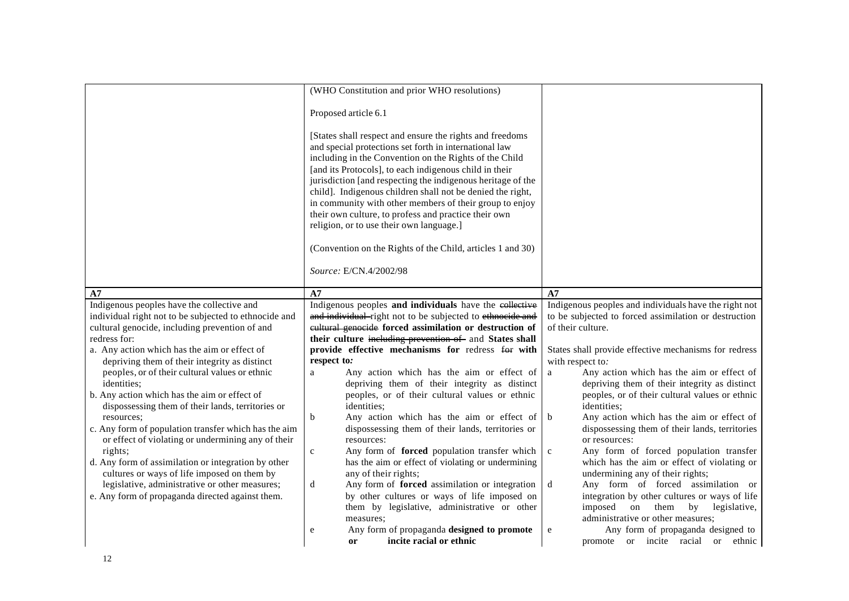|                                                                                                                                                                                                                                                                                                                                                                                                                                                                                                                                                                                                                                                                                                                                                                                                 | Proposed article 6.1<br>[States shall respect and ensure the rights and freedoms                                                                                                                                                                                                                                                                                                                                                                                                                                                                                                                                                                                                                                                                                                                                                                                                                                                                                                    |                                                                                                                                                                                                                                                                                                                                                                                                                                                                                                                                                                                                                                                                                                                                                                                                                                                                                                       |
|-------------------------------------------------------------------------------------------------------------------------------------------------------------------------------------------------------------------------------------------------------------------------------------------------------------------------------------------------------------------------------------------------------------------------------------------------------------------------------------------------------------------------------------------------------------------------------------------------------------------------------------------------------------------------------------------------------------------------------------------------------------------------------------------------|-------------------------------------------------------------------------------------------------------------------------------------------------------------------------------------------------------------------------------------------------------------------------------------------------------------------------------------------------------------------------------------------------------------------------------------------------------------------------------------------------------------------------------------------------------------------------------------------------------------------------------------------------------------------------------------------------------------------------------------------------------------------------------------------------------------------------------------------------------------------------------------------------------------------------------------------------------------------------------------|-------------------------------------------------------------------------------------------------------------------------------------------------------------------------------------------------------------------------------------------------------------------------------------------------------------------------------------------------------------------------------------------------------------------------------------------------------------------------------------------------------------------------------------------------------------------------------------------------------------------------------------------------------------------------------------------------------------------------------------------------------------------------------------------------------------------------------------------------------------------------------------------------------|
|                                                                                                                                                                                                                                                                                                                                                                                                                                                                                                                                                                                                                                                                                                                                                                                                 |                                                                                                                                                                                                                                                                                                                                                                                                                                                                                                                                                                                                                                                                                                                                                                                                                                                                                                                                                                                     |                                                                                                                                                                                                                                                                                                                                                                                                                                                                                                                                                                                                                                                                                                                                                                                                                                                                                                       |
|                                                                                                                                                                                                                                                                                                                                                                                                                                                                                                                                                                                                                                                                                                                                                                                                 | and special protections set forth in international law<br>including in the Convention on the Rights of the Child<br>[and its Protocols], to each indigenous child in their<br>jurisdiction [and respecting the indigenous heritage of the<br>child]. Indigenous children shall not be denied the right,<br>in community with other members of their group to enjoy<br>their own culture, to profess and practice their own<br>religion, or to use their own language.]<br>(Convention on the Rights of the Child, articles 1 and 30)<br>Source: E/CN.4/2002/98                                                                                                                                                                                                                                                                                                                                                                                                                      |                                                                                                                                                                                                                                                                                                                                                                                                                                                                                                                                                                                                                                                                                                                                                                                                                                                                                                       |
| A7                                                                                                                                                                                                                                                                                                                                                                                                                                                                                                                                                                                                                                                                                                                                                                                              | A7                                                                                                                                                                                                                                                                                                                                                                                                                                                                                                                                                                                                                                                                                                                                                                                                                                                                                                                                                                                  | A7                                                                                                                                                                                                                                                                                                                                                                                                                                                                                                                                                                                                                                                                                                                                                                                                                                                                                                    |
| Indigenous peoples have the collective and<br>individual right not to be subjected to ethnocide and<br>cultural genocide, including prevention of and<br>redress for:<br>a. Any action which has the aim or effect of<br>depriving them of their integrity as distinct<br>peoples, or of their cultural values or ethnic<br>identities;<br>b. Any action which has the aim or effect of<br>dispossessing them of their lands, territories or<br>resources;<br>c. Any form of population transfer which has the aim<br>or effect of violating or undermining any of their<br>rights;<br>d. Any form of assimilation or integration by other<br>cultures or ways of life imposed on them by<br>legislative, administrative or other measures;<br>e. Any form of propaganda directed against them. | Indigenous peoples and individuals have the eollective<br>and individual-right not to be subjected to ethnocide and<br>eultural genocide forced assimilation or destruction of<br>their culture including prevention of and States shall<br>provide effective mechanisms for redress for with<br>respect to:<br>Any action which has the aim or effect of<br>a<br>depriving them of their integrity as distinct<br>peoples, or of their cultural values or ethnic<br>identities;<br>$\mathbf b$<br>Any action which has the aim or effect of<br>dispossessing them of their lands, territories or<br>resources:<br>Any form of forced population transfer which<br>$\mathbf{c}$<br>has the aim or effect of violating or undermining<br>any of their rights;<br>Any form of forced assimilation or integration<br>d<br>by other cultures or ways of life imposed on<br>them by legislative, administrative or other<br>measures;<br>Any form of propaganda designed to promote<br>e | Indigenous peoples and individuals have the right not<br>to be subjected to forced assimilation or destruction<br>of their culture.<br>States shall provide effective mechanisms for redress<br>with respect to:<br>Any action which has the aim or effect of<br>$\mathbf{a}$<br>depriving them of their integrity as distinct<br>peoples, or of their cultural values or ethnic<br>identities;<br>Any action which has the aim or effect of<br>$\mathbf b$<br>dispossessing them of their lands, territories<br>or resources:<br>Any form of forced population transfer<br>$\mathbf c$<br>which has the aim or effect of violating or<br>undermining any of their rights;<br>Any form of forced assimilation or<br>d<br>integration by other cultures or ways of life<br>them<br>imposed<br>on<br>by<br>legislative,<br>administrative or other measures;<br>Any form of propaganda designed to<br>e |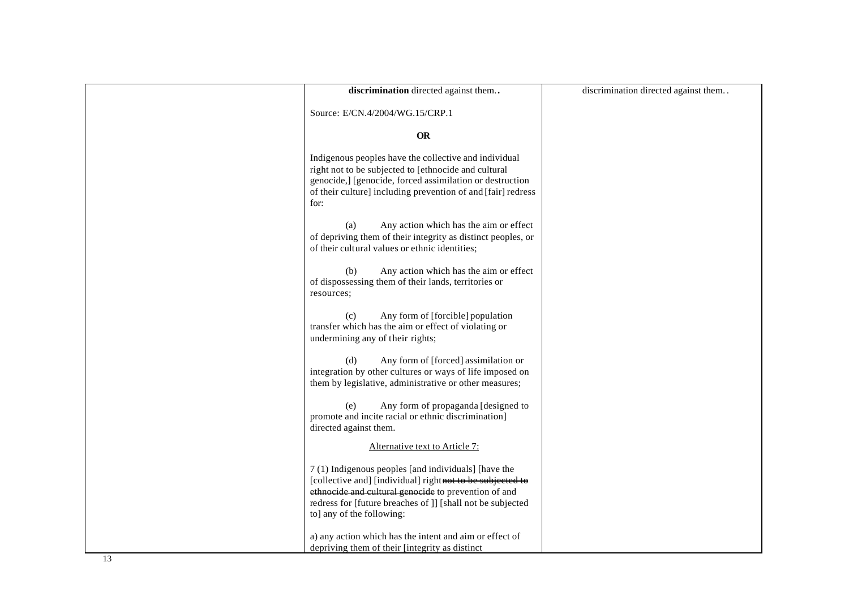| discrimination directed against them                                                                                                                                                                                                                                | discrimination directed against them |
|---------------------------------------------------------------------------------------------------------------------------------------------------------------------------------------------------------------------------------------------------------------------|--------------------------------------|
| Source: E/CN.4/2004/WG.15/CRP.1                                                                                                                                                                                                                                     |                                      |
| <b>OR</b>                                                                                                                                                                                                                                                           |                                      |
| Indigenous peoples have the collective and individual<br>right not to be subjected to [ethnocide and cultural<br>genocide,] [genocide, forced assimilation or destruction<br>of their culture] including prevention of and [fair] redress<br>for:                   |                                      |
| (a)<br>Any action which has the aim or effect<br>of depriving them of their integrity as distinct peoples, or<br>of their cultural values or ethnic identities;                                                                                                     |                                      |
| Any action which has the aim or effect<br>(b)<br>of dispossessing them of their lands, territories or<br>resources;                                                                                                                                                 |                                      |
| Any form of [forcible] population<br>(c)<br>transfer which has the aim or effect of violating or<br>undermining any of their rights;                                                                                                                                |                                      |
| Any form of [forced] assimilation or<br>(d)<br>integration by other cultures or ways of life imposed on<br>them by legislative, administrative or other measures;                                                                                                   |                                      |
| Any form of propaganda [designed to<br>(e)<br>promote and incite racial or ethnic discrimination]<br>directed against them.                                                                                                                                         |                                      |
| Alternative text to Article 7:                                                                                                                                                                                                                                      |                                      |
| 7(1) Indigenous peoples [and individuals] [have the<br>[collective and] [individual] rightnot to be subjected to<br>ethnocide and cultural genocide to prevention of and<br>redress for [future breaches of ]] [shall not be subjected<br>to] any of the following: |                                      |
| a) any action which has the intent and aim or effect of<br>depriving them of their [integrity as distinct                                                                                                                                                           |                                      |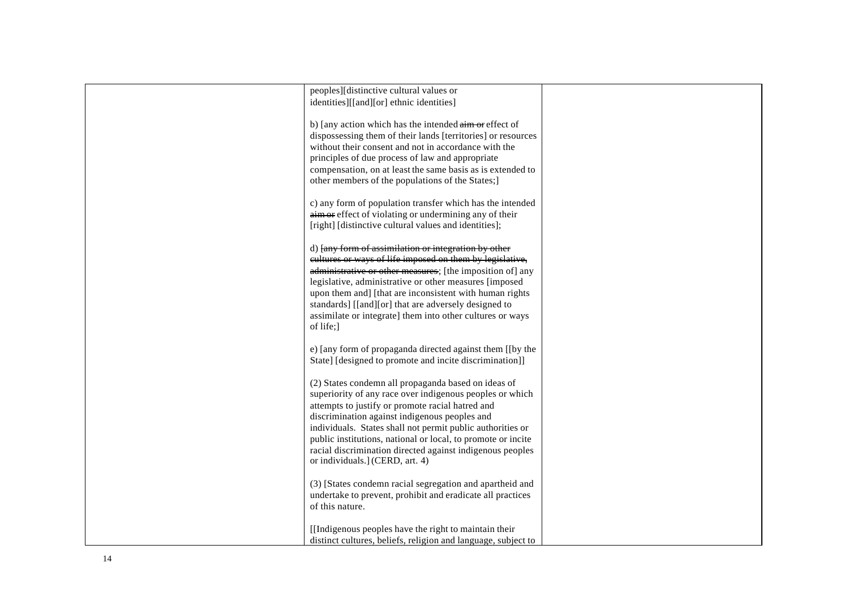| peoples][distinctive cultural values or                              |  |
|----------------------------------------------------------------------|--|
|                                                                      |  |
| identities][[and][or] ethnic identities]                             |  |
|                                                                      |  |
| b) [any action which has the intended $\frac{1}{2}$ aim or effect of |  |
| dispossessing them of their lands [territories] or resources         |  |
|                                                                      |  |
| without their consent and not in accordance with the                 |  |
| principles of due process of law and appropriate                     |  |
| compensation, on at least the same basis as is extended to           |  |
| other members of the populations of the States;]                     |  |
|                                                                      |  |
|                                                                      |  |
| c) any form of population transfer which has the intended            |  |
| aim or effect of violating or undermining any of their               |  |
| [right] [distinctive cultural values and identities];                |  |
|                                                                      |  |
| d) [any form of assimilation or integration by other                 |  |
| eultures or ways of life imposed on them by legislative,             |  |
|                                                                      |  |
| administrative or other measures; [the imposition of] any            |  |
| legislative, administrative or other measures [imposed               |  |
| upon them and] [that are inconsistent with human rights              |  |
| standards] [[and][or] that are adversely designed to                 |  |
| assimilate or integrate] them into other cultures or ways            |  |
|                                                                      |  |
| of life;                                                             |  |
|                                                                      |  |
| e) [any form of propaganda directed against them [[by the            |  |
| State] [designed to promote and incite discrimination]]              |  |
|                                                                      |  |
|                                                                      |  |
| (2) States condemn all propaganda based on ideas of                  |  |
| superiority of any race over indigenous peoples or which             |  |
| attempts to justify or promote racial hatred and                     |  |
| discrimination against indigenous peoples and                        |  |
| individuals. States shall not permit public authorities or           |  |
| public institutions, national or local, to promote or incite         |  |
|                                                                      |  |
| racial discrimination directed against indigenous peoples            |  |
| or individuals.] (CERD, art. 4)                                      |  |
|                                                                      |  |
| (3) [States condemn racial segregation and apartheid and             |  |
| undertake to prevent, prohibit and eradicate all practices           |  |
|                                                                      |  |
| of this nature.                                                      |  |
|                                                                      |  |
| [[Indigenous peoples have the right to maintain their]               |  |
| distinct cultures, beliefs, religion and language, subject to        |  |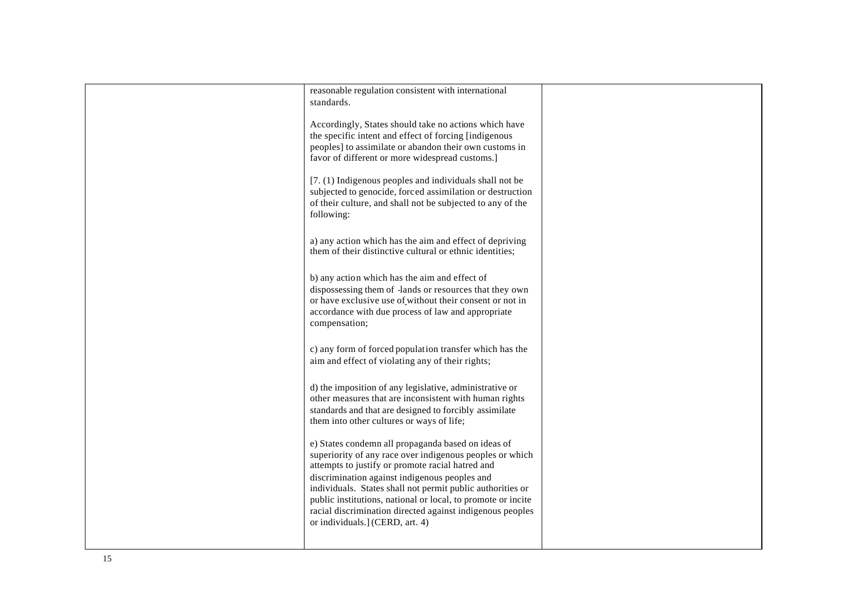| reasonable regulation consistent with international          |  |
|--------------------------------------------------------------|--|
| standards.                                                   |  |
|                                                              |  |
|                                                              |  |
| Accordingly, States should take no actions which have        |  |
| the specific intent and effect of forcing [indigenous        |  |
| peoples] to assimilate or abandon their own customs in       |  |
|                                                              |  |
| favor of different or more widespread customs.]              |  |
|                                                              |  |
| [7. (1) Indigenous peoples and individuals shall not be      |  |
| subjected to genocide, forced assimilation or destruction    |  |
|                                                              |  |
| of their culture, and shall not be subjected to any of the   |  |
| following:                                                   |  |
|                                                              |  |
|                                                              |  |
| a) any action which has the aim and effect of depriving      |  |
| them of their distinctive cultural or ethnic identities;     |  |
|                                                              |  |
|                                                              |  |
| b) any action which has the aim and effect of                |  |
| dispossessing them of -lands or resources that they own      |  |
| or have exclusive use of without their consent or not in     |  |
|                                                              |  |
| accordance with due process of law and appropriate           |  |
| compensation;                                                |  |
|                                                              |  |
|                                                              |  |
| c) any form of forced population transfer which has the      |  |
| aim and effect of violating any of their rights;             |  |
|                                                              |  |
|                                                              |  |
| d) the imposition of any legislative, administrative or      |  |
| other measures that are inconsistent with human rights       |  |
| standards and that are designed to forcibly assimilate       |  |
| them into other cultures or ways of life;                    |  |
|                                                              |  |
|                                                              |  |
| e) States condemn all propaganda based on ideas of           |  |
| superiority of any race over indigenous peoples or which     |  |
| attempts to justify or promote racial hatred and             |  |
|                                                              |  |
| discrimination against indigenous peoples and                |  |
| individuals. States shall not permit public authorities or   |  |
| public institutions, national or local, to promote or incite |  |
| racial discrimination directed against indigenous peoples    |  |
| or individuals.] (CERD, art. 4)                              |  |
|                                                              |  |
|                                                              |  |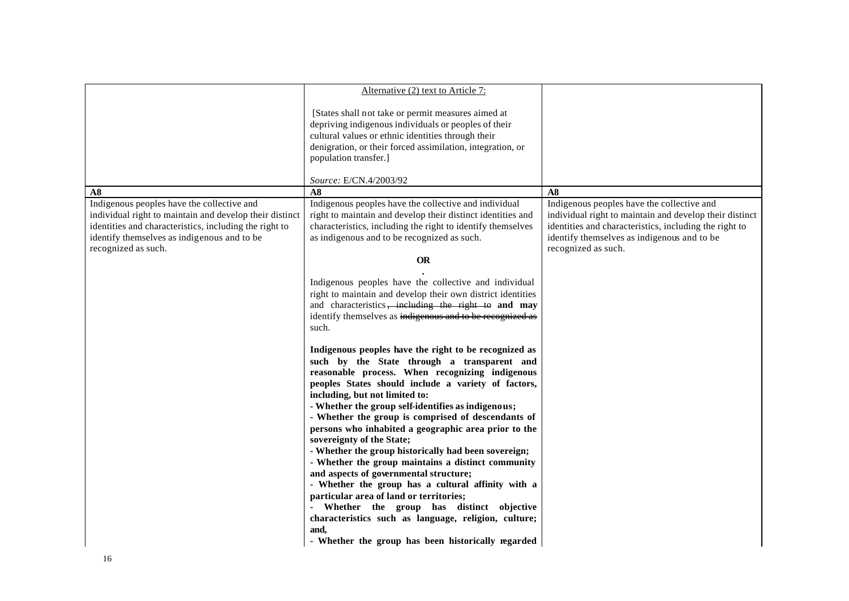|                                                                                                                                                                                                                                       | Alternative (2) text to Article 7:                                                                                                                                                                                                                                                                                                                                                                                                                                                                                                                                                                                                                                                                                                                                                                                                                                             |                                                                                                                                                                                                                                       |
|---------------------------------------------------------------------------------------------------------------------------------------------------------------------------------------------------------------------------------------|--------------------------------------------------------------------------------------------------------------------------------------------------------------------------------------------------------------------------------------------------------------------------------------------------------------------------------------------------------------------------------------------------------------------------------------------------------------------------------------------------------------------------------------------------------------------------------------------------------------------------------------------------------------------------------------------------------------------------------------------------------------------------------------------------------------------------------------------------------------------------------|---------------------------------------------------------------------------------------------------------------------------------------------------------------------------------------------------------------------------------------|
|                                                                                                                                                                                                                                       | [States shall not take or permit measures aimed at<br>depriving indigenous individuals or peoples of their<br>cultural values or ethnic identities through their<br>denigration, or their forced assimilation, integration, or<br>population transfer.]                                                                                                                                                                                                                                                                                                                                                                                                                                                                                                                                                                                                                        |                                                                                                                                                                                                                                       |
|                                                                                                                                                                                                                                       | Source: E/CN.4/2003/92                                                                                                                                                                                                                                                                                                                                                                                                                                                                                                                                                                                                                                                                                                                                                                                                                                                         |                                                                                                                                                                                                                                       |
| A8                                                                                                                                                                                                                                    | A8                                                                                                                                                                                                                                                                                                                                                                                                                                                                                                                                                                                                                                                                                                                                                                                                                                                                             | A8                                                                                                                                                                                                                                    |
| Indigenous peoples have the collective and<br>individual right to maintain and develop their distinct<br>identities and characteristics, including the right to<br>identify themselves as indigenous and to be<br>recognized as such. | Indigenous peoples have the collective and individual<br>right to maintain and develop their distinct identities and<br>characteristics, including the right to identify themselves<br>as indigenous and to be recognized as such.                                                                                                                                                                                                                                                                                                                                                                                                                                                                                                                                                                                                                                             | Indigenous peoples have the collective and<br>individual right to maintain and develop their distinct<br>identities and characteristics, including the right to<br>identify themselves as indigenous and to be<br>recognized as such. |
|                                                                                                                                                                                                                                       | <b>OR</b>                                                                                                                                                                                                                                                                                                                                                                                                                                                                                                                                                                                                                                                                                                                                                                                                                                                                      |                                                                                                                                                                                                                                       |
|                                                                                                                                                                                                                                       | Indigenous peoples have the collective and individual<br>right to maintain and develop their own district identities<br>and characteristics, including the right to and may<br>identify themselves as indigenous and to be recognized as<br>such.                                                                                                                                                                                                                                                                                                                                                                                                                                                                                                                                                                                                                              |                                                                                                                                                                                                                                       |
|                                                                                                                                                                                                                                       | Indigenous peoples have the right to be recognized as<br>such by the State through a transparent and<br>reasonable process. When recognizing indigenous<br>peoples States should include a variety of factors,<br>including, but not limited to:<br>- Whether the group self-identifies as indigenous;<br>- Whether the group is comprised of descendants of<br>persons who inhabited a geographic area prior to the<br>sovereignty of the State;<br>- Whether the group historically had been sovereign;<br>- Whether the group maintains a distinct community<br>and aspects of governmental structure;<br>- Whether the group has a cultural affinity with a<br>particular area of land or territories;<br>- Whether the group has distinct objective<br>characteristics such as language, religion, culture;<br>and,<br>- Whether the group has been historically regarded |                                                                                                                                                                                                                                       |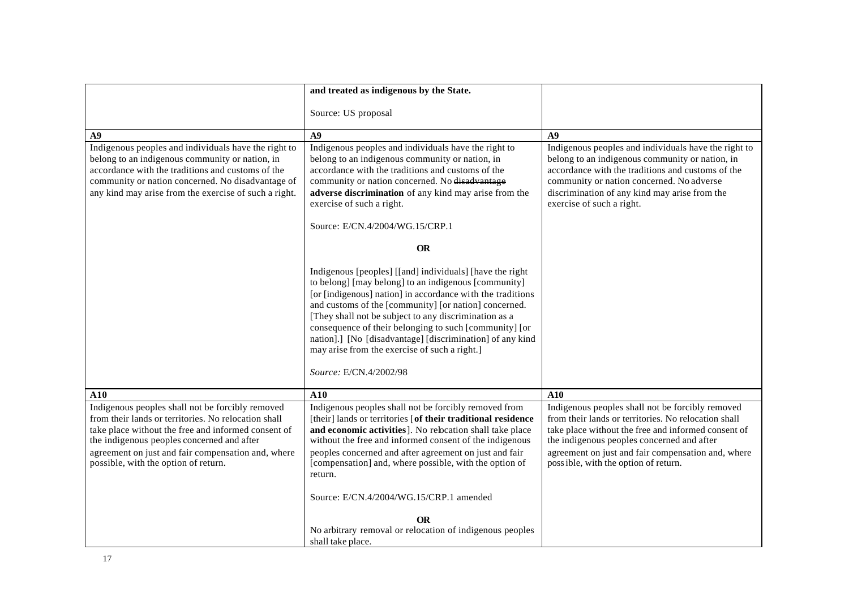| and treated as indigenous by the State.                                                                                                                                                                                                                                                                                                                                                                                                                                                            |                                                                                                                                                                                                                                                                                                              |
|----------------------------------------------------------------------------------------------------------------------------------------------------------------------------------------------------------------------------------------------------------------------------------------------------------------------------------------------------------------------------------------------------------------------------------------------------------------------------------------------------|--------------------------------------------------------------------------------------------------------------------------------------------------------------------------------------------------------------------------------------------------------------------------------------------------------------|
| Source: US proposal                                                                                                                                                                                                                                                                                                                                                                                                                                                                                |                                                                                                                                                                                                                                                                                                              |
| A9                                                                                                                                                                                                                                                                                                                                                                                                                                                                                                 | $\overline{A9}$                                                                                                                                                                                                                                                                                              |
| Indigenous peoples and individuals have the right to<br>belong to an indigenous community or nation, in<br>accordance with the traditions and customs of the<br>community or nation concerned. No disadvantage<br>adverse discrimination of any kind may arise from the<br>exercise of such a right.                                                                                                                                                                                               | Indigenous peoples and individuals have the right to<br>belong to an indigenous community or nation, in<br>accordance with the traditions and customs of the<br>community or nation concerned. No adverse<br>discrimination of any kind may arise from the<br>exercise of such a right.                      |
| Source: E/CN.4/2004/WG.15/CRP.1                                                                                                                                                                                                                                                                                                                                                                                                                                                                    |                                                                                                                                                                                                                                                                                                              |
|                                                                                                                                                                                                                                                                                                                                                                                                                                                                                                    |                                                                                                                                                                                                                                                                                                              |
|                                                                                                                                                                                                                                                                                                                                                                                                                                                                                                    |                                                                                                                                                                                                                                                                                                              |
| Indigenous [peoples] [[and] individuals] [have the right<br>to belong] [may belong] to an indigenous [community]<br>[or [indigenous] nation] in accordance with the traditions<br>and customs of the [community] [or nation] concerned.<br>[They shall not be subject to any discrimination as a<br>consequence of their belonging to such [community] [or<br>nation].] [No [disadvantage] [discrimination] of any kind<br>may arise from the exercise of such a right.]<br>Source: E/CN.4/2002/98 |                                                                                                                                                                                                                                                                                                              |
| A10                                                                                                                                                                                                                                                                                                                                                                                                                                                                                                | A10                                                                                                                                                                                                                                                                                                          |
| Indigenous peoples shall not be forcibly removed from<br>[their] lands or territories [of their traditional residence<br>and economic activities]. No rebeation shall take place<br>without the free and informed consent of the indigenous<br>peoples concerned and after agreement on just and fair<br>[compensation] and, where possible, with the option of<br>return.<br>Source: E/CN.4/2004/WG.15/CRP.1 amended<br><b>OR</b><br>No arbitrary removal or relocation of indigenous peoples     | Indigenous peoples shall not be forcibly removed<br>from their lands or territories. No relocation shall<br>take place without the free and informed consent of<br>the indigenous peoples concerned and after<br>agreement on just and fair compensation and, where<br>poss ible, with the option of return. |
|                                                                                                                                                                                                                                                                                                                                                                                                                                                                                                    | <b>OR</b><br>shall take place.                                                                                                                                                                                                                                                                               |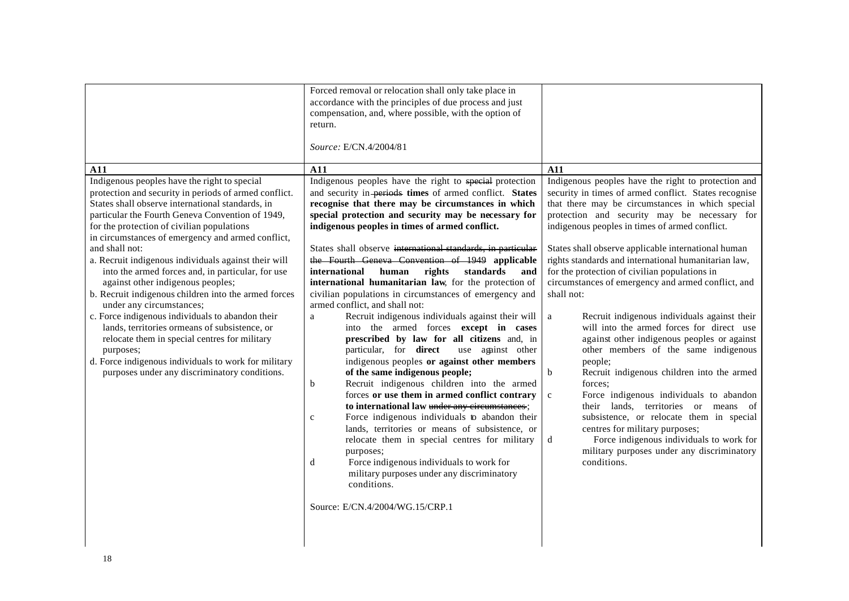| A11<br>Indigenous peoples have the right to special<br>protection and security in periods of armed conflict.<br>States shall observe international standards, in<br>particular the Fourth Geneva Convention of 1949,<br>for the protection of civilian populations<br>in circumstances of emergency and armed conflict,<br>and shall not:<br>a. Recruit indigenous individuals against their will<br>into the armed forces and, in particular, for use<br>against other indigenous peoples; | Forced removal or relocation shall only take place in<br>accordance with the principles of due process and just<br>compensation, and, where possible, with the option of<br>return.<br>Source: E/CN.4/2004/81<br>A11<br>Indigenous peoples have the right to special protection<br>and security in-periods times of armed conflict. States<br>recognise that there may be circumstances in which<br>special protection and security may be necessary for<br>indigenous peoples in times of armed conflict.<br>States shall observe international standards, in particular<br>the Fourth Geneva Convention of 1949 applicable<br>international<br>human<br>rights<br>standards<br>and<br>international humanitarian law, for the protection of                                                                                                                          | A11<br>Indigenous peoples have the right to protection and<br>security in times of armed conflict. States recognise<br>that there may be circumstances in which special<br>protection and security may be necessary for<br>indigenous peoples in times of armed conflict.<br>States shall observe applicable international human<br>rights standards and international humanitarian law,<br>for the protection of civilian populations in<br>circumstances of emergency and armed conflict, and                                                                            |
|---------------------------------------------------------------------------------------------------------------------------------------------------------------------------------------------------------------------------------------------------------------------------------------------------------------------------------------------------------------------------------------------------------------------------------------------------------------------------------------------|------------------------------------------------------------------------------------------------------------------------------------------------------------------------------------------------------------------------------------------------------------------------------------------------------------------------------------------------------------------------------------------------------------------------------------------------------------------------------------------------------------------------------------------------------------------------------------------------------------------------------------------------------------------------------------------------------------------------------------------------------------------------------------------------------------------------------------------------------------------------|----------------------------------------------------------------------------------------------------------------------------------------------------------------------------------------------------------------------------------------------------------------------------------------------------------------------------------------------------------------------------------------------------------------------------------------------------------------------------------------------------------------------------------------------------------------------------|
| b. Recruit indigenous children into the armed forces<br>under any circumstances;<br>c. Force indigenous individuals to abandon their<br>lands, territories ormeans of subsistence, or<br>relocate them in special centres for military<br>purposes;<br>d. Force indigenous individuals to work for military<br>purposes under any discriminatory conditions.                                                                                                                                | civilian populations in circumstances of emergency and<br>armed conflict, and shall not:<br>Recruit indigenous individuals against their will<br>a<br>into the armed forces except in cases<br>prescribed by law for all citizens and, in<br>use against other<br>particular, for <b>direct</b><br>indigenous peoples or against other members<br>of the same indigenous people;<br>Recruit indigenous children into the armed<br>b<br>forces or use them in armed conflict contrary<br>to international law under any circumstances;<br>Force indigenous individuals to abandon their<br>$\mathbf c$<br>lands, territories or means of subsistence, or<br>relocate them in special centres for military<br>purposes;<br>Force indigenous individuals to work for<br>d<br>military purposes under any discriminatory<br>conditions.<br>Source: E/CN.4/2004/WG.15/CRP.1 | shall not:<br>Recruit indigenous individuals against their<br>a<br>will into the armed forces for direct use<br>against other indigenous peoples or against<br>other members of the same indigenous<br>people;<br>Recruit indigenous children into the armed<br>b<br>forces:<br>Force indigenous individuals to abandon<br>$\mathbf c$<br>their lands, territories or means of<br>subsistence, or relocate them in special<br>centres for military purposes;<br>Force indigenous individuals to work for<br>d<br>military purposes under any discriminatory<br>conditions. |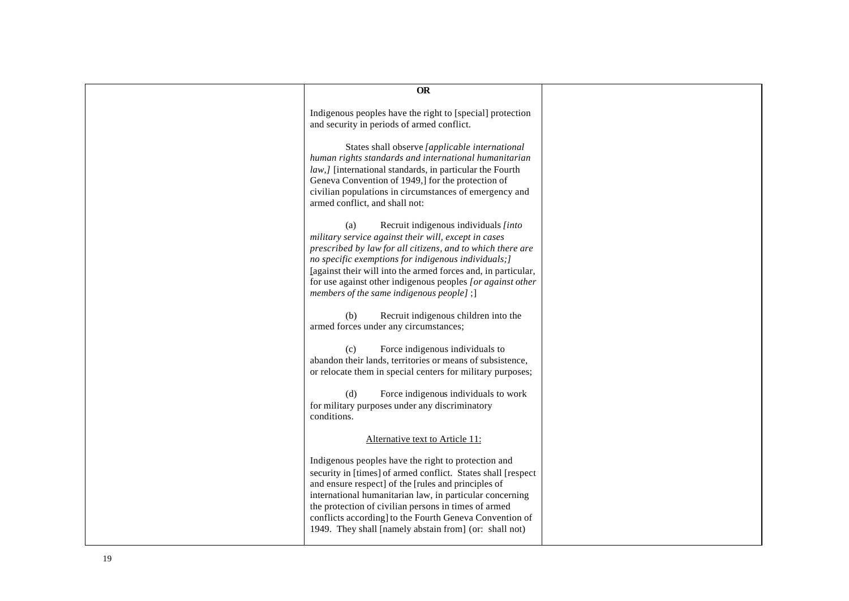| <b>OR</b>                                                                                                                                                                                                                                                                                                                                                                                                           |  |
|---------------------------------------------------------------------------------------------------------------------------------------------------------------------------------------------------------------------------------------------------------------------------------------------------------------------------------------------------------------------------------------------------------------------|--|
|                                                                                                                                                                                                                                                                                                                                                                                                                     |  |
| Indigenous peoples have the right to [special] protection<br>and security in periods of armed conflict.                                                                                                                                                                                                                                                                                                             |  |
| States shall observe [applicable international<br>human rights standards and international humanitarian<br>law, <i>l</i> [international standards, in particular the Fourth<br>Geneva Convention of 1949,] for the protection of<br>civilian populations in circumstances of emergency and<br>armed conflict, and shall not:                                                                                        |  |
| Recruit indigenous individuals [into<br>(a)<br>military service against their will, except in cases<br>prescribed by law for all citizens, and to which there are<br>no specific exemptions for indigenous individuals; ]<br>[against their will into the armed forces and, in particular,<br>for use against other indigenous peoples [or against other<br>members of the same indigenous people];                 |  |
| Recruit indigenous children into the<br>(b)<br>armed forces under any circumstances;                                                                                                                                                                                                                                                                                                                                |  |
| Force indigenous individuals to<br>(c)<br>abandon their lands, territories or means of subsistence,<br>or relocate them in special centers for military purposes;                                                                                                                                                                                                                                                   |  |
| (d)<br>Force indigenous individuals to work<br>for military purposes under any discriminatory<br>conditions.                                                                                                                                                                                                                                                                                                        |  |
| Alternative text to Article 11:                                                                                                                                                                                                                                                                                                                                                                                     |  |
| Indigenous peoples have the right to protection and<br>security in [times] of armed conflict. States shall [respect<br>and ensure respect] of the [rules and principles of<br>international humanitarian law, in particular concerning<br>the protection of civilian persons in times of armed<br>conflicts according] to the Fourth Geneva Convention of<br>1949. They shall [namely abstain from] (or: shall not) |  |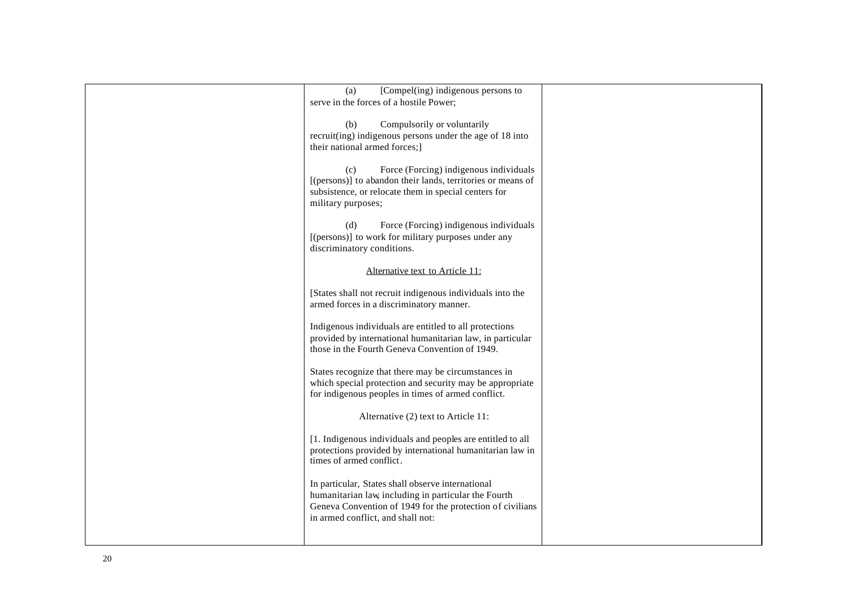| [Compel(ing) indigenous persons to<br>(a)                   |  |
|-------------------------------------------------------------|--|
| serve in the forces of a hostile Power;                     |  |
|                                                             |  |
|                                                             |  |
| Compulsorily or voluntarily<br>(b)                          |  |
| recruit(ing) indigenous persons under the age of 18 into    |  |
| their national armed forces;]                               |  |
| Force (Forcing) indigenous individuals<br>(c)               |  |
| [(persons)] to abandon their lands, territories or means of |  |
| subsistence, or relocate them in special centers for        |  |
| military purposes;                                          |  |
|                                                             |  |
| Force (Forcing) indigenous individuals<br>(d)               |  |
| [(persons)] to work for military purposes under any         |  |
| discriminatory conditions.                                  |  |
|                                                             |  |
| Alternative text to Article 11:                             |  |
|                                                             |  |
| [States shall not recruit indigenous individuals into the   |  |
| armed forces in a discriminatory manner.                    |  |
|                                                             |  |
| Indigenous individuals are entitled to all protections      |  |
| provided by international humanitarian law, in particular   |  |
| those in the Fourth Geneva Convention of 1949.              |  |
| States recognize that there may be circumstances in         |  |
| which special protection and security may be appropriate    |  |
| for indigenous peoples in times of armed conflict.          |  |
|                                                             |  |
| Alternative (2) text to Article 11:                         |  |
| [1. Indigenous individuals and peoples are entitled to all  |  |
| protections provided by international humanitarian law in   |  |
| times of armed conflict.                                    |  |
|                                                             |  |
| In particular, States shall observe international           |  |
| humanitarian law, including in particular the Fourth        |  |
| Geneva Convention of 1949 for the protection of civilians   |  |
| in armed conflict, and shall not:                           |  |
|                                                             |  |
|                                                             |  |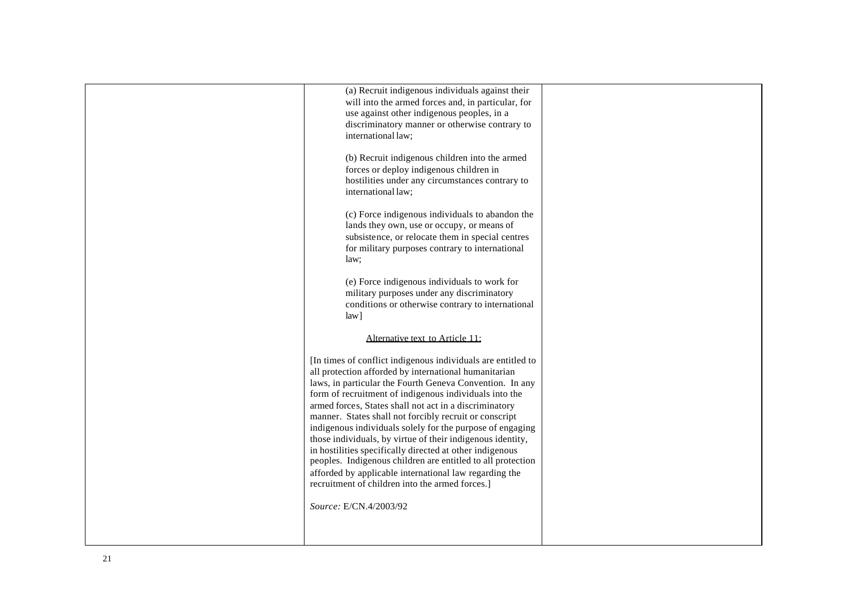| (a) Recruit indigenous individuals against their                                                                    |  |
|---------------------------------------------------------------------------------------------------------------------|--|
| will into the armed forces and, in particular, for                                                                  |  |
| use against other indigenous peoples, in a                                                                          |  |
| discriminatory manner or otherwise contrary to<br>international law;                                                |  |
|                                                                                                                     |  |
| (b) Recruit indigenous children into the armed                                                                      |  |
| forces or deploy indigenous children in                                                                             |  |
| hostilities under any circumstances contrary to                                                                     |  |
| international law;                                                                                                  |  |
|                                                                                                                     |  |
| (c) Force indigenous individuals to abandon the<br>lands they own, use or occupy, or means of                       |  |
| subsistence, or relocate them in special centres                                                                    |  |
| for military purposes contrary to international                                                                     |  |
| law:                                                                                                                |  |
|                                                                                                                     |  |
| (e) Force indigenous individuals to work for                                                                        |  |
| military purposes under any discriminatory<br>conditions or otherwise contrary to international                     |  |
| $law$ ]                                                                                                             |  |
|                                                                                                                     |  |
| Alternative text to Article 11:                                                                                     |  |
| [In times of conflict indigenous individuals are entitled to                                                        |  |
| all protection afforded by international humanitarian                                                               |  |
| laws, in particular the Fourth Geneva Convention. In any                                                            |  |
| form of recruitment of indigenous individuals into the                                                              |  |
| armed forces, States shall not act in a discriminatory                                                              |  |
| manner. States shall not forcibly recruit or conscript<br>indigenous individuals solely for the purpose of engaging |  |
| those individuals, by virtue of their indigenous identity,                                                          |  |
| in hostilities specifically directed at other indigenous                                                            |  |
| peoples. Indigenous children are entitled to all protection                                                         |  |
| afforded by applicable international law regarding the                                                              |  |
| recruitment of children into the armed forces.]                                                                     |  |
| Source: E/CN.4/2003/92                                                                                              |  |
|                                                                                                                     |  |
|                                                                                                                     |  |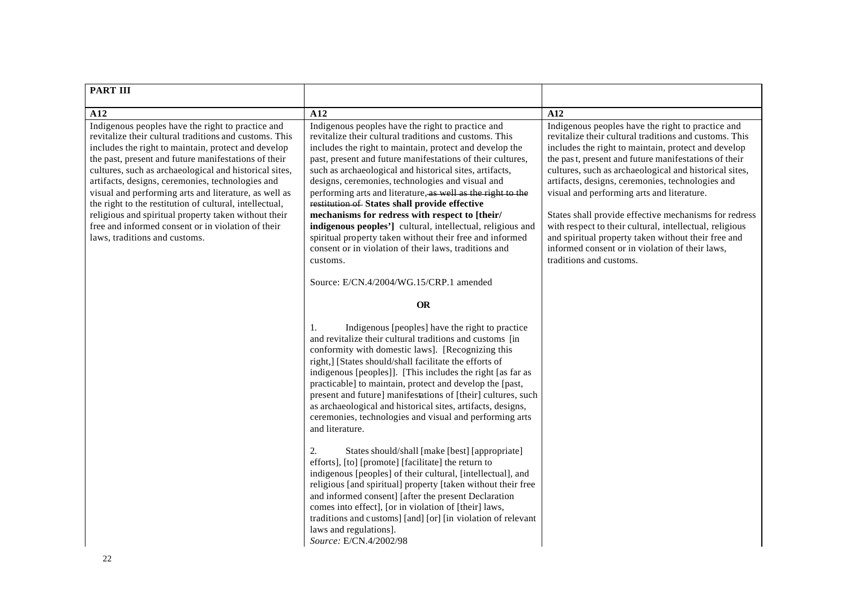| <b>PART III</b>                                                                                                                                                                                                                                                                                                                                                                                                                                                                                                                                                                                             |                                                                                                                                                                                                                                                                                                                                                                                                                                                                                                                                                                                                                                                                                                                                                                                                                                                                                                                                                                                                                                                            |                                                                                                                                                                                                                                                                                                                                                                                                                                                                                                                                                                                                                                                 |
|-------------------------------------------------------------------------------------------------------------------------------------------------------------------------------------------------------------------------------------------------------------------------------------------------------------------------------------------------------------------------------------------------------------------------------------------------------------------------------------------------------------------------------------------------------------------------------------------------------------|------------------------------------------------------------------------------------------------------------------------------------------------------------------------------------------------------------------------------------------------------------------------------------------------------------------------------------------------------------------------------------------------------------------------------------------------------------------------------------------------------------------------------------------------------------------------------------------------------------------------------------------------------------------------------------------------------------------------------------------------------------------------------------------------------------------------------------------------------------------------------------------------------------------------------------------------------------------------------------------------------------------------------------------------------------|-------------------------------------------------------------------------------------------------------------------------------------------------------------------------------------------------------------------------------------------------------------------------------------------------------------------------------------------------------------------------------------------------------------------------------------------------------------------------------------------------------------------------------------------------------------------------------------------------------------------------------------------------|
| A12                                                                                                                                                                                                                                                                                                                                                                                                                                                                                                                                                                                                         | A12                                                                                                                                                                                                                                                                                                                                                                                                                                                                                                                                                                                                                                                                                                                                                                                                                                                                                                                                                                                                                                                        | A12                                                                                                                                                                                                                                                                                                                                                                                                                                                                                                                                                                                                                                             |
| Indigenous peoples have the right to practice and<br>revitalize their cultural traditions and customs. This<br>includes the right to maintain, protect and develop<br>the past, present and future manifestations of their<br>cultures, such as archaeological and historical sites,<br>artifacts, designs, ceremonies, technologies and<br>visual and performing arts and literature, as well as<br>the right to the restitution of cultural, intellectual,<br>religious and spiritual property taken without their<br>free and informed consent or in violation of their<br>laws, traditions and customs. | Indigenous peoples have the right to practice and<br>revitalize their cultural traditions and customs. This<br>includes the right to maintain, protect and develop the<br>past, present and future manifestations of their cultures,<br>such as archaeological and historical sites, artifacts,<br>designs, ceremonies, technologies and visual and<br>performing arts and literature, as well as the right to the<br>restitution of States shall provide effective<br>mechanisms for redress with respect to [their/<br>indigenous peoples'] cultural, intellectual, religious and<br>spiritual property taken without their free and informed<br>consent or in violation of their laws, traditions and<br>customs.<br>Source: E/CN.4/2004/WG.15/CRP.1 amended                                                                                                                                                                                                                                                                                            | Indigenous peoples have the right to practice and<br>revitalize their cultural traditions and customs. This<br>includes the right to maintain, protect and develop<br>the past, present and future manifestations of their<br>cultures, such as archaeological and historical sites,<br>artifacts, designs, ceremonies, technologies and<br>visual and performing arts and literature.<br>States shall provide effective mechanisms for redress<br>with respect to their cultural, intellectual, religious<br>and spiritual property taken without their free and<br>informed consent or in violation of their laws,<br>traditions and customs. |
|                                                                                                                                                                                                                                                                                                                                                                                                                                                                                                                                                                                                             | <b>OR</b>                                                                                                                                                                                                                                                                                                                                                                                                                                                                                                                                                                                                                                                                                                                                                                                                                                                                                                                                                                                                                                                  |                                                                                                                                                                                                                                                                                                                                                                                                                                                                                                                                                                                                                                                 |
|                                                                                                                                                                                                                                                                                                                                                                                                                                                                                                                                                                                                             | Indigenous [peoples] have the right to practice<br>1.<br>and revitalize their cultural traditions and customs [in<br>conformity with domestic laws]. [Recognizing this<br>right,] [States should/shall facilitate the efforts of<br>indigenous [peoples]]. [This includes the right [as far as<br>practicable] to maintain, protect and develop the [past,<br>present and future] manifestations of [their] cultures, such<br>as archaeological and historical sites, artifacts, designs,<br>ceremonies, technologies and visual and performing arts<br>and literature.<br>2.<br>States should/shall [make [best] [appropriate]<br>efforts], [to] [promote] [facilitate] the return to<br>indigenous [peoples] of their cultural, [intellectual], and<br>religious [and spiritual] property [taken without their free<br>and informed consent] [after the present Declaration<br>comes into effect], [or in violation of [their] laws,<br>traditions and customs] [and] [or] [in violation of relevant<br>laws and regulations].<br>Source: E/CN.4/2002/98 |                                                                                                                                                                                                                                                                                                                                                                                                                                                                                                                                                                                                                                                 |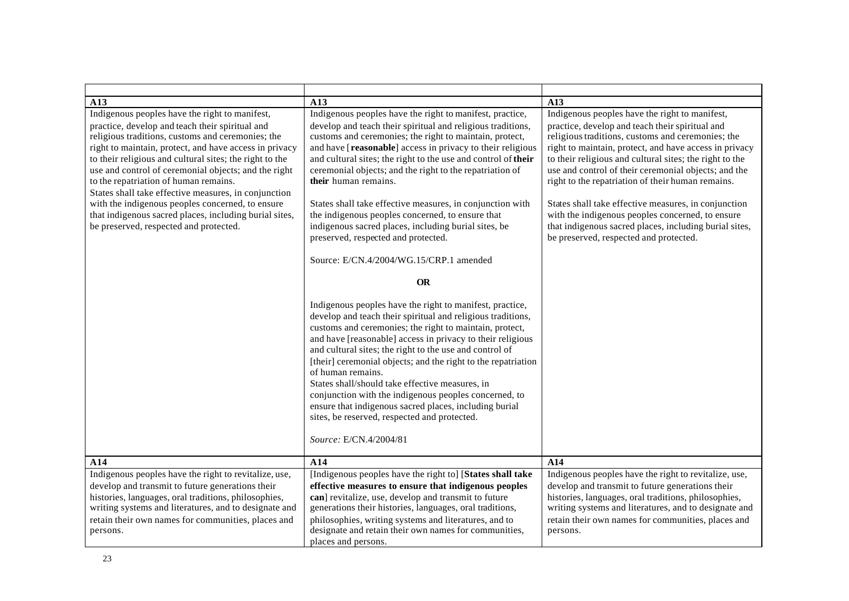| A13                                                                                                                                                                                                                                                                                                                                                                                                                                                                                                                                                                                          | A13                                                                                                                                                                                                                                                                                                                                                                                                                                                                                                                                                                                                                                                                           | A13                                                                                                                                                                                                                                                                                                                                                                                                                                                                                                                                                                                                      |
|----------------------------------------------------------------------------------------------------------------------------------------------------------------------------------------------------------------------------------------------------------------------------------------------------------------------------------------------------------------------------------------------------------------------------------------------------------------------------------------------------------------------------------------------------------------------------------------------|-------------------------------------------------------------------------------------------------------------------------------------------------------------------------------------------------------------------------------------------------------------------------------------------------------------------------------------------------------------------------------------------------------------------------------------------------------------------------------------------------------------------------------------------------------------------------------------------------------------------------------------------------------------------------------|----------------------------------------------------------------------------------------------------------------------------------------------------------------------------------------------------------------------------------------------------------------------------------------------------------------------------------------------------------------------------------------------------------------------------------------------------------------------------------------------------------------------------------------------------------------------------------------------------------|
| Indigenous peoples have the right to manifest,<br>practice, develop and teach their spiritual and<br>religious traditions, customs and ceremonies; the<br>right to maintain, protect, and have access in privacy<br>to their religious and cultural sites; the right to the<br>use and control of ceremonial objects; and the right<br>to the repatriation of human remains.<br>States shall take effective measures, in conjunction<br>with the indigenous peoples concerned, to ensure<br>that indigenous sacred places, including burial sites,<br>be preserved, respected and protected. | Indigenous peoples have the right to manifest, practice,<br>develop and teach their spiritual and religious traditions,<br>customs and ceremonies; the right to maintain, protect,<br>and have [reasonable] access in privacy to their religious<br>and cultural sites; the right to the use and control of their<br>ceremonial objects; and the right to the repatriation of<br>their human remains.<br>States shall take effective measures, in conjunction with<br>the indigenous peoples concerned, to ensure that<br>indigenous sacred places, including burial sites, be<br>preserved, respected and protected.<br>Source: E/CN.4/2004/WG.15/CRP.1 amended<br><b>OR</b> | Indigenous peoples have the right to manifest,<br>practice, develop and teach their spiritual and<br>religious traditions, customs and ceremonies; the<br>right to maintain, protect, and have access in privacy<br>to their religious and cultural sites; the right to the<br>use and control of their ceremonial objects; and the<br>right to the repatriation of their human remains.<br>States shall take effective measures, in conjunction<br>with the indigenous peoples concerned, to ensure<br>that indigenous sacred places, including burial sites,<br>be preserved, respected and protected. |
|                                                                                                                                                                                                                                                                                                                                                                                                                                                                                                                                                                                              | Indigenous peoples have the right to manifest, practice,<br>develop and teach their spiritual and religious traditions,<br>customs and ceremonies; the right to maintain, protect,<br>and have [reasonable] access in privacy to their religious<br>and cultural sites; the right to the use and control of<br>[their] ceremonial objects; and the right to the repatriation<br>of human remains.<br>States shall/should take effective measures, in<br>conjunction with the indigenous peoples concerned, to<br>ensure that indigenous sacred places, including burial<br>sites, be reserved, respected and protected.<br>Source: E/CN.4/2004/81                             |                                                                                                                                                                                                                                                                                                                                                                                                                                                                                                                                                                                                          |
| A14                                                                                                                                                                                                                                                                                                                                                                                                                                                                                                                                                                                          | A14                                                                                                                                                                                                                                                                                                                                                                                                                                                                                                                                                                                                                                                                           | A14                                                                                                                                                                                                                                                                                                                                                                                                                                                                                                                                                                                                      |
| Indigenous peoples have the right to revitalize, use,<br>develop and transmit to future generations their<br>histories, languages, oral traditions, philosophies,<br>writing systems and literatures, and to designate and<br>retain their own names for communities, places and<br>persons.                                                                                                                                                                                                                                                                                                 | [Indigenous peoples have the right to] [States shall take<br>effective measures to ensure that indigenous peoples<br>can] revitalize, use, develop and transmit to future<br>generations their histories, languages, oral traditions,<br>philosophies, writing systems and literatures, and to<br>designate and retain their own names for communities,<br>places and persons.                                                                                                                                                                                                                                                                                                | Indigenous peoples have the right to revitalize, use,<br>develop and transmit to future generations their<br>histories, languages, oral traditions, philosophies,<br>writing systems and literatures, and to designate and<br>retain their own names for communities, places and<br>persons.                                                                                                                                                                                                                                                                                                             |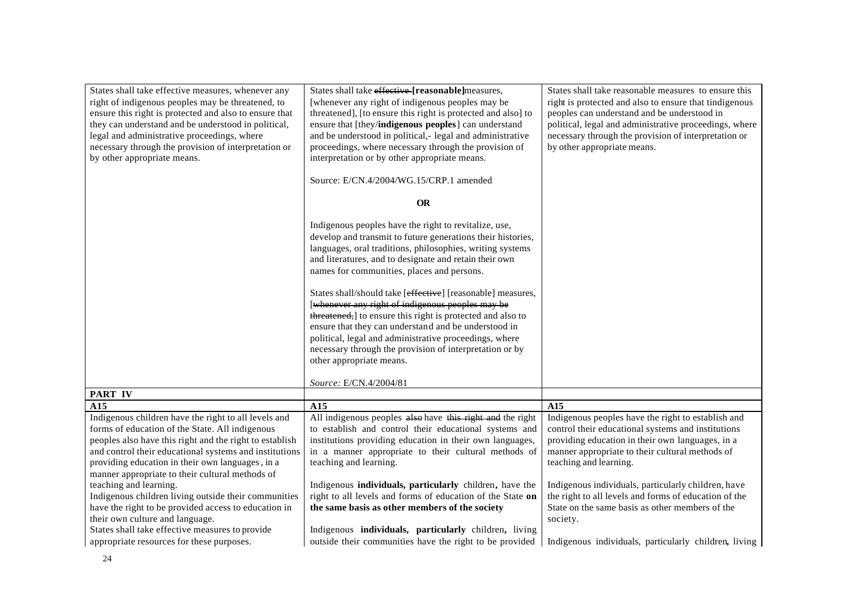| States shall take effective measures, whenever any      | States shall take effective [reasonable]measures,                                                             | States shall take reasonable measures to ensure this   |
|---------------------------------------------------------|---------------------------------------------------------------------------------------------------------------|--------------------------------------------------------|
| right of indigenous peoples may be threatened, to       | [whenever any right of indigenous peoples may be                                                              | right is protected and also to ensure that tindigenous |
| ensure this right is protected and also to ensure that  | threatened], [to ensure this right is protected and also] to                                                  | peoples can understand and be understood in            |
| they can understand and be understood in political,     | ensure that [they/indigenous peoples] can understand                                                          | political, legal and administrative proceedings, where |
| legal and administrative proceedings, where             | and be understood in political,- legal and administrative                                                     | necessary through the provision of interpretation or   |
| necessary through the provision of interpretation or    | proceedings, where necessary through the provision of                                                         | by other appropriate means.                            |
| by other appropriate means.                             | interpretation or by other appropriate means.                                                                 |                                                        |
|                                                         |                                                                                                               |                                                        |
|                                                         | Source: E/CN.4/2004/WG.15/CRP.1 amended                                                                       |                                                        |
|                                                         | <b>OR</b>                                                                                                     |                                                        |
|                                                         |                                                                                                               |                                                        |
|                                                         | Indigenous peoples have the right to revitalize, use,                                                         |                                                        |
|                                                         | develop and transmit to future generations their histories,                                                   |                                                        |
|                                                         | languages, oral traditions, philosophies, writing systems                                                     |                                                        |
|                                                         | and literatures, and to designate and retain their own                                                        |                                                        |
|                                                         | names for communities, places and persons.                                                                    |                                                        |
|                                                         | States shall/should take [effective] [reasonable] measures,                                                   |                                                        |
|                                                         | [whenever any right of indigenous peoples may be                                                              |                                                        |
|                                                         | threatened, to ensure this right is protected and also to                                                     |                                                        |
|                                                         | ensure that they can understand and be understood in                                                          |                                                        |
|                                                         | political, legal and administrative proceedings, where                                                        |                                                        |
|                                                         | necessary through the provision of interpretation or by                                                       |                                                        |
|                                                         | other appropriate means.                                                                                      |                                                        |
|                                                         |                                                                                                               |                                                        |
|                                                         | Source: E/CN.4/2004/81                                                                                        |                                                        |
| PART IV                                                 |                                                                                                               |                                                        |
| A15                                                     | A15                                                                                                           | A15                                                    |
| Indigenous children have the right to all levels and    | All indigenous peoples also have this right and the right                                                     | Indigenous peoples have the right to establish and     |
| forms of education of the State. All indigenous         | to establish and control their educational systems and                                                        | control their educational systems and institutions     |
| peoples also have this right and the right to establish | institutions providing education in their own languages,                                                      | providing education in their own languages, in a       |
| and control their educational systems and institutions  | in a manner appropriate to their cultural methods of                                                          | manner appropriate to their cultural methods of        |
| providing education in their own languages, in a        | teaching and learning.                                                                                        | teaching and learning.                                 |
| manner appropriate to their cultural methods of         |                                                                                                               |                                                        |
| teaching and learning.                                  | Indigenous individuals, particularly children, have the                                                       | Indigenous individuals, particularly children, have    |
| Indigenous children living outside their communities    | right to all levels and forms of education of the State on                                                    | the right to all levels and forms of education of the  |
| have the right to be provided access to education in    | the same basis as other members of the society                                                                | State on the same basis as other members of the        |
| their own culture and language.                         |                                                                                                               | society.                                               |
| States shall take effective measures to provide         | Indigenous individuals, particularly children, living                                                         |                                                        |
| appropriate resources for these purposes.               | outside their communities have the right to be provided Indigenous individuals, particularly children, living |                                                        |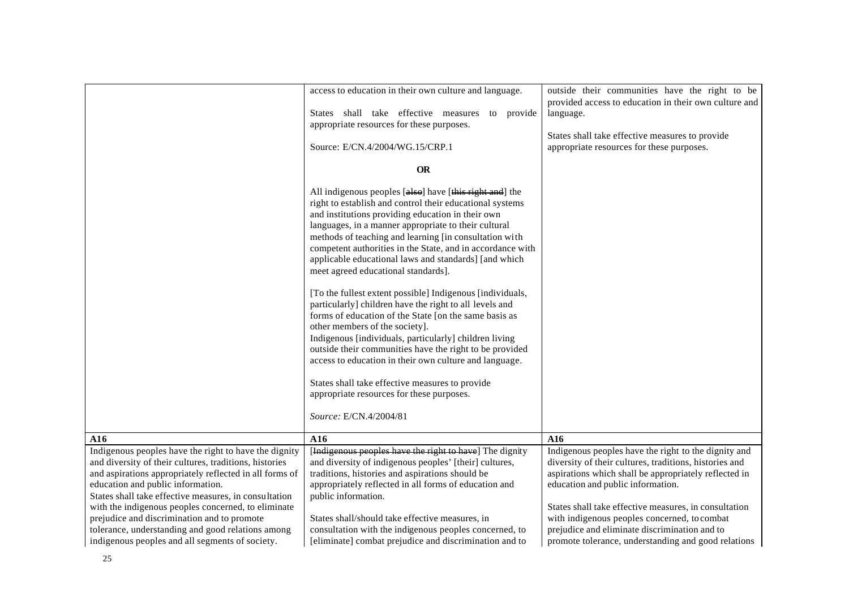|                                                                                                                                                                                                                                                                                                                                                                                                                                                                                        | access to education in their own culture and language.<br>States shall take effective measures to provide<br>appropriate resources for these purposes.<br>Source: E/CN.4/2004/WG.15/CRP.1                                                                                                                                                                                                                                                                                                                                                                                                                                                                                                                                                                                                                                                                                                                                                                                            | outside their communities have the right to be<br>provided access to education in their own culture and<br>language.<br>States shall take effective measures to provide<br>appropriate resources for these purposes.                                                                                                                                                                                                          |
|----------------------------------------------------------------------------------------------------------------------------------------------------------------------------------------------------------------------------------------------------------------------------------------------------------------------------------------------------------------------------------------------------------------------------------------------------------------------------------------|--------------------------------------------------------------------------------------------------------------------------------------------------------------------------------------------------------------------------------------------------------------------------------------------------------------------------------------------------------------------------------------------------------------------------------------------------------------------------------------------------------------------------------------------------------------------------------------------------------------------------------------------------------------------------------------------------------------------------------------------------------------------------------------------------------------------------------------------------------------------------------------------------------------------------------------------------------------------------------------|-------------------------------------------------------------------------------------------------------------------------------------------------------------------------------------------------------------------------------------------------------------------------------------------------------------------------------------------------------------------------------------------------------------------------------|
|                                                                                                                                                                                                                                                                                                                                                                                                                                                                                        | <b>OR</b>                                                                                                                                                                                                                                                                                                                                                                                                                                                                                                                                                                                                                                                                                                                                                                                                                                                                                                                                                                            |                                                                                                                                                                                                                                                                                                                                                                                                                               |
|                                                                                                                                                                                                                                                                                                                                                                                                                                                                                        | All indigenous peoples [also] have [this right and] the<br>right to establish and control their educational systems<br>and institutions providing education in their own<br>languages, in a manner appropriate to their cultural<br>methods of teaching and learning [in consultation with<br>competent authorities in the State, and in accordance with<br>applicable educational laws and standards] [and which<br>meet agreed educational standards].<br>[To the fullest extent possible] Indigenous [individuals,<br>particularly] children have the right to all levels and<br>forms of education of the State [on the same basis as<br>other members of the society].<br>Indigenous [individuals, particularly] children living<br>outside their communities have the right to be provided<br>access to education in their own culture and language.<br>States shall take effective measures to provide<br>appropriate resources for these purposes.<br>Source: E/CN.4/2004/81 |                                                                                                                                                                                                                                                                                                                                                                                                                               |
| A16                                                                                                                                                                                                                                                                                                                                                                                                                                                                                    | A16                                                                                                                                                                                                                                                                                                                                                                                                                                                                                                                                                                                                                                                                                                                                                                                                                                                                                                                                                                                  | A16                                                                                                                                                                                                                                                                                                                                                                                                                           |
| Indigenous peoples have the right to have the dignity<br>and diversity of their cultures, traditions, histories<br>and aspirations appropriately reflected in all forms of<br>education and public information.<br>States shall take effective measures, in consultation<br>with the indigenous peoples concerned, to eliminate<br>prejudice and discrimination and to promote<br>tolerance, understanding and good relations among<br>indigenous peoples and all segments of society. | [Indigenous peoples have the right to have] The dignity<br>and diversity of indigenous peoples' [their] cultures,<br>traditions, histories and aspirations should be<br>appropriately reflected in all forms of education and<br>public information.<br>States shall/should take effective measures, in<br>consultation with the indigenous peoples concerned, to<br>[eliminate] combat prejudice and discrimination and to                                                                                                                                                                                                                                                                                                                                                                                                                                                                                                                                                          | Indigenous peoples have the right to the dignity and<br>diversity of their cultures, traditions, histories and<br>aspirations which shall be appropriately reflected in<br>education and public information.<br>States shall take effective measures, in consultation<br>with indigenous peoples concerned, to combat<br>prejudice and eliminate discrimination and to<br>promote tolerance, understanding and good relations |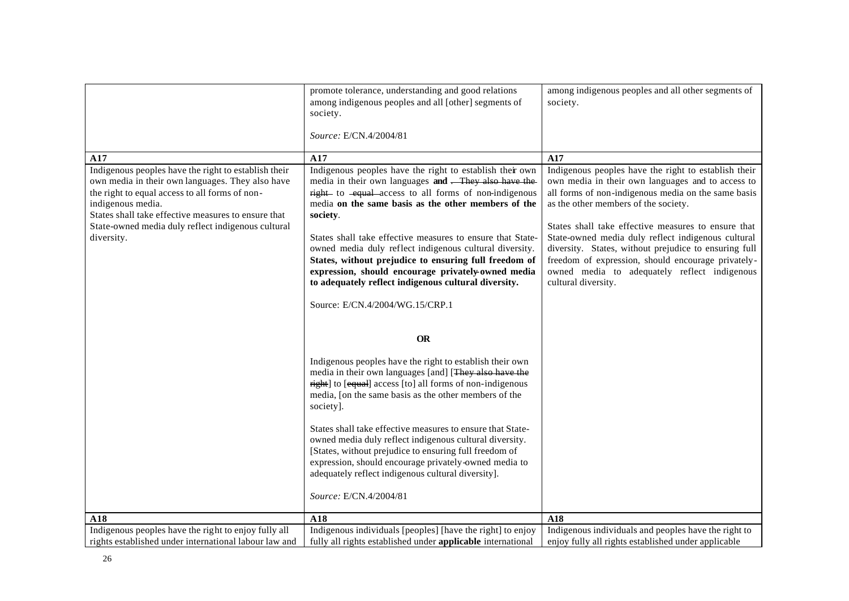|                                                                                                                                                                                                                                                                                                                   | promote tolerance, understanding and good relations<br>among indigenous peoples and all [other] segments of<br>society.<br>Source: E/CN.4/2004/81                                                                                                                                                                                                                                                                                                                                                                                                                                                                                                                                                                                                                                                                                                                                                                                                                                                                                                 | among indigenous peoples and all other segments of<br>society.                                                                                                                                                                                                                                                                                                                                                                                                                                                     |
|-------------------------------------------------------------------------------------------------------------------------------------------------------------------------------------------------------------------------------------------------------------------------------------------------------------------|---------------------------------------------------------------------------------------------------------------------------------------------------------------------------------------------------------------------------------------------------------------------------------------------------------------------------------------------------------------------------------------------------------------------------------------------------------------------------------------------------------------------------------------------------------------------------------------------------------------------------------------------------------------------------------------------------------------------------------------------------------------------------------------------------------------------------------------------------------------------------------------------------------------------------------------------------------------------------------------------------------------------------------------------------|--------------------------------------------------------------------------------------------------------------------------------------------------------------------------------------------------------------------------------------------------------------------------------------------------------------------------------------------------------------------------------------------------------------------------------------------------------------------------------------------------------------------|
|                                                                                                                                                                                                                                                                                                                   |                                                                                                                                                                                                                                                                                                                                                                                                                                                                                                                                                                                                                                                                                                                                                                                                                                                                                                                                                                                                                                                   |                                                                                                                                                                                                                                                                                                                                                                                                                                                                                                                    |
| A17<br>Indigenous peoples have the right to establish their<br>own media in their own languages. They also have<br>the right to equal access to all forms of non-<br>indigenous media.<br>States shall take effective measures to ensure that<br>State-owned media duly reflect indigenous cultural<br>diversity. | A17<br>Indigenous peoples have the right to establish their own<br>media in their own languages and - They also have the<br>right- to -equal-access to all forms of non-indigenous<br>media on the same basis as the other members of the<br>society.<br>States shall take effective measures to ensure that State-<br>owned media duly reflect indigenous cultural diversity.<br>States, without prejudice to ensuring full freedom of<br>expression, should encourage privately-owned media<br>to adequately reflect indigenous cultural diversity.<br>Source: E/CN.4/2004/WG.15/CRP.1<br><b>OR</b><br>Indigenous peoples have the right to establish their own<br>media in their own languages [and] [They also have the<br>right] to [equal] access [to] all forms of non-indigenous<br>media, [on the same basis as the other members of the<br>society].<br>States shall take effective measures to ensure that State-<br>owned media duly reflect indigenous cultural diversity.<br>[States, without prejudice to ensuring full freedom of | A17<br>Indigenous peoples have the right to establish their<br>own media in their own languages and to access to<br>all forms of non-indigenous media on the same basis<br>as the other members of the society.<br>States shall take effective measures to ensure that<br>State-owned media duly reflect indigenous cultural<br>diversity. States, without prejudice to ensuring full<br>freedom of expression, should encourage privately-<br>owned media to adequately reflect indigenous<br>cultural diversity. |
|                                                                                                                                                                                                                                                                                                                   | expression, should encourage privately-owned media to<br>adequately reflect indigenous cultural diversity].<br>Source: E/CN.4/2004/81                                                                                                                                                                                                                                                                                                                                                                                                                                                                                                                                                                                                                                                                                                                                                                                                                                                                                                             |                                                                                                                                                                                                                                                                                                                                                                                                                                                                                                                    |
| A18                                                                                                                                                                                                                                                                                                               | A18                                                                                                                                                                                                                                                                                                                                                                                                                                                                                                                                                                                                                                                                                                                                                                                                                                                                                                                                                                                                                                               | A18                                                                                                                                                                                                                                                                                                                                                                                                                                                                                                                |
| Indigenous peoples have the right to enjoy fully all<br>rights established under international labour law and                                                                                                                                                                                                     | Indigenous individuals [peoples] [have the right] to enjoy<br>fully all rights established under applicable international                                                                                                                                                                                                                                                                                                                                                                                                                                                                                                                                                                                                                                                                                                                                                                                                                                                                                                                         | Indigenous individuals and peoples have the right to<br>enjoy fully all rights established under applicable                                                                                                                                                                                                                                                                                                                                                                                                        |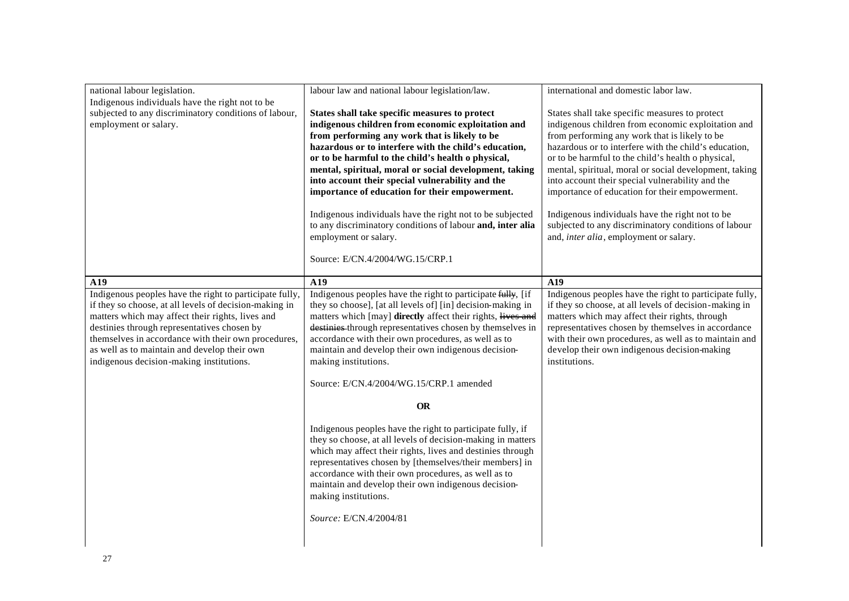| national labour legislation.<br>Indigenous individuals have the right not to be<br>subjected to any discriminatory conditions of labour,<br>employment or salary.                                                                                                                                                                                                       | labour law and national labour legislation/law.<br>States shall take specific measures to protect<br>indigenous children from economic exploitation and<br>from performing any work that is likely to be<br>hazardous or to interfere with the child's education,<br>or to be harmful to the child's health o physical,<br>mental, spiritual, moral or social development, taking<br>into account their special vulnerability and the<br>importance of education for their empowerment.<br>Indigenous individuals have the right not to be subjected<br>to any discriminatory conditions of labour and, inter alia<br>employment or salary.<br>Source: E/CN.4/2004/WG.15/CRP.1 | international and domestic labor law.<br>States shall take specific measures to protect<br>indigenous children from economic exploitation and<br>from performing any work that is likely to be<br>hazardous or to interfere with the child's education,<br>or to be harmful to the child's health o physical,<br>mental, spiritual, moral or social development, taking<br>into account their special vulnerability and the<br>importance of education for their empowerment.<br>Indigenous individuals have the right not to be<br>subjected to any discriminatory conditions of labour<br>and, <i>inter alia</i> , employment or salary. |
|-------------------------------------------------------------------------------------------------------------------------------------------------------------------------------------------------------------------------------------------------------------------------------------------------------------------------------------------------------------------------|--------------------------------------------------------------------------------------------------------------------------------------------------------------------------------------------------------------------------------------------------------------------------------------------------------------------------------------------------------------------------------------------------------------------------------------------------------------------------------------------------------------------------------------------------------------------------------------------------------------------------------------------------------------------------------|--------------------------------------------------------------------------------------------------------------------------------------------------------------------------------------------------------------------------------------------------------------------------------------------------------------------------------------------------------------------------------------------------------------------------------------------------------------------------------------------------------------------------------------------------------------------------------------------------------------------------------------------|
| A19                                                                                                                                                                                                                                                                                                                                                                     | A19                                                                                                                                                                                                                                                                                                                                                                                                                                                                                                                                                                                                                                                                            | A19                                                                                                                                                                                                                                                                                                                                                                                                                                                                                                                                                                                                                                        |
| Indigenous peoples have the right to participate fully,<br>if they so choose, at all levels of decision-making in<br>matters which may affect their rights, lives and<br>destinies through representatives chosen by<br>themselves in accordance with their own procedures,<br>as well as to maintain and develop their own<br>indigenous decision-making institutions. | Indigenous peoples have the right to participate fully, [if<br>they so choose], [at all levels of] [in] decision-making in<br>matters which [may] directly affect their rights, lives and<br>destinies through representatives chosen by themselves in<br>accordance with their own procedures, as well as to<br>maintain and develop their own indigenous decision-<br>making institutions.<br>Source: E/CN.4/2004/WG.15/CRP.1 amended<br><b>OR</b>                                                                                                                                                                                                                           | Indigenous peoples have the right to participate fully,<br>if they so choose, at all levels of decision-making in<br>matters which may affect their rights, through<br>representatives chosen by themselves in accordance<br>with their own procedures, as well as to maintain and<br>develop their own indigenous decision-making<br>institutions.                                                                                                                                                                                                                                                                                        |
|                                                                                                                                                                                                                                                                                                                                                                         | Indigenous peoples have the right to participate fully, if<br>they so choose, at all levels of decision-making in matters<br>which may affect their rights, lives and destinies through<br>representatives chosen by [themselves/their members] in<br>accordance with their own procedures, as well as to<br>maintain and develop their own indigenous decision-<br>making institutions.<br>Source: E/CN.4/2004/81                                                                                                                                                                                                                                                             |                                                                                                                                                                                                                                                                                                                                                                                                                                                                                                                                                                                                                                            |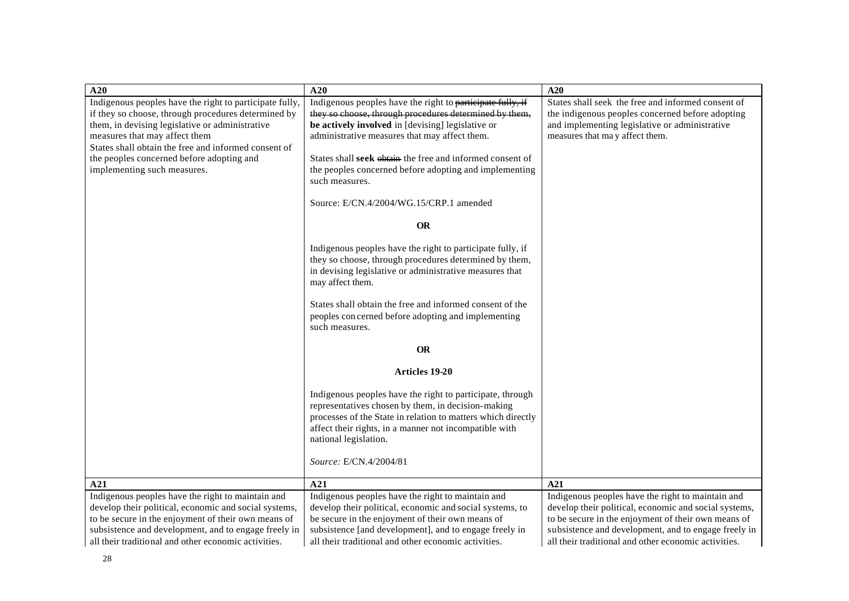| A20                                                                                                        | A20                                                                                                           | A20                                                                                                        |
|------------------------------------------------------------------------------------------------------------|---------------------------------------------------------------------------------------------------------------|------------------------------------------------------------------------------------------------------------|
| Indigenous peoples have the right to participate fully,                                                    | Indigenous peoples have the right to participate fully, if                                                    | States shall seek the free and informed consent of                                                         |
| if they so choose, through procedures determined by                                                        | they so choose, through procedures determined by them,                                                        | the indigenous peoples concerned before adopting                                                           |
| them, in devising legislative or administrative                                                            | be actively involved in [devising] legislative or                                                             | and implementing legislative or administrative                                                             |
| measures that may affect them                                                                              | administrative measures that may affect them.                                                                 | measures that may affect them.                                                                             |
| States shall obtain the free and informed consent of<br>the peoples concerned before adopting and          | States shall seek obtain the free and informed consent of                                                     |                                                                                                            |
| implementing such measures.                                                                                | the peoples concerned before adopting and implementing                                                        |                                                                                                            |
|                                                                                                            | such measures.                                                                                                |                                                                                                            |
|                                                                                                            |                                                                                                               |                                                                                                            |
|                                                                                                            | Source: E/CN.4/2004/WG.15/CRP.1 amended                                                                       |                                                                                                            |
|                                                                                                            | <b>OR</b>                                                                                                     |                                                                                                            |
|                                                                                                            | Indigenous peoples have the right to participate fully, if                                                    |                                                                                                            |
|                                                                                                            | they so choose, through procedures determined by them,                                                        |                                                                                                            |
|                                                                                                            | in devising legislative or administrative measures that                                                       |                                                                                                            |
|                                                                                                            | may affect them.                                                                                              |                                                                                                            |
|                                                                                                            | States shall obtain the free and informed consent of the                                                      |                                                                                                            |
|                                                                                                            | peoples concerned before adopting and implementing                                                            |                                                                                                            |
|                                                                                                            | such measures.                                                                                                |                                                                                                            |
|                                                                                                            | <b>OR</b>                                                                                                     |                                                                                                            |
|                                                                                                            | Articles 19-20                                                                                                |                                                                                                            |
|                                                                                                            |                                                                                                               |                                                                                                            |
|                                                                                                            | Indigenous peoples have the right to participate, through                                                     |                                                                                                            |
|                                                                                                            | representatives chosen by them, in decision-making                                                            |                                                                                                            |
|                                                                                                            | processes of the State in relation to matters which directly                                                  |                                                                                                            |
|                                                                                                            | affect their rights, in a manner not incompatible with                                                        |                                                                                                            |
|                                                                                                            | national legislation.                                                                                         |                                                                                                            |
|                                                                                                            | Source: E/CN.4/2004/81                                                                                        |                                                                                                            |
|                                                                                                            |                                                                                                               |                                                                                                            |
| A21                                                                                                        | A21                                                                                                           | A21                                                                                                        |
| Indigenous peoples have the right to maintain and<br>develop their political, economic and social systems, | Indigenous peoples have the right to maintain and<br>develop their political, economic and social systems, to | Indigenous peoples have the right to maintain and<br>develop their political, economic and social systems, |
| to be secure in the enjoyment of their own means of                                                        | be secure in the enjoyment of their own means of                                                              | to be secure in the enjoyment of their own means of                                                        |
| subsistence and development, and to engage freely in                                                       | subsistence [and development], and to engage freely in                                                        | subsistence and development, and to engage freely in                                                       |
| all their traditional and other economic activities.                                                       | all their traditional and other economic activities.                                                          | all their traditional and other economic activities.                                                       |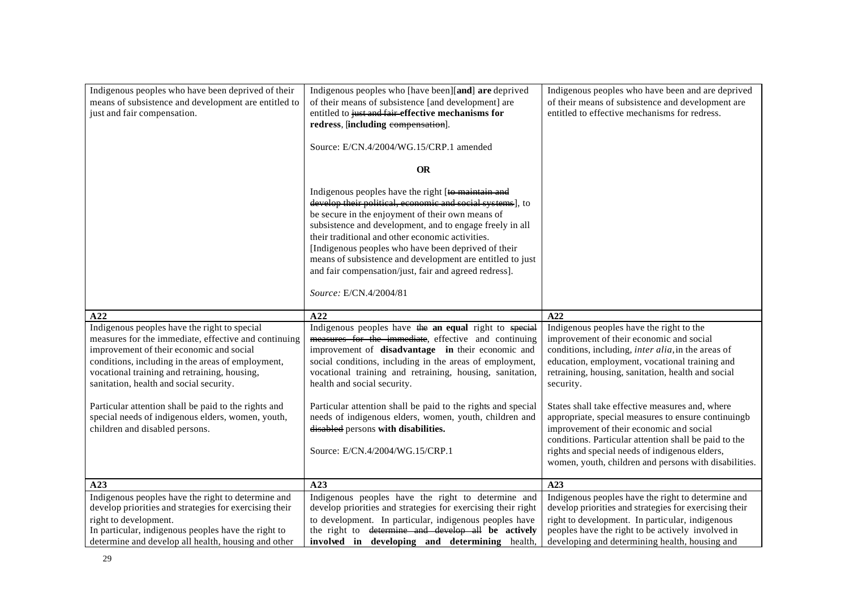| Indigenous peoples who have been deprived of their<br>means of subsistence and development are entitled to<br>just and fair compensation.    | Indigenous peoples who [have been][and] are deprived<br>of their means of subsistence [and development] are<br>entitled to just and fair-effective mechanisms for<br>redress, [including eompensation].<br>Source: E/CN.4/2004/WG.15/CRP.1 amended<br><b>OR</b><br>Indigenous peoples have the right [to maintain and<br>develop their political, economic and social systems], to<br>be secure in the enjoyment of their own means of<br>subsistence and development, and to engage freely in all<br>their traditional and other economic activities. | Indigenous peoples who have been and are deprived<br>of their means of subsistence and development are<br>entitled to effective mechanisms for redress.          |
|----------------------------------------------------------------------------------------------------------------------------------------------|--------------------------------------------------------------------------------------------------------------------------------------------------------------------------------------------------------------------------------------------------------------------------------------------------------------------------------------------------------------------------------------------------------------------------------------------------------------------------------------------------------------------------------------------------------|------------------------------------------------------------------------------------------------------------------------------------------------------------------|
| A22                                                                                                                                          | [Indigenous peoples who have been deprived of their<br>means of subsistence and development are entitled to just<br>and fair compensation/just, fair and agreed redress].<br>Source: E/CN.4/2004/81<br>A22                                                                                                                                                                                                                                                                                                                                             | A22                                                                                                                                                              |
| Indigenous peoples have the right to special                                                                                                 | Indigenous peoples have the an equal right to special                                                                                                                                                                                                                                                                                                                                                                                                                                                                                                  | Indigenous peoples have the right to the                                                                                                                         |
| measures for the immediate, effective and continuing<br>improvement of their economic and social                                             | measures for the immediate, effective and continuing<br>improvement of disadvantage in their economic and                                                                                                                                                                                                                                                                                                                                                                                                                                              | improvement of their economic and social<br>conditions, including, <i>inter alia</i> , in the areas of                                                           |
| conditions, including in the areas of employment,<br>vocational training and retraining, housing,<br>sanitation, health and social security. | social conditions, including in the areas of employment,<br>vocational training and retraining, housing, sanitation,<br>health and social security.                                                                                                                                                                                                                                                                                                                                                                                                    | education, employment, vocational training and<br>retraining, housing, sanitation, health and social<br>security.                                                |
| Particular attention shall be paid to the rights and                                                                                         | Particular attention shall be paid to the rights and special                                                                                                                                                                                                                                                                                                                                                                                                                                                                                           | States shall take effective measures and, where                                                                                                                  |
| special needs of indigenous elders, women, youth,<br>children and disabled persons.                                                          | needs of indigenous elders, women, youth, children and<br>disabled persons with disabilities.                                                                                                                                                                                                                                                                                                                                                                                                                                                          | appropriate, special measures to ensure continuingb<br>improvement of their economic and social                                                                  |
|                                                                                                                                              | Source: E/CN.4/2004/WG.15/CRP.1                                                                                                                                                                                                                                                                                                                                                                                                                                                                                                                        | conditions. Particular attention shall be paid to the<br>rights and special needs of indigenous elders,<br>women, youth, children and persons with disabilities. |
| A23                                                                                                                                          | A23                                                                                                                                                                                                                                                                                                                                                                                                                                                                                                                                                    | A23                                                                                                                                                              |
| Indigenous peoples have the right to determine and<br>develop priorities and strategies for exercising their                                 | Indigenous peoples have the right to determine and<br>develop priorities and strategies for exercising their right                                                                                                                                                                                                                                                                                                                                                                                                                                     | Indigenous peoples have the right to determine and<br>develop priorities and strategies for exercising their                                                     |
| right to development.                                                                                                                        | to development. In particular, indigenous peoples have                                                                                                                                                                                                                                                                                                                                                                                                                                                                                                 | right to development. In particular, indigenous                                                                                                                  |
| In particular, indigenous peoples have the right to<br>determine and develop all health, housing and other                                   | the right to determine and develop all be actively<br>involved in developing and determining health,                                                                                                                                                                                                                                                                                                                                                                                                                                                   | peoples have the right to be actively involved in<br>developing and determining health, housing and                                                              |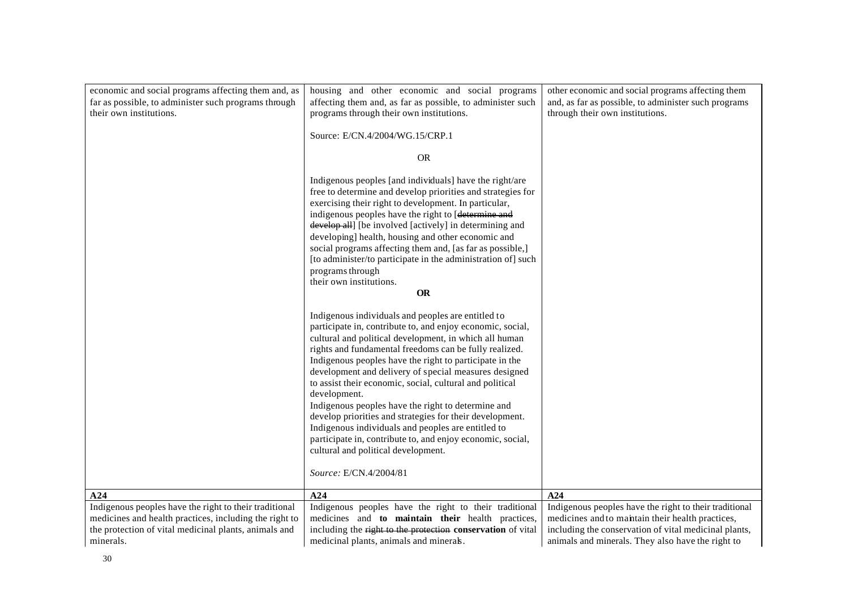| economic and social programs affecting them and, as                                                                                                                                    | housing and other economic and social programs                                                                                                                                                                                                                                                                                                                                                                                                                                                                                                                                                                                                                                                                                              | other economic and social programs affecting them                                                                                                                                                                         |
|----------------------------------------------------------------------------------------------------------------------------------------------------------------------------------------|---------------------------------------------------------------------------------------------------------------------------------------------------------------------------------------------------------------------------------------------------------------------------------------------------------------------------------------------------------------------------------------------------------------------------------------------------------------------------------------------------------------------------------------------------------------------------------------------------------------------------------------------------------------------------------------------------------------------------------------------|---------------------------------------------------------------------------------------------------------------------------------------------------------------------------------------------------------------------------|
| far as possible, to administer such programs through<br>their own institutions.                                                                                                        | affecting them and, as far as possible, to administer such<br>programs through their own institutions.                                                                                                                                                                                                                                                                                                                                                                                                                                                                                                                                                                                                                                      | and, as far as possible, to administer such programs<br>through their own institutions.                                                                                                                                   |
|                                                                                                                                                                                        | Source: E/CN.4/2004/WG.15/CRP.1                                                                                                                                                                                                                                                                                                                                                                                                                                                                                                                                                                                                                                                                                                             |                                                                                                                                                                                                                           |
|                                                                                                                                                                                        | <b>OR</b>                                                                                                                                                                                                                                                                                                                                                                                                                                                                                                                                                                                                                                                                                                                                   |                                                                                                                                                                                                                           |
|                                                                                                                                                                                        | Indigenous peoples [and individuals] have the right/are<br>free to determine and develop priorities and strategies for<br>exercising their right to development. In particular,<br>indigenous peoples have the right to [determine and<br>develop all] [be involved [actively] in determining and<br>developing] health, housing and other economic and<br>social programs affecting them and, [as far as possible,]<br>[to administer/to participate in the administration of] such<br>programs through<br>their own institutions.                                                                                                                                                                                                         |                                                                                                                                                                                                                           |
|                                                                                                                                                                                        | <b>OR</b>                                                                                                                                                                                                                                                                                                                                                                                                                                                                                                                                                                                                                                                                                                                                   |                                                                                                                                                                                                                           |
|                                                                                                                                                                                        | Indigenous individuals and peoples are entitled to<br>participate in, contribute to, and enjoy economic, social,<br>cultural and political development, in which all human<br>rights and fundamental freedoms can be fully realized.<br>Indigenous peoples have the right to participate in the<br>development and delivery of special measures designed<br>to assist their economic, social, cultural and political<br>development.<br>Indigenous peoples have the right to determine and<br>develop priorities and strategies for their development.<br>Indigenous individuals and peoples are entitled to<br>participate in, contribute to, and enjoy economic, social,<br>cultural and political development.<br>Source: E/CN.4/2004/81 |                                                                                                                                                                                                                           |
| A24                                                                                                                                                                                    | A24                                                                                                                                                                                                                                                                                                                                                                                                                                                                                                                                                                                                                                                                                                                                         | A24                                                                                                                                                                                                                       |
| Indigenous peoples have the right to their traditional<br>medicines and health practices, including the right to<br>the protection of vital medicinal plants, animals and<br>minerals. | Indigenous peoples have the right to their traditional<br>medicines and to maintain their health practices,<br>including the right to the protection conservation of vital<br>medicinal plants, animals and minerals.                                                                                                                                                                                                                                                                                                                                                                                                                                                                                                                       | Indigenous peoples have the right to their traditional<br>medicines and to maintain their health practices,<br>including the conservation of vital medicinal plants,<br>animals and minerals. They also have the right to |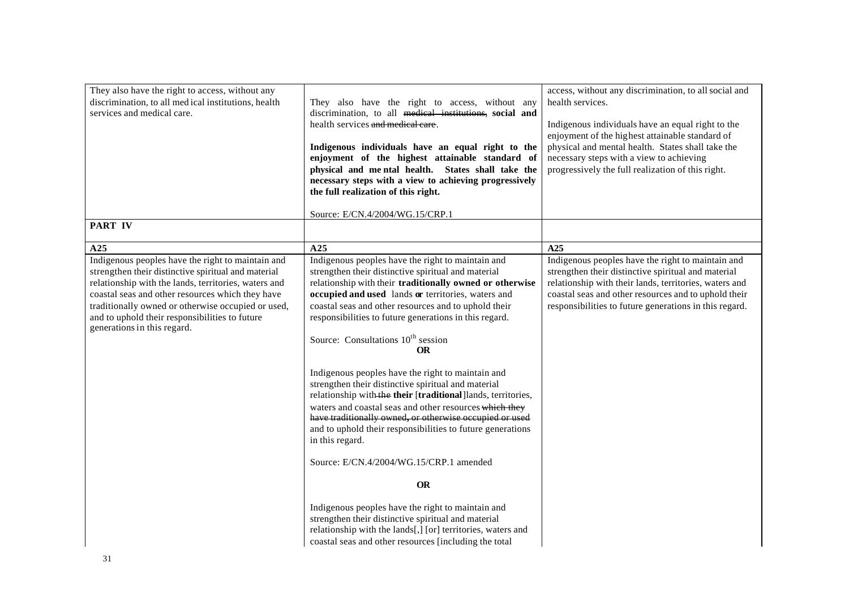| They also have the right to access, without any<br>discrimination, to all medical institutions, health<br>services and medical care.                                                                                                                                                                                                                        | They also have the right to access, without any<br>discrimination, to all medical institutions, social and<br>health services and medical care.<br>Indigenous individuals have an equal right to the<br>enjoyment of the highest attainable standard of<br>physical and mental health. States shall take the<br>necessary steps with a view to achieving progressively<br>the full realization of this right.                                                                                                                                      | access, without any discrimination, to all social and<br>health services.<br>Indigenous individuals have an equal right to the<br>enjoyment of the highest attainable standard of<br>physical and mental health. States shall take the<br>necessary steps with a view to achieving<br>progressively the full realization of this right. |
|-------------------------------------------------------------------------------------------------------------------------------------------------------------------------------------------------------------------------------------------------------------------------------------------------------------------------------------------------------------|----------------------------------------------------------------------------------------------------------------------------------------------------------------------------------------------------------------------------------------------------------------------------------------------------------------------------------------------------------------------------------------------------------------------------------------------------------------------------------------------------------------------------------------------------|-----------------------------------------------------------------------------------------------------------------------------------------------------------------------------------------------------------------------------------------------------------------------------------------------------------------------------------------|
| <b>PART IV</b>                                                                                                                                                                                                                                                                                                                                              | Source: E/CN.4/2004/WG.15/CRP.1                                                                                                                                                                                                                                                                                                                                                                                                                                                                                                                    |                                                                                                                                                                                                                                                                                                                                         |
|                                                                                                                                                                                                                                                                                                                                                             |                                                                                                                                                                                                                                                                                                                                                                                                                                                                                                                                                    |                                                                                                                                                                                                                                                                                                                                         |
| A25                                                                                                                                                                                                                                                                                                                                                         | A25                                                                                                                                                                                                                                                                                                                                                                                                                                                                                                                                                | A25                                                                                                                                                                                                                                                                                                                                     |
| Indigenous peoples have the right to maintain and<br>strengthen their distinctive spiritual and material<br>relationship with the lands, territories, waters and<br>coastal seas and other resources which they have<br>traditionally owned or otherwise occupied or used,<br>and to uphold their responsibilities to future<br>generations in this regard. | Indigenous peoples have the right to maintain and<br>strengthen their distinctive spiritual and material<br>relationship with their traditionally owned or otherwise<br>occupied and used lands or territories, waters and<br>coastal seas and other resources and to uphold their<br>responsibilities to future generations in this regard.<br>Source: Consultations 10 <sup>th</sup> session<br><b>OR</b>                                                                                                                                        | Indigenous peoples have the right to maintain and<br>strengthen their distinctive spiritual and material<br>relationship with their lands, territories, waters and<br>coastal seas and other resources and to uphold their<br>responsibilities to future generations in this regard.                                                    |
|                                                                                                                                                                                                                                                                                                                                                             | Indigenous peoples have the right to maintain and<br>strengthen their distinctive spiritual and material<br>relationship with the their [traditional]lands, territories,<br>waters and coastal seas and other resources which they<br>have traditionally owned, or otherwise occupied or used<br>and to uphold their responsibilities to future generations<br>in this regard.<br>Source: E/CN.4/2004/WG.15/CRP.1 amended<br><b>OR</b><br>Indigenous peoples have the right to maintain and<br>strengthen their distinctive spiritual and material |                                                                                                                                                                                                                                                                                                                                         |
|                                                                                                                                                                                                                                                                                                                                                             | relationship with the lands[,] [or] territories, waters and<br>coastal seas and other resources [including the total                                                                                                                                                                                                                                                                                                                                                                                                                               |                                                                                                                                                                                                                                                                                                                                         |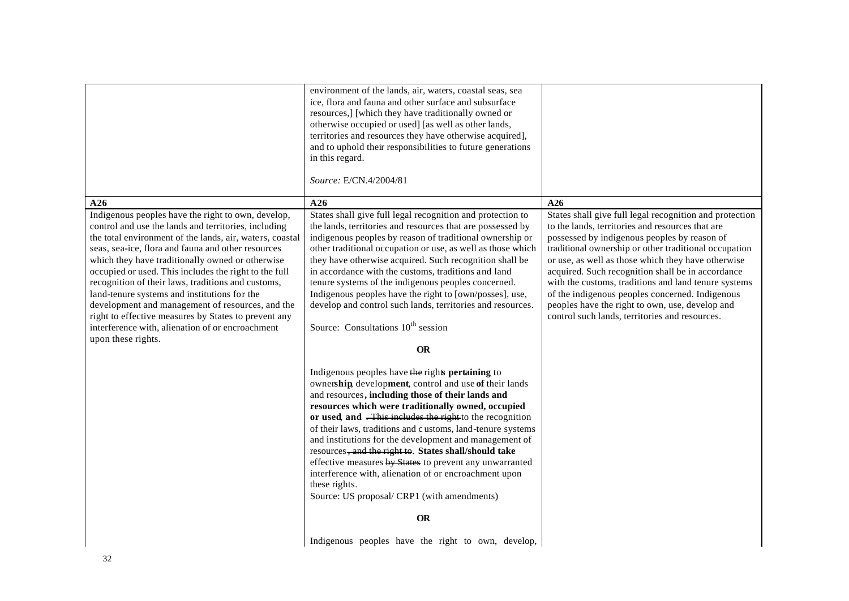|                                                                                                                                                                                                                                                                                                                                                                                                                                                                                                                                                                                                                                       | environment of the lands, air, waters, coastal seas, sea<br>ice, flora and fauna and other surface and subsurface<br>resources,] [which they have traditionally owned or<br>otherwise occupied or used] [as well as other lands,<br>territories and resources they have otherwise acquired],<br>and to uphold their responsibilities to future generations<br>in this regard.<br>Source: E/CN.4/2004/81                                                                                                                                                                                                                                                             |                                                                                                                                                                                                                                                                                                                                                                                                                                                                                                                                                 |
|---------------------------------------------------------------------------------------------------------------------------------------------------------------------------------------------------------------------------------------------------------------------------------------------------------------------------------------------------------------------------------------------------------------------------------------------------------------------------------------------------------------------------------------------------------------------------------------------------------------------------------------|---------------------------------------------------------------------------------------------------------------------------------------------------------------------------------------------------------------------------------------------------------------------------------------------------------------------------------------------------------------------------------------------------------------------------------------------------------------------------------------------------------------------------------------------------------------------------------------------------------------------------------------------------------------------|-------------------------------------------------------------------------------------------------------------------------------------------------------------------------------------------------------------------------------------------------------------------------------------------------------------------------------------------------------------------------------------------------------------------------------------------------------------------------------------------------------------------------------------------------|
| A26                                                                                                                                                                                                                                                                                                                                                                                                                                                                                                                                                                                                                                   | A26                                                                                                                                                                                                                                                                                                                                                                                                                                                                                                                                                                                                                                                                 | A26                                                                                                                                                                                                                                                                                                                                                                                                                                                                                                                                             |
| Indigenous peoples have the right to own, develop,<br>control and use the lands and territories, including<br>the total environment of the lands, air, waters, coastal<br>seas, sea-ice, flora and fauna and other resources<br>which they have traditionally owned or otherwise<br>occupied or used. This includes the right to the full<br>recognition of their laws, traditions and customs,<br>land-tenure systems and institutions for the<br>development and management of resources, and the<br>right to effective measures by States to prevent any<br>interference with, alienation of or encroachment<br>upon these rights. | States shall give full legal recognition and protection to<br>the lands, territories and resources that are possessed by<br>indigenous peoples by reason of traditional ownership or<br>other traditional occupation or use, as well as those which<br>they have otherwise acquired. Such recognition shall be<br>in accordance with the customs, traditions and land<br>tenure systems of the indigenous peoples concerned.<br>Indigenous peoples have the right to [own/posses], use,<br>develop and control such lands, territories and resources.<br>Source: Consultations 10 <sup>th</sup> session                                                             | States shall give full legal recognition and protection<br>to the lands, territories and resources that are<br>possessed by indigenous peoples by reason of<br>traditional ownership or other traditional occupation<br>or use, as well as those which they have otherwise<br>acquired. Such recognition shall be in accordance<br>with the customs, traditions and land tenure systems<br>of the indigenous peoples concerned. Indigenous<br>peoples have the right to own, use, develop and<br>control such lands, territories and resources. |
|                                                                                                                                                                                                                                                                                                                                                                                                                                                                                                                                                                                                                                       | <b>OR</b>                                                                                                                                                                                                                                                                                                                                                                                                                                                                                                                                                                                                                                                           |                                                                                                                                                                                                                                                                                                                                                                                                                                                                                                                                                 |
|                                                                                                                                                                                                                                                                                                                                                                                                                                                                                                                                                                                                                                       | Indigenous peoples have the rights pertaining to<br>ownership development, control and use of their lands<br>and resources, including those of their lands and<br>resources which were traditionally owned, occupied<br>or used, and . This includes the right to the recognition<br>of their laws, traditions and customs, land-tenure systems<br>and institutions for the development and management of<br>resources, and the right to. States shall/should take<br>effective measures by States to prevent any unwarranted<br>interference with, alienation of or encroachment upon<br>these rights.<br>Source: US proposal/ CRP1 (with amendments)<br><b>OR</b> |                                                                                                                                                                                                                                                                                                                                                                                                                                                                                                                                                 |
|                                                                                                                                                                                                                                                                                                                                                                                                                                                                                                                                                                                                                                       | Indigenous peoples have the right to own, develop,                                                                                                                                                                                                                                                                                                                                                                                                                                                                                                                                                                                                                  |                                                                                                                                                                                                                                                                                                                                                                                                                                                                                                                                                 |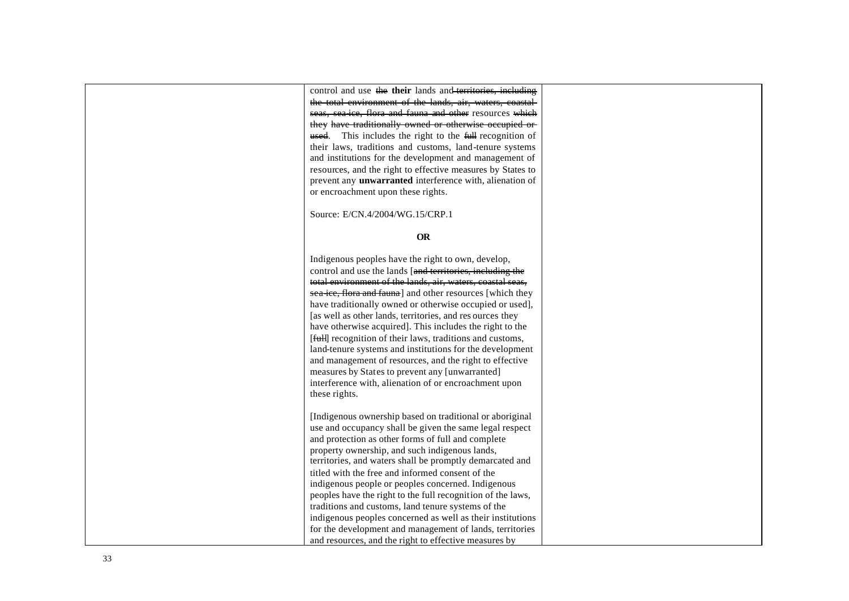control and use the **their** lands and territories, including the total environment of the lands, air, waters, e seas, sea-ice, flora and fauna and other resources which they have traditionally owned or otherwise occupied or used. This includes the right to the full recognition of their laws, traditions and customs, land -tenure systems and institutions for the development and management of resources, and the right to effective measures by States to prevent any **unwarranted** interference with, alienation of or encroachment upon these rights.

Source: E/CN.4/2004/WG.15/CRP.1

#### **OR**

Indigenous peoples have the right to own, develop, control and use the lands [and territories, including the total environment of the lands, air, waters, coastal s sea-ice, flora and fauna] and other resources [which they have traditionally owned or otherwise occupied or used], [as well as other lands, territories, and res ources they have otherwise acquired]. This includes the right to the [*full]* recognition of their laws, traditions and customs, land-tenure systems and institutions for the development and management of resources, and the right to effective measures by States to prevent any [unwarranted] interference with, alienation of or encroachment upon these rights.

[Indigenous ownership based on traditional or aboriginal use and occupancy shall be given the same legal respect and protection as other forms of full and complete property ownership, and such indigenous lands, territories, and waters shall be promptly demarcated and titled with the free and informed consent of the indigenous people or peoples concerned. Indigenous peoples have the right to the full recognition of the laws, traditions and customs, land tenure systems of the indigenous peoples concerned as well as their institutions for the development and management of lands, territories and resources, and the right to effective measures by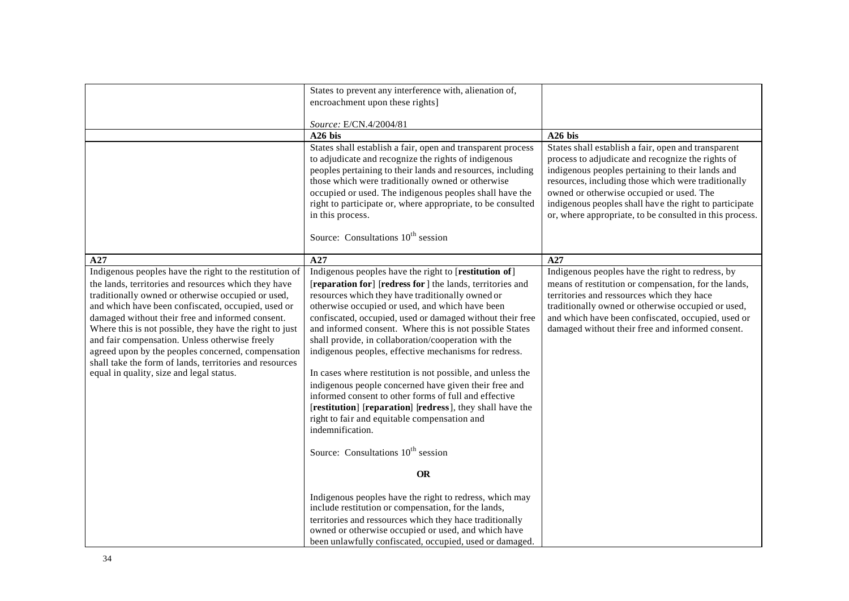|                                                                                                                                                                                                                                                                                                                                                                                                                                                                                                                                                           | States to prevent any interference with, alienation of,                                                                                                                                                                                                                                                                                                                                                                                                                                                                                                                                                                                                                                                                                                                                                                                                                                                                                                                                                                                                                                  |                                                                                                                                                                                                                                                                                                                                                                                      |
|-----------------------------------------------------------------------------------------------------------------------------------------------------------------------------------------------------------------------------------------------------------------------------------------------------------------------------------------------------------------------------------------------------------------------------------------------------------------------------------------------------------------------------------------------------------|------------------------------------------------------------------------------------------------------------------------------------------------------------------------------------------------------------------------------------------------------------------------------------------------------------------------------------------------------------------------------------------------------------------------------------------------------------------------------------------------------------------------------------------------------------------------------------------------------------------------------------------------------------------------------------------------------------------------------------------------------------------------------------------------------------------------------------------------------------------------------------------------------------------------------------------------------------------------------------------------------------------------------------------------------------------------------------------|--------------------------------------------------------------------------------------------------------------------------------------------------------------------------------------------------------------------------------------------------------------------------------------------------------------------------------------------------------------------------------------|
|                                                                                                                                                                                                                                                                                                                                                                                                                                                                                                                                                           | encroachment upon these rights]                                                                                                                                                                                                                                                                                                                                                                                                                                                                                                                                                                                                                                                                                                                                                                                                                                                                                                                                                                                                                                                          |                                                                                                                                                                                                                                                                                                                                                                                      |
|                                                                                                                                                                                                                                                                                                                                                                                                                                                                                                                                                           |                                                                                                                                                                                                                                                                                                                                                                                                                                                                                                                                                                                                                                                                                                                                                                                                                                                                                                                                                                                                                                                                                          |                                                                                                                                                                                                                                                                                                                                                                                      |
|                                                                                                                                                                                                                                                                                                                                                                                                                                                                                                                                                           | Source: E/CN.4/2004/81                                                                                                                                                                                                                                                                                                                                                                                                                                                                                                                                                                                                                                                                                                                                                                                                                                                                                                                                                                                                                                                                   |                                                                                                                                                                                                                                                                                                                                                                                      |
|                                                                                                                                                                                                                                                                                                                                                                                                                                                                                                                                                           | A26 bis                                                                                                                                                                                                                                                                                                                                                                                                                                                                                                                                                                                                                                                                                                                                                                                                                                                                                                                                                                                                                                                                                  | $A26$ bis                                                                                                                                                                                                                                                                                                                                                                            |
|                                                                                                                                                                                                                                                                                                                                                                                                                                                                                                                                                           | States shall establish a fair, open and transparent process<br>to adjudicate and recognize the rights of indigenous<br>peoples pertaining to their lands and resources, including<br>those which were traditionally owned or otherwise<br>occupied or used. The indigenous peoples shall have the<br>right to participate or, where appropriate, to be consulted<br>in this process.<br>Source: Consultations 10 <sup>th</sup> session                                                                                                                                                                                                                                                                                                                                                                                                                                                                                                                                                                                                                                                   | States shall establish a fair, open and transparent<br>process to adjudicate and recognize the rights of<br>indigenous peoples pertaining to their lands and<br>resources, including those which were traditionally<br>owned or otherwise occupied or used. The<br>indigenous peoples shall have the right to participate<br>or, where appropriate, to be consulted in this process. |
| A27                                                                                                                                                                                                                                                                                                                                                                                                                                                                                                                                                       | A27                                                                                                                                                                                                                                                                                                                                                                                                                                                                                                                                                                                                                                                                                                                                                                                                                                                                                                                                                                                                                                                                                      | A27                                                                                                                                                                                                                                                                                                                                                                                  |
| Indigenous peoples have the right to the restitution of<br>the lands, territories and resources which they have<br>traditionally owned or otherwise occupied or used,<br>and which have been confiscated, occupied, used or<br>damaged without their free and informed consent.<br>Where this is not possible, they have the right to just<br>and fair compensation. Unless otherwise freely<br>agreed upon by the peoples concerned, compensation<br>shall take the form of lands, territories and resources<br>equal in quality, size and legal status. | Indigenous peoples have the right to [restitution of]<br>[reparation for] [redress for ] the lands, territories and<br>resources which they have traditionally owned or<br>otherwise occupied or used, and which have been<br>confiscated, occupied, used or damaged without their free<br>and informed consent. Where this is not possible States<br>shall provide, in collaboration/cooperation with the<br>indigenous peoples, effective mechanisms for redress.<br>In cases where restitution is not possible, and unless the<br>indigenous people concerned have given their free and<br>informed consent to other forms of full and effective<br>[restitution] [reparation] [redress], they shall have the<br>right to fair and equitable compensation and<br>indemnification.<br>Source: Consultations 10 <sup>th</sup> session<br><b>OR</b><br>Indigenous peoples have the right to redress, which may<br>include restitution or compensation, for the lands,<br>territories and ressources which they hace traditionally<br>owned or otherwise occupied or used, and which have | Indigenous peoples have the right to redress, by<br>means of restitution or compensation, for the lands,<br>territories and ressources which they hace<br>traditionally owned or otherwise occupied or used,<br>and which have been confiscated, occupied, used or<br>damaged without their free and informed consent.                                                               |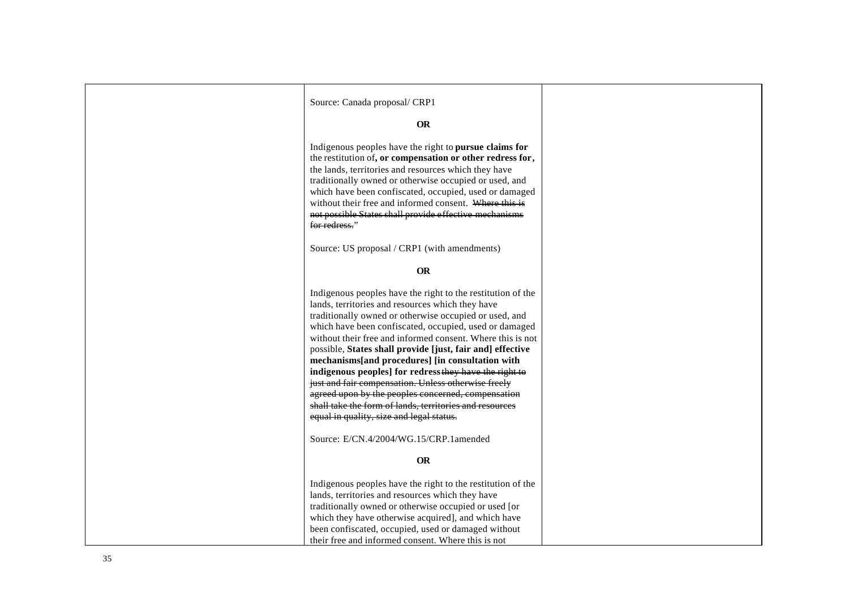| Source: Canada proposal/ CRP1                                                                                                                                                                                                                                                                                                                                                                                                                                                                                                                                                                                                                                                                                                              |  |
|--------------------------------------------------------------------------------------------------------------------------------------------------------------------------------------------------------------------------------------------------------------------------------------------------------------------------------------------------------------------------------------------------------------------------------------------------------------------------------------------------------------------------------------------------------------------------------------------------------------------------------------------------------------------------------------------------------------------------------------------|--|
|                                                                                                                                                                                                                                                                                                                                                                                                                                                                                                                                                                                                                                                                                                                                            |  |
| <b>OR</b>                                                                                                                                                                                                                                                                                                                                                                                                                                                                                                                                                                                                                                                                                                                                  |  |
| Indigenous peoples have the right to pursue claims for<br>the restitution of, or compensation or other redress for,<br>the lands, territories and resources which they have<br>traditionally owned or otherwise occupied or used, and<br>which have been confiscated, occupied, used or damaged<br>without their free and informed consent. Where this is<br>not possible States shall provide effective mechanisms<br>for redress."                                                                                                                                                                                                                                                                                                       |  |
| Source: US proposal / CRP1 (with amendments)                                                                                                                                                                                                                                                                                                                                                                                                                                                                                                                                                                                                                                                                                               |  |
| <b>OR</b>                                                                                                                                                                                                                                                                                                                                                                                                                                                                                                                                                                                                                                                                                                                                  |  |
|                                                                                                                                                                                                                                                                                                                                                                                                                                                                                                                                                                                                                                                                                                                                            |  |
| Indigenous peoples have the right to the restitution of the<br>lands, territories and resources which they have<br>traditionally owned or otherwise occupied or used, and<br>which have been confiscated, occupied, used or damaged<br>without their free and informed consent. Where this is not<br>possible, States shall provide [just, fair and] effective<br>mechanisms[and procedures] [in consultation with<br>indigenous peoples] for redress they have the right to<br>just and fair compensation. Unless otherwise freely<br>agreed upon by the peoples concerned, compensation<br>shall take the form of lands, territories and resources<br>equal in quality, size and legal status.<br>Source: E/CN.4/2004/WG.15/CRP.1amended |  |
| <b>OR</b>                                                                                                                                                                                                                                                                                                                                                                                                                                                                                                                                                                                                                                                                                                                                  |  |
| Indigenous peoples have the right to the restitution of the<br>lands, territories and resources which they have<br>traditionally owned or otherwise occupied or used [or<br>which they have otherwise acquired], and which have<br>been confiscated, occupied, used or damaged without<br>their free and informed consent. Where this is not                                                                                                                                                                                                                                                                                                                                                                                               |  |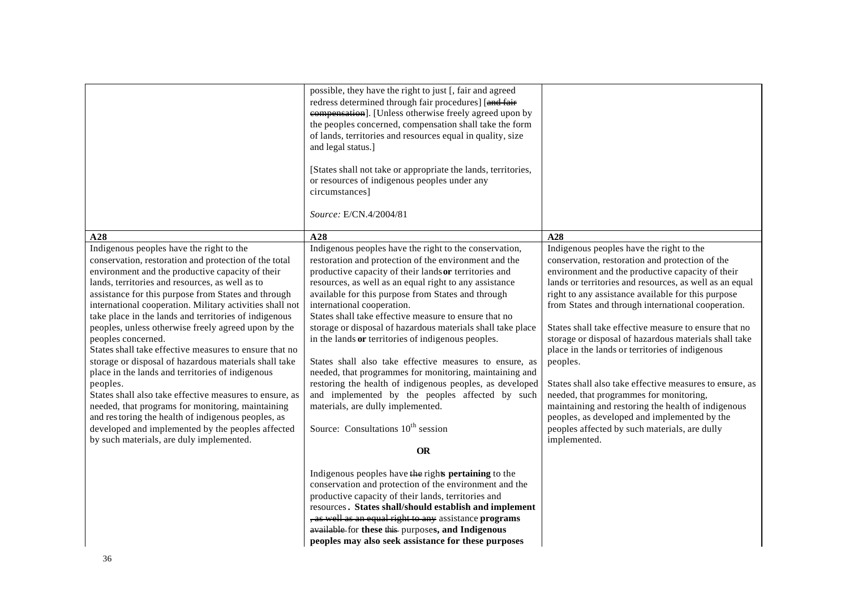|                                                                                                                                                                                                                                                                                                                                                                                                                                                                                                                                                                                                                                                                                                                                                                                                                                                                                                                             | possible, they have the right to just [, fair and agreed<br>redress determined through fair procedures] [and fair<br>compensation]. [Unless otherwise freely agreed upon by<br>the peoples concerned, compensation shall take the form<br>of lands, territories and resources equal in quality, size<br>and legal status.]<br>[States shall not take or appropriate the lands, territories,<br>or resources of indigenous peoples under any<br>circumstances]<br>Source: E/CN.4/2004/81                                                                                                                                                                                                                                                                                                                                                       |                                                                                                                                                                                                                                                                                                                                                                                                                                                                                                                                                                                                                                                                                                                                                                                      |
|-----------------------------------------------------------------------------------------------------------------------------------------------------------------------------------------------------------------------------------------------------------------------------------------------------------------------------------------------------------------------------------------------------------------------------------------------------------------------------------------------------------------------------------------------------------------------------------------------------------------------------------------------------------------------------------------------------------------------------------------------------------------------------------------------------------------------------------------------------------------------------------------------------------------------------|-----------------------------------------------------------------------------------------------------------------------------------------------------------------------------------------------------------------------------------------------------------------------------------------------------------------------------------------------------------------------------------------------------------------------------------------------------------------------------------------------------------------------------------------------------------------------------------------------------------------------------------------------------------------------------------------------------------------------------------------------------------------------------------------------------------------------------------------------|--------------------------------------------------------------------------------------------------------------------------------------------------------------------------------------------------------------------------------------------------------------------------------------------------------------------------------------------------------------------------------------------------------------------------------------------------------------------------------------------------------------------------------------------------------------------------------------------------------------------------------------------------------------------------------------------------------------------------------------------------------------------------------------|
| A28                                                                                                                                                                                                                                                                                                                                                                                                                                                                                                                                                                                                                                                                                                                                                                                                                                                                                                                         | A28                                                                                                                                                                                                                                                                                                                                                                                                                                                                                                                                                                                                                                                                                                                                                                                                                                           | A28                                                                                                                                                                                                                                                                                                                                                                                                                                                                                                                                                                                                                                                                                                                                                                                  |
| Indigenous peoples have the right to the<br>conservation, restoration and protection of the total<br>environment and the productive capacity of their<br>lands, territories and resources, as well as to<br>assistance for this purpose from States and through<br>international cooperation. Military activities shall not<br>take place in the lands and territories of indigenous<br>peoples, unless otherwise freely agreed upon by the<br>peoples concerned.<br>States shall take effective measures to ensure that no<br>storage or disposal of hazardous materials shall take<br>place in the lands and territories of indigenous<br>peoples.<br>States shall also take effective measures to ensure, as<br>needed, that programs for monitoring, maintaining<br>and restoring the health of indigenous peoples, as<br>developed and implemented by the peoples affected<br>by such materials, are duly implemented. | Indigenous peoples have the right to the conservation,<br>restoration and protection of the environment and the<br>productive capacity of their lands or territories and<br>resources, as well as an equal right to any assistance<br>available for this purpose from States and through<br>international cooperation.<br>States shall take effective measure to ensure that no<br>storage or disposal of hazardous materials shall take place<br>in the lands or territories of indigenous peoples.<br>States shall also take effective measures to ensure, as<br>needed, that programmes for monitoring, maintaining and<br>restoring the health of indigenous peoples, as developed<br>and implemented by the peoples affected by such<br>materials, are dully implemented.<br>Source: Consultations 10 <sup>th</sup> session<br><b>OR</b> | Indigenous peoples have the right to the<br>conservation, restoration and protection of the<br>environment and the productive capacity of their<br>lands or territories and resources, as well as an equal<br>right to any assistance available for this purpose<br>from States and through international cooperation.<br>States shall take effective measure to ensure that no<br>storage or disposal of hazardous materials shall take<br>place in the lands or territories of indigenous<br>peoples.<br>States shall also take effective measures to ensure, as<br>needed, that programmes for monitoring,<br>maintaining and restoring the health of indigenous<br>peoples, as developed and implemented by the<br>peoples affected by such materials, are dully<br>implemented. |
|                                                                                                                                                                                                                                                                                                                                                                                                                                                                                                                                                                                                                                                                                                                                                                                                                                                                                                                             | Indigenous peoples have the rights pertaining to the<br>conservation and protection of the environment and the<br>productive capacity of their lands, territories and<br>resources. States shall/should establish and implement<br>, as well as an equal right to any assistance programs<br>available for these this purposes, and Indigenous<br>peoples may also seek assistance for these purposes                                                                                                                                                                                                                                                                                                                                                                                                                                         |                                                                                                                                                                                                                                                                                                                                                                                                                                                                                                                                                                                                                                                                                                                                                                                      |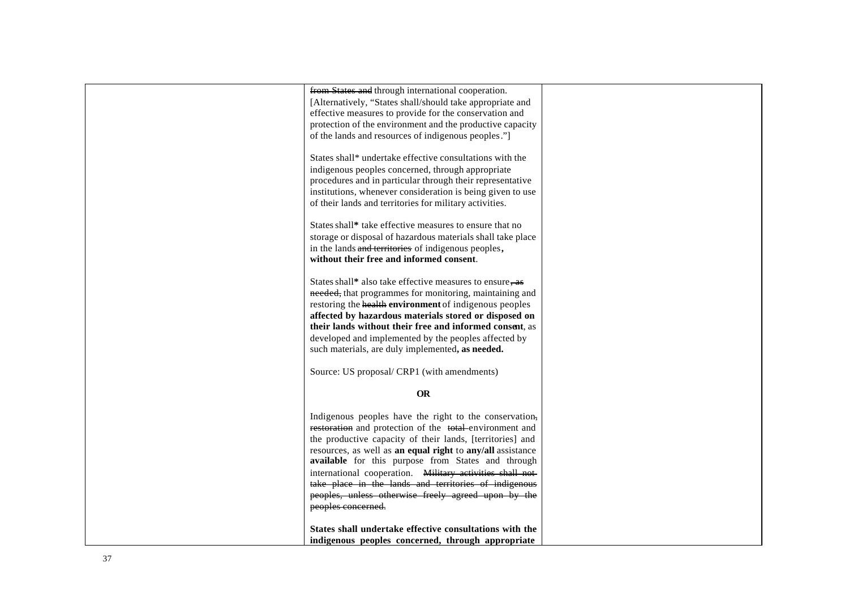| from States and through international cooperation.          |  |
|-------------------------------------------------------------|--|
| [Alternatively, "States shall/should take appropriate and   |  |
| effective measures to provide for the conservation and      |  |
| protection of the environment and the productive capacity   |  |
| of the lands and resources of indigenous peoples."]         |  |
|                                                             |  |
| States shall* undertake effective consultations with the    |  |
| indigenous peoples concerned, through appropriate           |  |
| procedures and in particular through their representative   |  |
| institutions, whenever consideration is being given to use  |  |
| of their lands and territories for military activities.     |  |
|                                                             |  |
| States shall* take effective measures to ensure that no     |  |
| storage or disposal of hazardous materials shall take place |  |
| in the lands and territories of indigenous peoples,         |  |
| without their free and informed consent.                    |  |
|                                                             |  |
| States shall* also take effective measures to ensure, as    |  |
| needed, that programmes for monitoring, maintaining and     |  |
| restoring the health environment of indigenous peoples      |  |
| affected by hazardous materials stored or disposed on       |  |
| their lands without their free and informed consent, as     |  |
| developed and implemented by the peoples affected by        |  |
| such materials, are duly implemented, as needed.            |  |
|                                                             |  |
| Source: US proposal/ CRP1 (with amendments)                 |  |
|                                                             |  |
| <b>OR</b>                                                   |  |
| Indigenous peoples have the right to the conservation,      |  |
| restoration and protection of the total environment and     |  |
|                                                             |  |
| the productive capacity of their lands, [territories] and   |  |
| resources, as well as an equal right to any/all assistance  |  |
| available for this purpose from States and through          |  |
| international cooperation. Military activities shall not-   |  |
| take place in the lands and territories of indigenous       |  |
| peoples, unless otherwise freely agreed upon by the         |  |
| peoples concerned.                                          |  |
|                                                             |  |
| States shall undertake effective consultations with the     |  |
| indigenous peoples concerned, through appropriate           |  |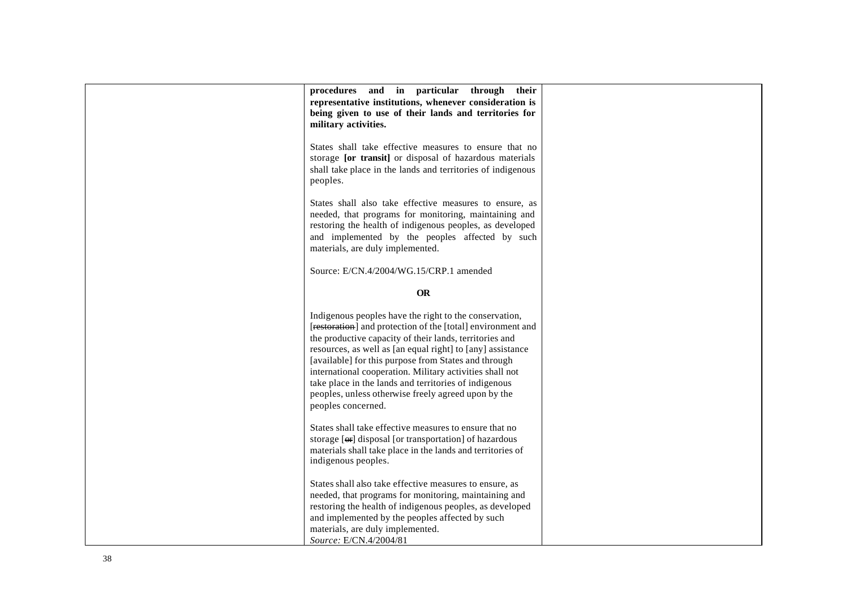| procedures and in particular<br>through<br>their                    |  |
|---------------------------------------------------------------------|--|
|                                                                     |  |
| representative institutions, whenever consideration is              |  |
| being given to use of their lands and territories for               |  |
| military activities.                                                |  |
|                                                                     |  |
|                                                                     |  |
| States shall take effective measures to ensure that no              |  |
| storage [or transit] or disposal of hazardous materials             |  |
| shall take place in the lands and territories of indigenous         |  |
| peoples.                                                            |  |
|                                                                     |  |
| States shall also take effective measures to ensure, as             |  |
|                                                                     |  |
| needed, that programs for monitoring, maintaining and               |  |
| restoring the health of indigenous peoples, as developed            |  |
| and implemented by the peoples affected by such                     |  |
| materials, are duly implemented.                                    |  |
|                                                                     |  |
| Source: E/CN.4/2004/WG.15/CRP.1 amended                             |  |
|                                                                     |  |
|                                                                     |  |
| <b>OR</b>                                                           |  |
|                                                                     |  |
| Indigenous peoples have the right to the conservation,              |  |
| [restoration] and protection of the [total] environment and         |  |
| the productive capacity of their lands, territories and             |  |
| resources, as well as [an equal right] to [any] assistance          |  |
|                                                                     |  |
| [available] for this purpose from States and through                |  |
| international cooperation. Military activities shall not            |  |
| take place in the lands and territories of indigenous               |  |
| peoples, unless otherwise freely agreed upon by the                 |  |
| peoples concerned.                                                  |  |
|                                                                     |  |
| States shall take effective measures to ensure that no              |  |
|                                                                     |  |
| storage [ <del>or</del> ] disposal [or transportation] of hazardous |  |
| materials shall take place in the lands and territories of          |  |
| indigenous peoples.                                                 |  |
|                                                                     |  |
| States shall also take effective measures to ensure, as             |  |
| needed, that programs for monitoring, maintaining and               |  |
| restoring the health of indigenous peoples, as developed            |  |
|                                                                     |  |
| and implemented by the peoples affected by such                     |  |
| materials, are duly implemented.                                    |  |
| Source: E/CN.4/2004/81                                              |  |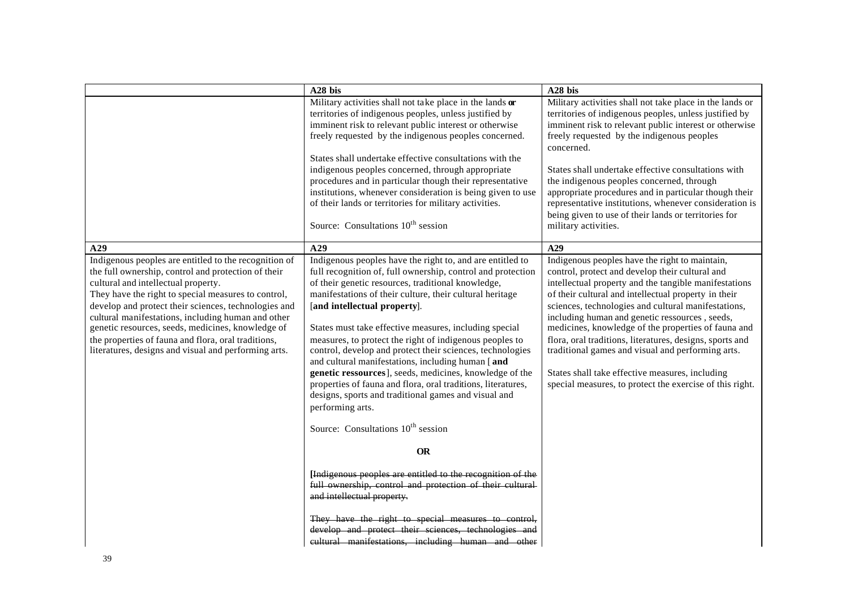|                                                                                                                                                                                                                                                                                                                                                                                                                                                                                              | A28 bis                                                                                                                                                                                                                                                                                                                                                                                                                                                                                                                                                                                                                                                                                                                                                             | A28 bis                                                                                                                                                                                                                                                                                                                                                                                                                                                                                                                                                                                                            |
|----------------------------------------------------------------------------------------------------------------------------------------------------------------------------------------------------------------------------------------------------------------------------------------------------------------------------------------------------------------------------------------------------------------------------------------------------------------------------------------------|---------------------------------------------------------------------------------------------------------------------------------------------------------------------------------------------------------------------------------------------------------------------------------------------------------------------------------------------------------------------------------------------------------------------------------------------------------------------------------------------------------------------------------------------------------------------------------------------------------------------------------------------------------------------------------------------------------------------------------------------------------------------|--------------------------------------------------------------------------------------------------------------------------------------------------------------------------------------------------------------------------------------------------------------------------------------------------------------------------------------------------------------------------------------------------------------------------------------------------------------------------------------------------------------------------------------------------------------------------------------------------------------------|
|                                                                                                                                                                                                                                                                                                                                                                                                                                                                                              | Military activities shall not take place in the lands or<br>territories of indigenous peoples, unless justified by<br>imminent risk to relevant public interest or otherwise<br>freely requested by the indigenous peoples concerned.                                                                                                                                                                                                                                                                                                                                                                                                                                                                                                                               | Military activities shall not take place in the lands or<br>territories of indigenous peoples, unless justified by<br>imminent risk to relevant public interest or otherwise<br>freely requested by the indigenous peoples<br>concerned.                                                                                                                                                                                                                                                                                                                                                                           |
|                                                                                                                                                                                                                                                                                                                                                                                                                                                                                              | States shall undertake effective consultations with the<br>indigenous peoples concerned, through appropriate<br>procedures and in particular though their representative<br>institutions, whenever consideration is being given to use<br>of their lands or territories for military activities.<br>Source: Consultations 10 <sup>th</sup> session                                                                                                                                                                                                                                                                                                                                                                                                                  | States shall undertake effective consultations with<br>the indigenous peoples concerned, through<br>appropriate procedures and in particular though their<br>representative institutions, whenever consideration is<br>being given to use of their lands or territories for<br>military activities.                                                                                                                                                                                                                                                                                                                |
| A29                                                                                                                                                                                                                                                                                                                                                                                                                                                                                          | A29                                                                                                                                                                                                                                                                                                                                                                                                                                                                                                                                                                                                                                                                                                                                                                 | A29                                                                                                                                                                                                                                                                                                                                                                                                                                                                                                                                                                                                                |
| Indigenous peoples are entitled to the recognition of<br>the full ownership, control and protection of their<br>cultural and intellectual property.<br>They have the right to special measures to control,<br>develop and protect their sciences, technologies and<br>cultural manifestations, including human and other<br>genetic resources, seeds, medicines, knowledge of<br>the properties of fauna and flora, oral traditions,<br>literatures, designs and visual and performing arts. | Indigenous peoples have the right to, and are entitled to<br>full recognition of, full ownership, control and protection<br>of their genetic resources, traditional knowledge,<br>manifestations of their culture, their cultural heritage<br>[and intellectual property].<br>States must take effective measures, including special<br>measures, to protect the right of indigenous peoples to<br>control, develop and protect their sciences, technologies<br>and cultural manifestations, including human [and<br>genetic ressources], seeds, medicines, knowledge of the<br>properties of fauna and flora, oral traditions, literatures,<br>designs, sports and traditional games and visual and<br>performing arts.<br>Source: Consultations $10^{th}$ session | Indigenous peoples have the right to maintain,<br>control, protect and develop their cultural and<br>intellectual property and the tangible manifestations<br>of their cultural and intellectual property in their<br>sciences, technologies and cultural manifestations,<br>including human and genetic ressources, seeds,<br>medicines, knowledge of the properties of fauna and<br>flora, oral traditions, literatures, designs, sports and<br>traditional games and visual and performing arts.<br>States shall take effective measures, including<br>special measures, to protect the exercise of this right. |
|                                                                                                                                                                                                                                                                                                                                                                                                                                                                                              | <b>OR</b>                                                                                                                                                                                                                                                                                                                                                                                                                                                                                                                                                                                                                                                                                                                                                           |                                                                                                                                                                                                                                                                                                                                                                                                                                                                                                                                                                                                                    |
|                                                                                                                                                                                                                                                                                                                                                                                                                                                                                              | [Indigenous peoples are entitled to the recognition of the<br>full ownership, control and protection of their cultural<br>and intellectual property.<br>They have the right to special measures to control,<br>develop and protect their sciences, technologies and<br>eultural manifestations, including human and other                                                                                                                                                                                                                                                                                                                                                                                                                                           |                                                                                                                                                                                                                                                                                                                                                                                                                                                                                                                                                                                                                    |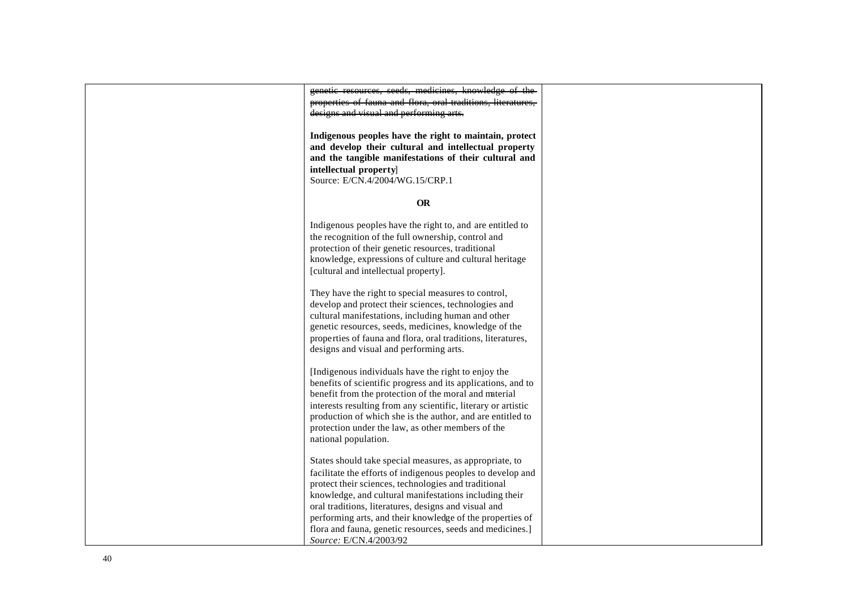genetic resources, seeds, medicines, knowledge of the properties of fauna and flora, oral traditions, literatures, designs and visual and performing arts.

**Indigenous peoples have the right to maintain, protect and develop their cultural and intellectual property and the tangible manifestations of their cultural and intellectual property**] Source: E/CN.4/2004/WG.15/CRP.1

#### **OR**

Indigenous peoples have the right to, and are entitled to the recognition of the full ownership, control and protection of their genetic resources, traditional knowledge, expressions of culture and cultural heritag e [cultural and intellectual property].

They have the right to special measures to control, develop and protect their sciences, technologies and cultural manifestations, including human and other genetic resources, seeds, medicines, knowledge of the properties of fauna and flora, oral traditions, literatures, designs and visual and performing arts.

[Indigenous individuals have the right to enjoy the benefits of scientific progress and its applications, and to benefit from the protection of the moral and material interests resulting from any scientific, literary or artistic production of which she is the author, and are entitled to protection under the law, as other members of the national population.

States should take special measures, as appropriate, to facilitate the efforts of indigenous peoples to develop and protect their sciences, technologies and traditional knowledge, and cultural manifestations including their oral traditions, literatures, designs and visual and performing arts, and their knowledge of the properties of flora and fauna, genetic resources, seeds and medicines.] *Source:* E/CN.4/2003/92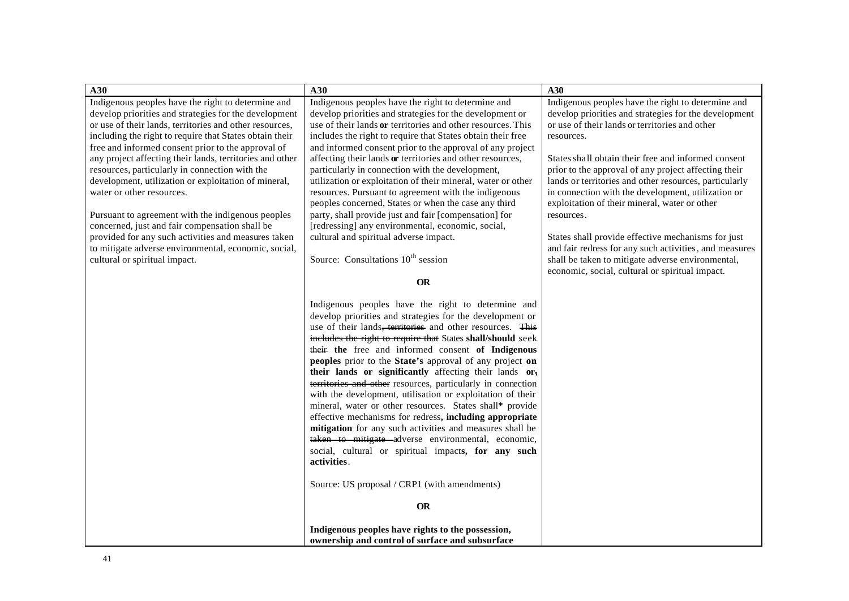| A30                                                      | A30                                                          | A30                                                    |
|----------------------------------------------------------|--------------------------------------------------------------|--------------------------------------------------------|
| Indigenous peoples have the right to determine and       | Indigenous peoples have the right to determine and           | Indigenous peoples have the right to determine and     |
| develop priorities and strategies for the development    | develop priorities and strategies for the development or     | develop priorities and strategies for the development  |
| or use of their lands, territories and other resources,  | use of their lands or territories and other resources. This  | or use of their lands or territories and other         |
| including the right to require that States obtain their  | includes the right to require that States obtain their free  | resources.                                             |
| free and informed consent prior to the approval of       | and informed consent prior to the approval of any project    |                                                        |
| any project affecting their lands, territories and other | affecting their lands or territories and other resources,    | States shall obtain their free and informed consent    |
| resources, particularly in connection with the           | particularly in connection with the development,             | prior to the approval of any project affecting their   |
| development, utilization or exploitation of mineral,     | utilization or exploitation of their mineral, water or other | lands or territories and other resources, particularly |
| water or other resources.                                | resources. Pursuant to agreement with the indigenous         | in connection with the development, utilization or     |
|                                                          | peoples concerned, States or when the case any third         | exploitation of their mineral, water or other          |
| Pursuant to agreement with the indigenous peoples        | party, shall provide just and fair [compensation] for        | resources.                                             |
| concerned, just and fair compensation shall be           | [redressing] any environmental, economic, social,            |                                                        |
| provided for any such activities and measures taken      | cultural and spiritual adverse impact.                       | States shall provide effective mechanisms for just     |
| to mitigate adverse environmental, economic, social,     |                                                              | and fair redress for any such activities, and measures |
| cultural or spiritual impact.                            | Source: Consultations 10 <sup>th</sup> session               | shall be taken to mitigate adverse environmental,      |
|                                                          |                                                              | economic, social, cultural or spiritual impact.        |
|                                                          | <b>OR</b>                                                    |                                                        |
|                                                          | Indigenous peoples have the right to determine and           |                                                        |
|                                                          | develop priorities and strategies for the development or     |                                                        |
|                                                          | use of their lands, territories and other resources. This    |                                                        |
|                                                          | includes the right to require that States shall/should seek  |                                                        |
|                                                          | their the free and informed consent of Indigenous            |                                                        |
|                                                          | peoples prior to the State's approval of any project on      |                                                        |
|                                                          | their lands or significantly affecting their lands or,       |                                                        |
|                                                          | territories and other resources, particularly in connection  |                                                        |
|                                                          | with the development, utilisation or exploitation of their   |                                                        |
|                                                          | mineral, water or other resources. States shall* provide     |                                                        |
|                                                          | effective mechanisms for redress, including appropriate      |                                                        |
|                                                          | mitigation for any such activities and measures shall be     |                                                        |
|                                                          | taken to mitigate adverse environmental, economic,           |                                                        |
|                                                          | social, cultural or spiritual impacts, for any such          |                                                        |
|                                                          | activities.                                                  |                                                        |
|                                                          | Source: US proposal / CRP1 (with amendments)                 |                                                        |
|                                                          |                                                              |                                                        |
|                                                          | <b>OR</b>                                                    |                                                        |
|                                                          | Indigenous peoples have rights to the possession,            |                                                        |
|                                                          | ownership and control of surface and subsurface              |                                                        |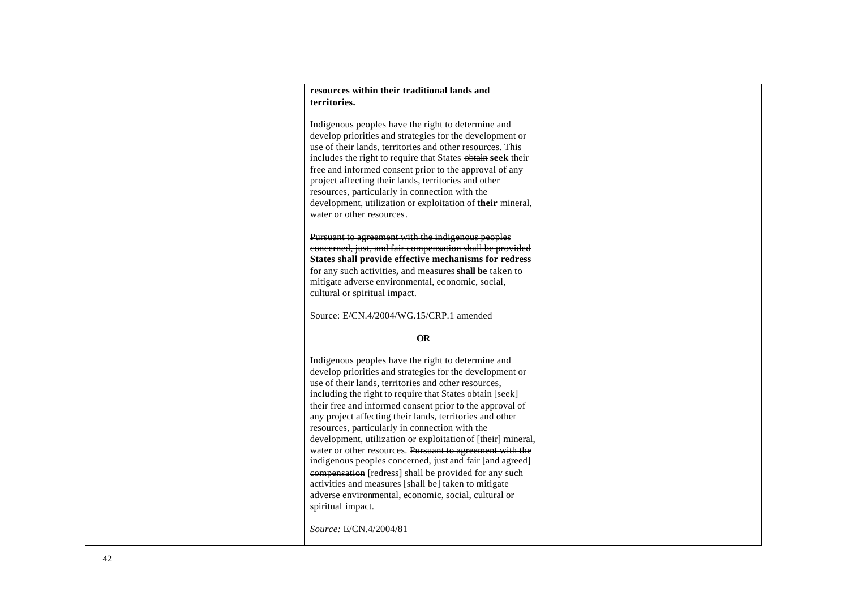| resources within their traditional lands and                                                                                                                                                                                                                                                                                                                                                                                                                                                                                                                                                                                                                                                                                                                                                       |  |
|----------------------------------------------------------------------------------------------------------------------------------------------------------------------------------------------------------------------------------------------------------------------------------------------------------------------------------------------------------------------------------------------------------------------------------------------------------------------------------------------------------------------------------------------------------------------------------------------------------------------------------------------------------------------------------------------------------------------------------------------------------------------------------------------------|--|
| territories.                                                                                                                                                                                                                                                                                                                                                                                                                                                                                                                                                                                                                                                                                                                                                                                       |  |
|                                                                                                                                                                                                                                                                                                                                                                                                                                                                                                                                                                                                                                                                                                                                                                                                    |  |
| Indigenous peoples have the right to determine and<br>develop priorities and strategies for the development or<br>use of their lands, territories and other resources. This<br>includes the right to require that States obtain seek their<br>free and informed consent prior to the approval of any<br>project affecting their lands, territories and other<br>resources, particularly in connection with the<br>development, utilization or exploitation of their mineral,<br>water or other resources.                                                                                                                                                                                                                                                                                          |  |
|                                                                                                                                                                                                                                                                                                                                                                                                                                                                                                                                                                                                                                                                                                                                                                                                    |  |
| Pursuant to agreement with the indigenous peoples<br>concerned, just, and fair compensation shall be provided<br>States shall provide effective mechanisms for redress<br>for any such activities, and measures shall be taken to<br>mitigate adverse environmental, economic, social,<br>cultural or spiritual impact.                                                                                                                                                                                                                                                                                                                                                                                                                                                                            |  |
| Source: E/CN.4/2004/WG.15/CRP.1 amended                                                                                                                                                                                                                                                                                                                                                                                                                                                                                                                                                                                                                                                                                                                                                            |  |
|                                                                                                                                                                                                                                                                                                                                                                                                                                                                                                                                                                                                                                                                                                                                                                                                    |  |
| <b>OR</b>                                                                                                                                                                                                                                                                                                                                                                                                                                                                                                                                                                                                                                                                                                                                                                                          |  |
| Indigenous peoples have the right to determine and<br>develop priorities and strategies for the development or<br>use of their lands, territories and other resources,<br>including the right to require that States obtain [seek]<br>their free and informed consent prior to the approval of<br>any project affecting their lands, territories and other<br>resources, particularly in connection with the<br>development, utilization or exploitation of [their] mineral,<br>water or other resources. Pursuant to agreement with the<br>indigenous peoples concerned, just and fair [and agreed]<br>compensation [redress] shall be provided for any such<br>activities and measures [shall be] taken to mitigate<br>adverse environmental, economic, social, cultural or<br>spiritual impact. |  |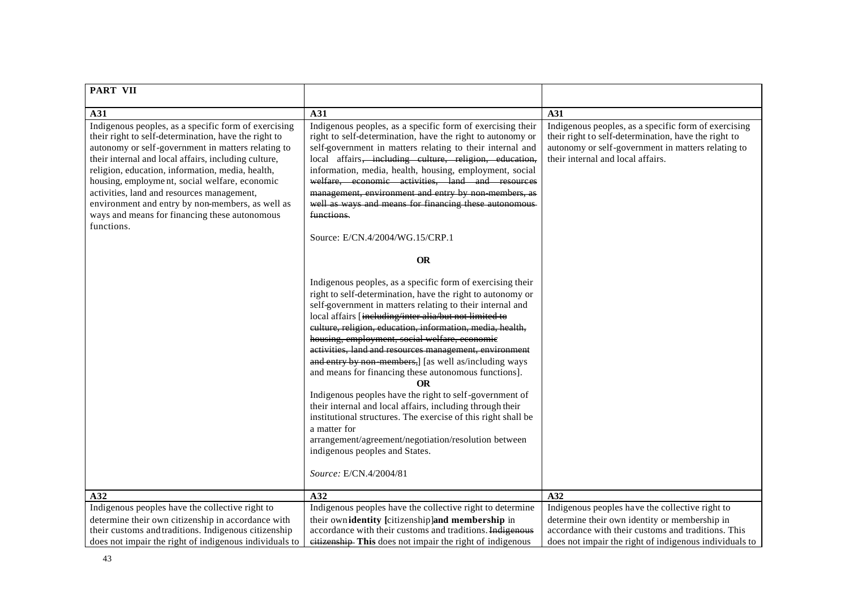| <b>PART VII</b>                                                                                                                                                                                                                                                                                                                                                                                                                                                                                  |                                                                                                                                                                                                                                                                                                                                                                                                                                                                                                                                                                                                                                                                                                                                                                                                                                                                                                                                                                                                                                                                                                                                                                                                                                                                                                                                                                                                                                     |                                                                                                                                                                                                         |
|--------------------------------------------------------------------------------------------------------------------------------------------------------------------------------------------------------------------------------------------------------------------------------------------------------------------------------------------------------------------------------------------------------------------------------------------------------------------------------------------------|-------------------------------------------------------------------------------------------------------------------------------------------------------------------------------------------------------------------------------------------------------------------------------------------------------------------------------------------------------------------------------------------------------------------------------------------------------------------------------------------------------------------------------------------------------------------------------------------------------------------------------------------------------------------------------------------------------------------------------------------------------------------------------------------------------------------------------------------------------------------------------------------------------------------------------------------------------------------------------------------------------------------------------------------------------------------------------------------------------------------------------------------------------------------------------------------------------------------------------------------------------------------------------------------------------------------------------------------------------------------------------------------------------------------------------------|---------------------------------------------------------------------------------------------------------------------------------------------------------------------------------------------------------|
| A31                                                                                                                                                                                                                                                                                                                                                                                                                                                                                              | A31                                                                                                                                                                                                                                                                                                                                                                                                                                                                                                                                                                                                                                                                                                                                                                                                                                                                                                                                                                                                                                                                                                                                                                                                                                                                                                                                                                                                                                 | A31                                                                                                                                                                                                     |
| Indigenous peoples, as a specific form of exercising<br>their right to self-determination, have the right to<br>autonomy or self-government in matters relating to<br>their internal and local affairs, including culture,<br>religion, education, information, media, health,<br>housing, employment, social welfare, economic<br>activities, land and resources management,<br>environment and entry by non-members, as well as<br>ways and means for financing these autonomous<br>functions. | Indigenous peoples, as a specific form of exercising their<br>right to self-determination, have the right to autonomy or<br>self-government in matters relating to their internal and<br>local affairs, including culture, religion, education,<br>information, media, health, housing, employment, social<br>welfare, economic activities, land and resources<br>management, environment and entry by non members, as<br>well as ways and means for financing these autonomous<br>functions.<br>Source: E/CN.4/2004/WG.15/CRP.1<br><b>OR</b><br>Indigenous peoples, as a specific form of exercising their<br>right to self-determination, have the right to autonomy or<br>self-government in matters relating to their internal and<br>local affairs [including/inter alia/but not limited to<br>eulture, religion, education, information, media, health,<br>housing, employment, social welfare, economic<br>activities, land and resources management, environment<br>and entry by non-members,] [as well as/including ways<br>and means for financing these autonomous functions].<br><b>OR</b><br>Indigenous peoples have the right to self-government of<br>their internal and local affairs, including through their<br>institutional structures. The exercise of this right shall be<br>a matter for<br>arrangement/agreement/negotiation/resolution between<br>indigenous peoples and States.<br>Source: E/CN.4/2004/81 | Indigenous peoples, as a specific form of exercising<br>their right to self-determination, have the right to<br>autonomy or self-government in matters relating to<br>their internal and local affairs. |
| A32                                                                                                                                                                                                                                                                                                                                                                                                                                                                                              | A32                                                                                                                                                                                                                                                                                                                                                                                                                                                                                                                                                                                                                                                                                                                                                                                                                                                                                                                                                                                                                                                                                                                                                                                                                                                                                                                                                                                                                                 | A32                                                                                                                                                                                                     |
| Indigenous peoples have the collective right to                                                                                                                                                                                                                                                                                                                                                                                                                                                  | Indigenous peoples have the collective right to determine                                                                                                                                                                                                                                                                                                                                                                                                                                                                                                                                                                                                                                                                                                                                                                                                                                                                                                                                                                                                                                                                                                                                                                                                                                                                                                                                                                           | Indigenous peoples have the collective right to                                                                                                                                                         |
| determine their own citizenship in accordance with<br>their customs and traditions. Indigenous citizenship<br>does not impair the right of indigenous individuals to                                                                                                                                                                                                                                                                                                                             | their ownidentity [citizenship]and membership in<br>accordance with their customs and traditions. Indigenous<br>eitizenship This does not impair the right of indigenous                                                                                                                                                                                                                                                                                                                                                                                                                                                                                                                                                                                                                                                                                                                                                                                                                                                                                                                                                                                                                                                                                                                                                                                                                                                            | determine their own identity or membership in<br>accordance with their customs and traditions. This<br>does not impair the right of indigenous individuals to                                           |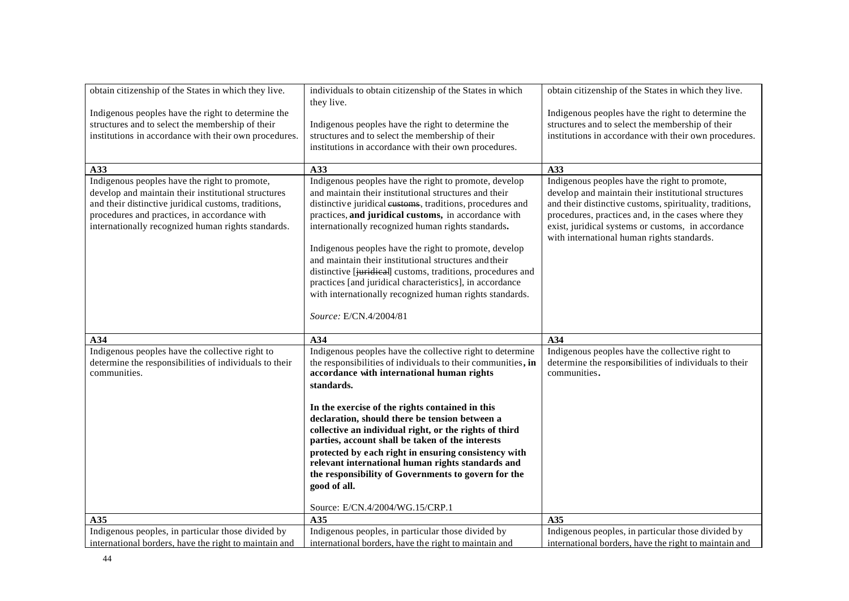| obtain citizenship of the States in which they live.<br>Indigenous peoples have the right to determine the<br>structures and to select the membership of their<br>institutions in accordance with their own procedures.<br>A33<br>Indigenous peoples have the right to promote,<br>develop and maintain their institutional structures<br>and their distinctive juridical customs, traditions,<br>procedures and practices, in accordance with<br>internationally recognized human rights standards. | individuals to obtain citizenship of the States in which<br>they live.<br>Indigenous peoples have the right to determine the<br>structures and to select the membership of their<br>institutions in accordance with their own procedures.<br>A33<br>Indigenous peoples have the right to promote, develop<br>and maintain their institutional structures and their<br>distinctive juridical eustoms, traditions, procedures and<br>practices, and juridical customs, in accordance with<br>internationally recognized human rights standards.<br>Indigenous peoples have the right to promote, develop<br>and maintain their institutional structures and their<br>distinctive [juridical] customs, traditions, procedures and<br>practices [and juridical characteristics], in accordance<br>with internationally recognized human rights standards. | obtain citizenship of the States in which they live.<br>Indigenous peoples have the right to determine the<br>structures and to select the membership of their<br>institutions in accordance with their own procedures.<br>A33<br>Indigenous peoples have the right to promote,<br>develop and maintain their institutional structures<br>and their distinctive customs, spirituality, traditions,<br>procedures, practices and, in the cases where they<br>exist, juridical systems or customs, in accordance<br>with international human rights standards. |
|------------------------------------------------------------------------------------------------------------------------------------------------------------------------------------------------------------------------------------------------------------------------------------------------------------------------------------------------------------------------------------------------------------------------------------------------------------------------------------------------------|-------------------------------------------------------------------------------------------------------------------------------------------------------------------------------------------------------------------------------------------------------------------------------------------------------------------------------------------------------------------------------------------------------------------------------------------------------------------------------------------------------------------------------------------------------------------------------------------------------------------------------------------------------------------------------------------------------------------------------------------------------------------------------------------------------------------------------------------------------|--------------------------------------------------------------------------------------------------------------------------------------------------------------------------------------------------------------------------------------------------------------------------------------------------------------------------------------------------------------------------------------------------------------------------------------------------------------------------------------------------------------------------------------------------------------|
|                                                                                                                                                                                                                                                                                                                                                                                                                                                                                                      | Source: E/CN.4/2004/81                                                                                                                                                                                                                                                                                                                                                                                                                                                                                                                                                                                                                                                                                                                                                                                                                                |                                                                                                                                                                                                                                                                                                                                                                                                                                                                                                                                                              |
| A34                                                                                                                                                                                                                                                                                                                                                                                                                                                                                                  | A34                                                                                                                                                                                                                                                                                                                                                                                                                                                                                                                                                                                                                                                                                                                                                                                                                                                   | A34                                                                                                                                                                                                                                                                                                                                                                                                                                                                                                                                                          |
| Indigenous peoples have the collective right to<br>determine the responsibilities of individuals to their<br>communities.                                                                                                                                                                                                                                                                                                                                                                            | Indigenous peoples have the collective right to determine<br>the responsibilities of individuals to their communities, in<br>accordance with international human rights<br>standards.<br>In the exercise of the rights contained in this<br>declaration, should there be tension between a<br>collective an individual right, or the rights of third<br>parties, account shall be taken of the interests<br>protected by each right in ensuring consistency with<br>relevant international human rights standards and<br>the responsibility of Governments to govern for the<br>good of all.<br>Source: E/CN.4/2004/WG.15/CRP.1                                                                                                                                                                                                                       | Indigenous peoples have the collective right to<br>determine the responsibilities of individuals to their<br>communities.                                                                                                                                                                                                                                                                                                                                                                                                                                    |
| A35<br>Indigenous peoples, in particular those divided by                                                                                                                                                                                                                                                                                                                                                                                                                                            | A35<br>Indigenous peoples, in particular those divided by                                                                                                                                                                                                                                                                                                                                                                                                                                                                                                                                                                                                                                                                                                                                                                                             | A35<br>Indigenous peoples, in particular those divided by                                                                                                                                                                                                                                                                                                                                                                                                                                                                                                    |
| international borders, have the right to maintain and                                                                                                                                                                                                                                                                                                                                                                                                                                                | international borders, have the right to maintain and                                                                                                                                                                                                                                                                                                                                                                                                                                                                                                                                                                                                                                                                                                                                                                                                 | international borders, have the right to maintain and                                                                                                                                                                                                                                                                                                                                                                                                                                                                                                        |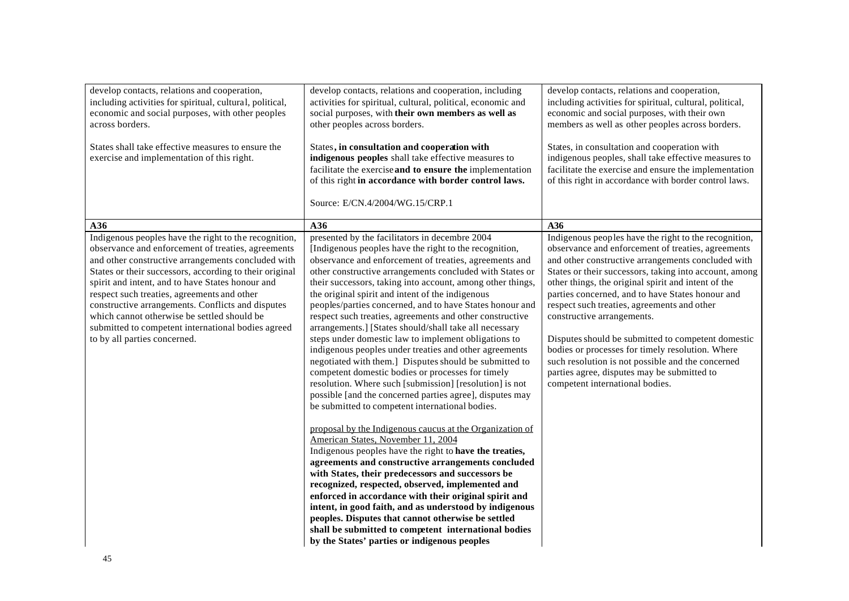| develop contacts, relations and cooperation,<br>including activities for spiritual, cultural, political,<br>economic and social purposes, with other peoples<br>across borders.<br>States shall take effective measures to ensure the<br>exercise and implementation of this right.                                                                                                                                                                                                                                       | develop contacts, relations and cooperation, including<br>activities for spiritual, cultural, political, economic and<br>social purposes, with their own members as well as<br>other peoples across borders.<br>States, in consultation and cooperation with<br>indigenous peoples shall take effective measures to<br>facilitate the exercise and to ensure the implementation<br>of this right in accordance with border control laws.<br>Source: E/CN.4/2004/WG.15/CRP.1                                                                                                                                                                                                                                                                                                                                                                                                                                                                                                                                                                                                                                                                                                                                                                                                                                                                                                                                                                                                                                                                                | develop contacts, relations and cooperation,<br>including activities for spiritual, cultural, political,<br>economic and social purposes, with their own<br>members as well as other peoples across borders.<br>States, in consultation and cooperation with<br>indigenous peoples, shall take effective measures to<br>facilitate the exercise and ensure the implementation<br>of this right in accordance with border control laws.                                                                                                                                                                                                                               |
|---------------------------------------------------------------------------------------------------------------------------------------------------------------------------------------------------------------------------------------------------------------------------------------------------------------------------------------------------------------------------------------------------------------------------------------------------------------------------------------------------------------------------|------------------------------------------------------------------------------------------------------------------------------------------------------------------------------------------------------------------------------------------------------------------------------------------------------------------------------------------------------------------------------------------------------------------------------------------------------------------------------------------------------------------------------------------------------------------------------------------------------------------------------------------------------------------------------------------------------------------------------------------------------------------------------------------------------------------------------------------------------------------------------------------------------------------------------------------------------------------------------------------------------------------------------------------------------------------------------------------------------------------------------------------------------------------------------------------------------------------------------------------------------------------------------------------------------------------------------------------------------------------------------------------------------------------------------------------------------------------------------------------------------------------------------------------------------------|----------------------------------------------------------------------------------------------------------------------------------------------------------------------------------------------------------------------------------------------------------------------------------------------------------------------------------------------------------------------------------------------------------------------------------------------------------------------------------------------------------------------------------------------------------------------------------------------------------------------------------------------------------------------|
| A36                                                                                                                                                                                                                                                                                                                                                                                                                                                                                                                       | A36                                                                                                                                                                                                                                                                                                                                                                                                                                                                                                                                                                                                                                                                                                                                                                                                                                                                                                                                                                                                                                                                                                                                                                                                                                                                                                                                                                                                                                                                                                                                                        | A36                                                                                                                                                                                                                                                                                                                                                                                                                                                                                                                                                                                                                                                                  |
| Indigenous peoples have the right to the recognition,<br>observance and enforcement of treaties, agreements<br>and other constructive arrangements concluded with<br>States or their successors, according to their original<br>spirit and intent, and to have States honour and<br>respect such treaties, agreements and other<br>constructive arrangements. Conflicts and disputes<br>which cannot otherwise be settled should be<br>submitted to competent international bodies agreed<br>to by all parties concerned. | presented by the facilitators in decembre 2004<br>[Indigenous peoples have the right to the recognition,<br>observance and enforcement of treaties, agreements and<br>other constructive arrangements concluded with States or<br>their successors, taking into account, among other things,<br>the original spirit and intent of the indigenous<br>peoples/parties concerned, and to have States honour and<br>respect such treaties, agreements and other constructive<br>arrangements.] [States should/shall take all necessary<br>steps under domestic law to implement obligations to<br>indigenous peoples under treaties and other agreements<br>negotiated with them.] Disputes should be submitted to<br>competent domestic bodies or processes for timely<br>resolution. Where such [submission] [resolution] is not<br>possible [and the concerned parties agree], disputes may<br>be submitted to competent international bodies.<br>proposal by the Indigenous caucus at the Organization of<br>American States, November 11, 2004<br>Indigenous peoples have the right to have the treaties,<br>agreements and constructive arrangements concluded<br>with States, their predecessors and successors be<br>recognized, respected, observed, implemented and<br>enforced in accordance with their original spirit and<br>intent, in good faith, and as understood by indigenous<br>peoples. Disputes that cannot otherwise be settled<br>shall be submitted to competent international bodies<br>by the States' parties or indigenous peoples | Indigenous peoples have the right to the recognition,<br>observance and enforcement of treaties, agreements<br>and other constructive arrangements concluded with<br>States or their successors, taking into account, among<br>other things, the original spirit and intent of the<br>parties concerned, and to have States honour and<br>respect such treaties, agreements and other<br>constructive arrangements.<br>Disputes should be submitted to competent domestic<br>bodies or processes for timely resolution. Where<br>such resolution is not possible and the concerned<br>parties agree, disputes may be submitted to<br>competent international bodies. |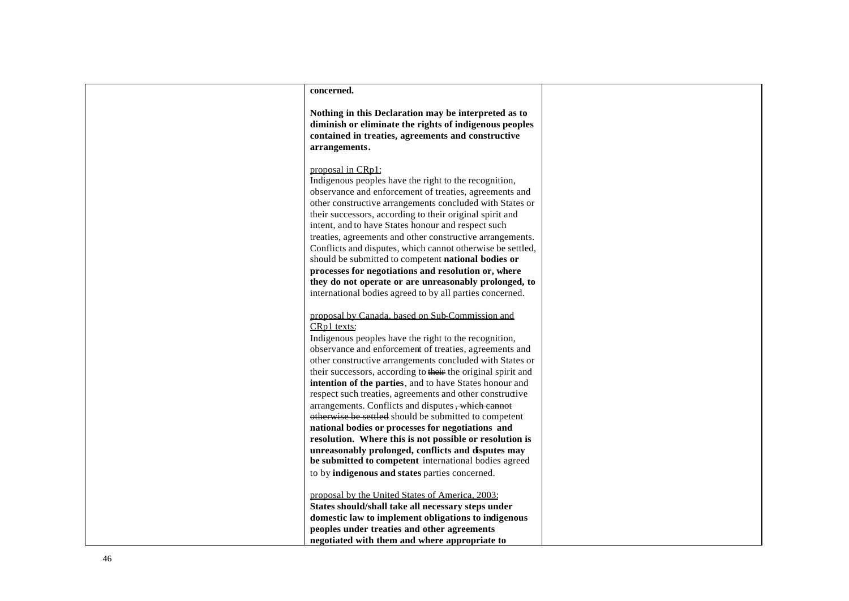| concerned.                                                                                                                                                                                                                                                                                                                                                                                                                                                                                                                                                                                                                                                                                                                                                                                                                           |  |
|--------------------------------------------------------------------------------------------------------------------------------------------------------------------------------------------------------------------------------------------------------------------------------------------------------------------------------------------------------------------------------------------------------------------------------------------------------------------------------------------------------------------------------------------------------------------------------------------------------------------------------------------------------------------------------------------------------------------------------------------------------------------------------------------------------------------------------------|--|
| Nothing in this Declaration may be interpreted as to<br>diminish or eliminate the rights of indigenous peoples<br>contained in treaties, agreements and constructive<br>arrangements.                                                                                                                                                                                                                                                                                                                                                                                                                                                                                                                                                                                                                                                |  |
| proposal in CRp1:<br>Indigenous peoples have the right to the recognition,<br>observance and enforcement of treaties, agreements and<br>other constructive arrangements concluded with States or<br>their successors, according to their original spirit and<br>intent, and to have States honour and respect such                                                                                                                                                                                                                                                                                                                                                                                                                                                                                                                   |  |
| treaties, agreements and other constructive arrangements.<br>Conflicts and disputes, which cannot otherwise be settled,<br>should be submitted to competent national bodies or<br>processes for negotiations and resolution or, where<br>they do not operate or are unreasonably prolonged, to<br>international bodies agreed to by all parties concerned.                                                                                                                                                                                                                                                                                                                                                                                                                                                                           |  |
| proposal by Canada, based on Sub-Commission and<br>CRp1 texts:<br>Indigenous peoples have the right to the recognition,<br>observance and enforcement of treaties, agreements and<br>other constructive arrangements concluded with States or<br>their successors, according to their the original spirit and<br>intention of the parties, and to have States honour and<br>respect such treaties, agreements and other constructive<br>arrangements. Conflicts and disputes, which cannot<br>otherwise be settled should be submitted to competent<br>national bodies or processes for negotiations and<br>resolution. Where this is not possible or resolution is<br>unreasonably prolonged, conflicts and disputes may<br>be submitted to competent international bodies agreed<br>to by indigenous and states parties concerned. |  |
| proposal by the United States of America, 2003:<br>States should/shall take all necessary steps under<br>domestic law to implement obligations to indigenous<br>peoples under treaties and other agreements<br>negotiated with them and where appropriate to                                                                                                                                                                                                                                                                                                                                                                                                                                                                                                                                                                         |  |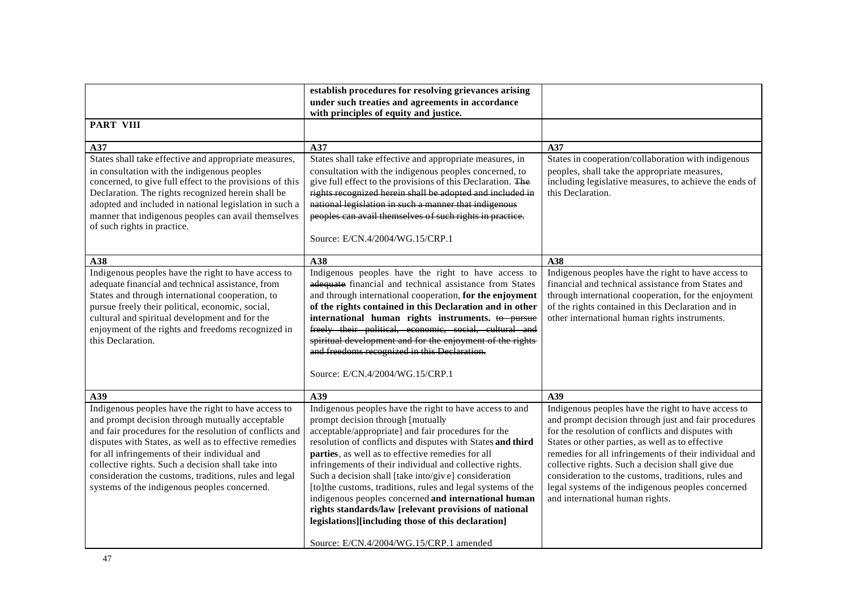|                                                                                                                                                                                                                                                                                                                                                                                                                                              | establish procedures for resolving grievances arising                                                                                                                                                                                                                                                                                                                                                                                                                                                                                                                                                                                                                        |                                                                                                                                                                                                                                                                                                                                                                                                                                                                                    |
|----------------------------------------------------------------------------------------------------------------------------------------------------------------------------------------------------------------------------------------------------------------------------------------------------------------------------------------------------------------------------------------------------------------------------------------------|------------------------------------------------------------------------------------------------------------------------------------------------------------------------------------------------------------------------------------------------------------------------------------------------------------------------------------------------------------------------------------------------------------------------------------------------------------------------------------------------------------------------------------------------------------------------------------------------------------------------------------------------------------------------------|------------------------------------------------------------------------------------------------------------------------------------------------------------------------------------------------------------------------------------------------------------------------------------------------------------------------------------------------------------------------------------------------------------------------------------------------------------------------------------|
|                                                                                                                                                                                                                                                                                                                                                                                                                                              | under such treaties and agreements in accordance<br>with principles of equity and justice.                                                                                                                                                                                                                                                                                                                                                                                                                                                                                                                                                                                   |                                                                                                                                                                                                                                                                                                                                                                                                                                                                                    |
| <b>PART VIII</b>                                                                                                                                                                                                                                                                                                                                                                                                                             |                                                                                                                                                                                                                                                                                                                                                                                                                                                                                                                                                                                                                                                                              |                                                                                                                                                                                                                                                                                                                                                                                                                                                                                    |
| A37                                                                                                                                                                                                                                                                                                                                                                                                                                          | A37                                                                                                                                                                                                                                                                                                                                                                                                                                                                                                                                                                                                                                                                          | A37                                                                                                                                                                                                                                                                                                                                                                                                                                                                                |
| States shall take effective and appropriate measures,<br>in consultation with the indigenous peoples<br>concerned, to give full effect to the provisions of this<br>Declaration. The rights recognized herein shall be<br>adopted and included in national legislation in such a<br>manner that indigenous peoples can avail themselves<br>of such rights in practice.                                                                       | States shall take effective and appropriate measures, in<br>consultation with the indigenous peoples concerned, to<br>give full effect to the provisions of this Declaration. The<br>rights recognized herein shall be adopted and included in<br>national legislation in such a manner that indigenous<br>peoples can avail themselves of such rights in practice.<br>Source: E/CN.4/2004/WG.15/CRP.1                                                                                                                                                                                                                                                                       | States in cooperation/collaboration with indigenous<br>peoples, shall take the appropriate measures,<br>including legislative measures, to achieve the ends of<br>this Declaration.                                                                                                                                                                                                                                                                                                |
| A38                                                                                                                                                                                                                                                                                                                                                                                                                                          | A38                                                                                                                                                                                                                                                                                                                                                                                                                                                                                                                                                                                                                                                                          | A38                                                                                                                                                                                                                                                                                                                                                                                                                                                                                |
| Indigenous peoples have the right to have access to<br>adequate financial and technical assistance, from<br>States and through international cooperation, to<br>pursue freely their political, economic, social,<br>cultural and spiritual development and for the<br>enjoyment of the rights and freedoms recognized in<br>this Declaration.                                                                                                | Indigenous peoples have the right to have access to<br>adequate financial and technical assistance from States<br>and through international cooperation, for the enjoyment<br>of the rights contained in this Declaration and in other<br>international human rights instruments. to pursue<br>freely their political, economic, social, cultural and<br>spiritual development and for the enjoyment of the rights<br>and freedoms recognized in this Declaration.<br>Source: E/CN.4/2004/WG.15/CRP.1                                                                                                                                                                        | Indigenous peoples have the right to have access to<br>financial and technical assistance from States and<br>through international cooperation, for the enjoyment<br>of the rights contained in this Declaration and in<br>other international human rights instruments.                                                                                                                                                                                                           |
| A39                                                                                                                                                                                                                                                                                                                                                                                                                                          | A39                                                                                                                                                                                                                                                                                                                                                                                                                                                                                                                                                                                                                                                                          | A39                                                                                                                                                                                                                                                                                                                                                                                                                                                                                |
| Indigenous peoples have the right to have access to<br>and prompt decision through mutually acceptable<br>and fair procedures for the resolution of conflicts and<br>disputes with States, as well as to effective remedies<br>for all infringements of their individual and<br>collective rights. Such a decision shall take into<br>consideration the customs, traditions, rules and legal<br>systems of the indigenous peoples concerned. | Indigenous peoples have the right to have access to and<br>prompt decision through [mutually<br>acceptable/appropriate] and fair procedures for the<br>resolution of conflicts and disputes with States and third<br>parties, as well as to effective remedies for all<br>infringements of their individual and collective rights.<br>Such a decision shall [take into/giv e] consideration<br>[to]the customs, traditions, rules and legal systems of the<br>indigenous peoples concerned and international human<br>rights standards/law [relevant provisions of national<br>legislations][including those of this declaration]<br>Source: E/CN.4/2004/WG.15/CRP.1 amended | Indigenous peoples have the right to have access to<br>and prompt decision through just and fair procedures<br>for the resolution of conflicts and disputes with<br>States or other parties, as well as to effective<br>remedies for all infringements of their individual and<br>collective rights. Such a decision shall give due<br>consideration to the customs, traditions, rules and<br>legal systems of the indigenous peoples concerned<br>and international human rights. |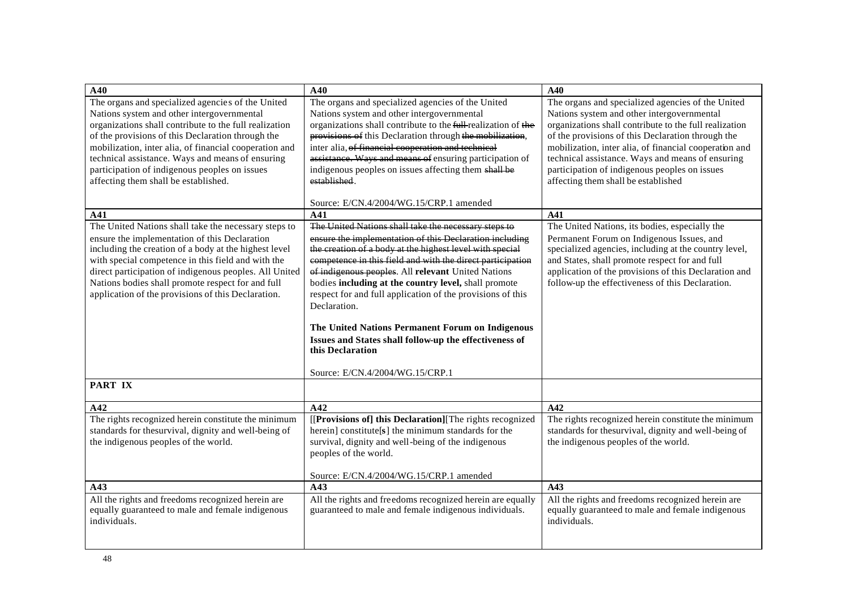| A40                                                                                                                                                                                                                                                                                                                               | A40                                                                                                                                                                                                                                                                                                                                                                           | A40                                                                                                                                                                                                                                                               |
|-----------------------------------------------------------------------------------------------------------------------------------------------------------------------------------------------------------------------------------------------------------------------------------------------------------------------------------|-------------------------------------------------------------------------------------------------------------------------------------------------------------------------------------------------------------------------------------------------------------------------------------------------------------------------------------------------------------------------------|-------------------------------------------------------------------------------------------------------------------------------------------------------------------------------------------------------------------------------------------------------------------|
| The organs and specialized agencies of the United<br>Nations system and other intergovernmental<br>organizations shall contribute to the full realization<br>of the provisions of this Declaration through the                                                                                                                    | The organs and specialized agencies of the United<br>Nations system and other intergovernmental<br>organizations shall contribute to the full-realization of the<br>provisions of this Declaration through the mobilization,                                                                                                                                                  | The organs and specialized agencies of the United<br>Nations system and other intergovernmental<br>organizations shall contribute to the full realization<br>of the provisions of this Declaration through the                                                    |
| mobilization, inter alia, of financial cooperation and<br>technical assistance. Ways and means of ensuring                                                                                                                                                                                                                        | inter alia, of financial cooperation and technical<br>assistance. Ways and means of ensuring participation of                                                                                                                                                                                                                                                                 | mobilization, inter alia, of financial cooperation and<br>technical assistance. Ways and means of ensuring                                                                                                                                                        |
| participation of indigenous peoples on issues<br>affecting them shall be established.                                                                                                                                                                                                                                             | indigenous peoples on issues affecting them shall be<br>established.                                                                                                                                                                                                                                                                                                          | participation of indigenous peoples on issues<br>affecting them shall be established                                                                                                                                                                              |
|                                                                                                                                                                                                                                                                                                                                   | Source: E/CN.4/2004/WG.15/CRP.1 amended                                                                                                                                                                                                                                                                                                                                       |                                                                                                                                                                                                                                                                   |
| A41                                                                                                                                                                                                                                                                                                                               | A41                                                                                                                                                                                                                                                                                                                                                                           | A41                                                                                                                                                                                                                                                               |
| The United Nations shall take the necessary steps to                                                                                                                                                                                                                                                                              | The United Nations shall take the necessary steps to                                                                                                                                                                                                                                                                                                                          | The United Nations, its bodies, especially the                                                                                                                                                                                                                    |
| ensure the implementation of this Declaration<br>including the creation of a body at the highest level<br>with special competence in this field and with the<br>direct participation of indigenous peoples. All United<br>Nations bodies shall promote respect for and full<br>application of the provisions of this Declaration. | ensure the implementation of this Declaration including<br>the creation of a body at the highest level with special<br>competence in this field and with the direct participation<br>of indigenous peoples. All relevant United Nations<br>bodies including at the country level, shall promote<br>respect for and full application of the provisions of this<br>Declaration. | Permanent Forum on Indigenous Issues, and<br>specialized agencies, including at the country level,<br>and States, shall promote respect for and full<br>application of the provisions of this Declaration and<br>follow-up the effectiveness of this Declaration. |
|                                                                                                                                                                                                                                                                                                                                   | The United Nations Permanent Forum on Indigenous                                                                                                                                                                                                                                                                                                                              |                                                                                                                                                                                                                                                                   |
|                                                                                                                                                                                                                                                                                                                                   | Issues and States shall follow-up the effectiveness of<br>this Declaration                                                                                                                                                                                                                                                                                                    |                                                                                                                                                                                                                                                                   |
|                                                                                                                                                                                                                                                                                                                                   | Source: E/CN.4/2004/WG.15/CRP.1                                                                                                                                                                                                                                                                                                                                               |                                                                                                                                                                                                                                                                   |
| <b>PART IX</b>                                                                                                                                                                                                                                                                                                                    |                                                                                                                                                                                                                                                                                                                                                                               |                                                                                                                                                                                                                                                                   |
| A42                                                                                                                                                                                                                                                                                                                               | A42                                                                                                                                                                                                                                                                                                                                                                           | A42                                                                                                                                                                                                                                                               |
| The rights recognized herein constitute the minimum<br>standards for thesurvival, dignity and well-being of<br>the indigenous peoples of the world.                                                                                                                                                                               | [[Provisions of] this Declaration][The rights recognized]<br>herein] constitute[s] the minimum standards for the<br>survival, dignity and well-being of the indigenous<br>peoples of the world.                                                                                                                                                                               | The rights recognized herein constitute the minimum<br>standards for the<br>survival, dignity and well-being of<br>the indigenous peoples of the world.                                                                                                           |
|                                                                                                                                                                                                                                                                                                                                   | Source: E/CN.4/2004/WG.15/CRP.1 amended                                                                                                                                                                                                                                                                                                                                       |                                                                                                                                                                                                                                                                   |
| A43                                                                                                                                                                                                                                                                                                                               | A43                                                                                                                                                                                                                                                                                                                                                                           | A43                                                                                                                                                                                                                                                               |
| All the rights and freedoms recognized herein are<br>equally guaranteed to male and female indigenous<br>individuals.                                                                                                                                                                                                             | All the rights and freedoms recognized herein are equally<br>guaranteed to male and female indigenous individuals.                                                                                                                                                                                                                                                            | All the rights and freedoms recognized herein are<br>equally guaranteed to male and female indigenous<br>individuals.                                                                                                                                             |